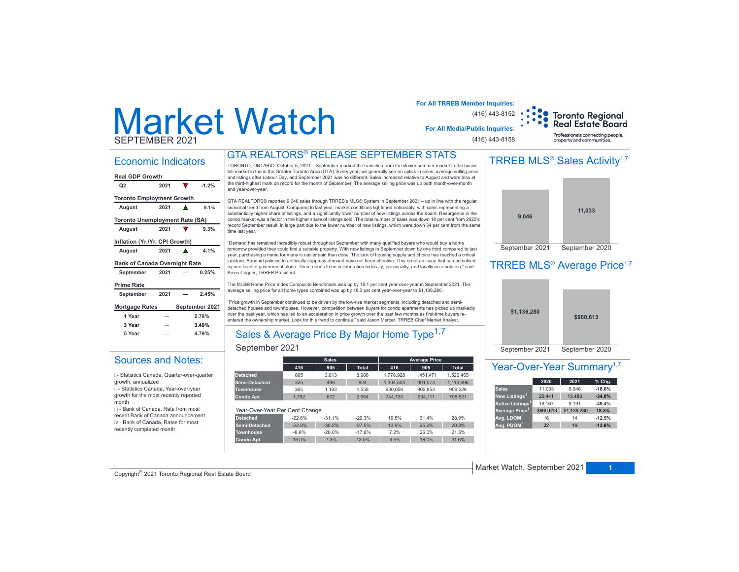# Market WatchSEPTEMBER 2021

### Economic Indicators

| <b>Real GDP Growth</b>                |      |   |                |
|---------------------------------------|------|---|----------------|
| Q <sub>2</sub>                        | 2021 | V | $-1.2%$        |
| <b>Toronto Employment Growth</b>      |      |   |                |
| August                                | 2021 |   | 9.1%           |
| <b>Toronto Unemployment Rate (SA)</b> |      |   |                |
| August                                | 2021 |   | 9.3%           |
| Inflation (Yr./Yr. CPI Growth)        |      |   |                |
| August                                | 2021 | A | 4.1%           |
| <b>Bank of Canada Overnight Rate</b>  |      |   |                |
| September                             | 2021 |   | 0.25%          |
| <b>Prime Rate</b>                     |      |   |                |
| September                             | 2021 |   | 2.45%          |
| <b>Mortgage Rates</b>                 |      |   | September 2021 |
| 1 Year                                |      |   | 2.79%          |
| 3 Year                                |      |   | 3.49%          |
| 5 Year                                |      |   | 4.79%          |
|                                       |      |   |                |

Sources and Notes:i - Statistics Canada, Quarter-over-quarter

ii - Statistics Canada, Year-over-year growth for the most recently reported

iii - Bank of Canada, Rate from most recent Bank of Canada announcement iv - Bank of Canada, Rates for most recently completed month

growth, annualized

month

### GTA REALTORS® RELEASE SEPTEMBER STATS

TORONTO, ONTARIO, October 5, 2021 - September marked the transition from the slower summer market to the busier fall market in the in the Greater Toronto Area (GTA). Every year, we generally see an uptick in sales, average selling price and listings after Labour Day, and September 2021 was no different. Sales increased relative to August and were also at the third-highest mark on record for the month of September. The average selling price was up both month-over-month and vear-over-vear.

GTA REALTORS® reported 9,046 sales through TRREB's MLS® System in September 2021 - up in line with the regular seasonal trend from August. Compared to last year, market conditions tightened noticeably, with sales representing a substantially higher share of listings, and a significantly lower number of new listings across the board. Resurgence in the condo market was a factor in the higher share of listings sold. The total number of sales was down 18 per cent from 2020's record September result, in large part due to the lower number of new listings, which were down 34 per cent from the same time last year.

"Demand has remained incredibly robust throughout September with many qualified buyers who would buy a home tomorrow provided they could find a suitable property. With new listings in September down by one third compared to last year, purchasing a home for many is easier said than done. The lack of housing supply and choice has reached a critical juncture. Bandaid policies to artificially suppress demand have not been effective. This is not an issue that can be solved .<br>By one level of government alone. There needs to be collaboration federally, provincially, and locally on a solution," said Kevin Crigger, TRREB President.

The MLS® Home Price Index Composite Benchmark was up by 19.1 per cent year-over-year in September 2021. The average selling price for all home types combined was up by 18.3 per cent year-over-year to \$1,136,280.

'Price growth in September continued to be driven by the low-rise market segments, including detached and semidetached houses and townhouses. However, competition between buyers for condo apartments has picked up markedly over the past year, which has led to an acceleration in price growth over the past few months as first-time buyers re-.<br>Intered the ownership market. Look for this trend to continue," said Jason Mercer, TRREB Chief Market Analyst.

# Sales & Average Price By Major Home Type<sup>1,7</sup>

### September 2021

|                                |          | <b>Sales</b> |              |           | <b>Average Price</b> |              |
|--------------------------------|----------|--------------|--------------|-----------|----------------------|--------------|
|                                | 416      | 905          | <b>Total</b> | 416       | 905                  | <b>Total</b> |
| <b>Detached</b>                | 895      | 3.013        | 3.908        | 1.778.928 | 1.451.471            | 1.526.465    |
| Semi-Detached                  | 325      | 499          | 824          | 1.304.504 | 991.073              | 1.114.696    |
| <b>Townhouse</b>               | 365      | 1.193        | 1.558        | 930.056   | 902.853              | 909.226      |
| <b>Condo Apt</b>               | 1.792    | 872          | 2.664        | 744.730   | 634.111              | 708.521      |
|                                |          |              |              |           |                      |              |
| Year-Over-Year Per Cent Change |          |              |              |           |                      |              |
| <b>Detached</b>                | $-22.6%$ | $-31.1%$     | $-29.3%$     | 19.5%     | 31.4%                | 28.9%        |
| Semi-Detached                  | $-22.8%$ | $-30.2%$     | $-27.5%$     | 13.9%     | 25.2%                | 20.8%        |
| <b>Townhouse</b>               | $-8.8%$  | $-20.0%$     | $-17.6%$     | 7.2%      | 26.0%                | 21.5%        |
| <b>Condo Apt</b>               | 16.0%    | 7.3%         | 13.0%        | 8.5%      | 18.0%                | 11.6%        |



# TRREB MLS<sup>®</sup> Sales Activity<sup>1,7</sup>



## TRREB MLS<sup>®</sup> Average Price<sup>1,7</sup>



### Year-Over-Year Summary<sup>1,7</sup>

|                                    | 2020      | 2021        | % Chg.   |
|------------------------------------|-----------|-------------|----------|
| <b>Sales</b>                       | 11.033    | 9,046       | $-18.0%$ |
| New Listings <sup>2</sup>          | 20.441    | 13.483      | $-34.0%$ |
| <b>Active Listings<sup>3</sup></b> | 18,167    | 9.191       | $-49.4%$ |
| Average Price <sup>1</sup>         | \$960,613 | \$1,136,280 | 18.3%    |
| Avg. LDOM <sup>5</sup>             | 16        | 14          | $-12.5%$ |
| Avg. PDOM <sup>5</sup>             | 22        | 19          | $-13.6%$ |

**Copyright<sup>®</sup> 2021 Toronto Regional Real Estate Board 12021 12021 12021 12021 12021 12021 12021 12021 12021 12021 12021 12021 12021 12021 12021 12021 12021 12021 12021 12021 12021**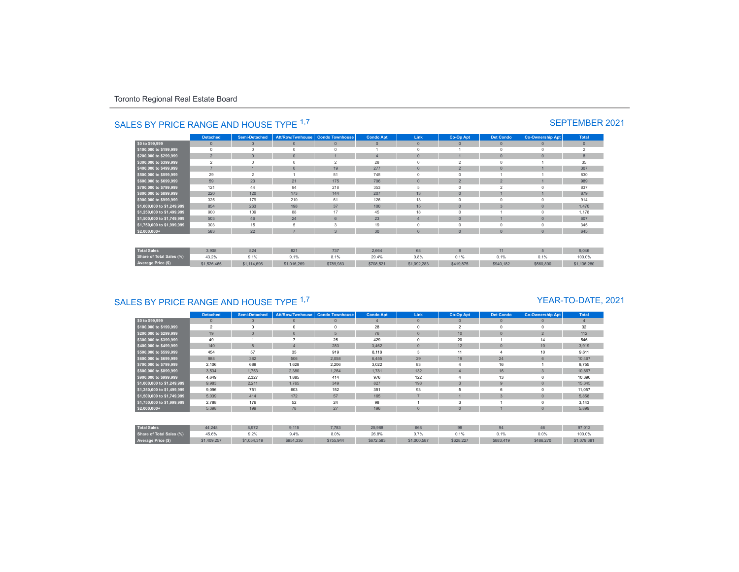|                                 | <b>Detached</b> | <b>Semi-Detached</b> | <b>Att/Row/Twnhouse</b> | <b>Condo Townhouse</b> | <b>Condo Apt</b> | Link         | Co-Op Apt      | <b>Det Condo</b> | <b>Co-Ownership Apt</b> | <b>Total</b>   |
|---------------------------------|-----------------|----------------------|-------------------------|------------------------|------------------|--------------|----------------|------------------|-------------------------|----------------|
| \$0 to \$99,999                 | $\mathbf{0}$    | $\mathbf{0}$         | $\mathbf{0}$            | $\overline{0}$         | $\mathbf{0}$     | $\mathbf{0}$ | $\mathbf{0}$   | $\theta$         | $\mathbf{0}$            | $\mathbf{0}$   |
| \$100,000 to \$199,999          | $\circ$         |                      | $\Omega$                |                        |                  | $\Omega$     |                | $\Omega$         | $\Omega$                | $\overline{2}$ |
| \$200,000 to \$299,999          | $\overline{2}$  | $\Omega$             | $\mathbf{0}$            |                        | $\overline{4}$   | $\Omega$     |                | $\theta$         | $\mathbf{0}$            | 8              |
| \$300,000 to \$399,999          | $\overline{2}$  | $\Omega$             | $\Omega$                | $\overline{2}$         | 28               | $\Omega$     | $\overline{2}$ | $\Omega$         |                         | 35             |
| \$400,000 to \$499,999          | $\overline{z}$  |                      | $\mathbf{0}$            | 19                     | 277              | $\Omega$     | $\overline{2}$ | $\theta$         |                         | 307            |
| \$500,000 to \$599,999          | 29              |                      |                         | 51                     | 745              | $\Omega$     |                |                  |                         | 830            |
| \$600,000 to \$699,999          | 59              | 23                   | 21                      | 175                    | 706              | $\Omega$     | $\overline{2}$ | $\overline{2}$   |                         | 989            |
| \$700,000 to \$799,999          | 121             | 44                   | 94                      | 218                    | 353              | ÷.           | $\Omega$       | $\sim$           | $\Omega$                | 837            |
| \$800,000 to \$899,999          | 220             | 120                  | 173                     | 144                    | 207              | 13           | $\Omega$       |                  |                         | 879            |
| \$900,000 to \$999,999          | 325             | 179                  | 210                     | 61                     | 126              | 13           | $\Omega$       | $\Omega$         | $\mathbf 0$             | 914            |
| \$1,000,000 to \$1,249,999      | 854             | 263                  | 198                     | 37                     | 100              | 15           | $\mathbf{0}$   | $\overline{3}$   | $\mathbf{0}$            | 1,470          |
| \$1,250,000 to \$1,499,999      | 900             | 109                  | 88                      | 17                     | 45               | 18           | $\Omega$       |                  | $\mathbf 0$             | 1,178          |
| \$1,500,000 to \$1,749,999      | 503             | 46                   | 24                      | 6 <sup>1</sup>         | 23               |              | $\overline{0}$ |                  | $\mathbf{0}$            | 607            |
| \$1,750,000 to \$1,999,999      | 303             | 15                   | 5                       | 3                      | 19               | $\Omega$     | $\Omega$       | $\Omega$         | $\circ$                 | 345            |
| $$2,000,000+$                   | 583             | 22                   | $\overline{z}$          | 3                      | 30               | $\mathbf{0}$ | $\overline{0}$ | $\theta$         | $\mathbf{0}$            | 645            |
| <b>Total Sales</b>              | 3,908           | 824                  | 821                     | 737                    | 2,664            | 68           | $\mathbf{8}$   | 11               | 5                       | 9.046          |
| <b>Share of Total Sales (%)</b> | 43.2%           | 9.1%                 | 9.1%                    | 8.1%                   | 29.4%            | 0.8%         | 0.1%           | 0.1%             | 0.1%                    | 100.0%         |
| Average Price (\$)              | \$1,526,465     | \$1,114,696          | \$1,016,269             | \$789,983              | \$708,521        | \$1,092,283  | \$419,875      | \$940,182        | \$560,800               | \$1,136,280    |

# SALES BY PRICE RANGE AND HOUSE TYPE <sup>1,7</sup> SEPTEMBER 2021

# SALES BY PRICE RANGE AND HOUSE TYPE <sup>1,7</sup>

### YEAR-TO-DATE, 2021

|                                 | <b>Detached</b> | <b>Semi-Detached</b> | Att/Row/Twnhouse | <b>Condo Townhouse</b> | <b>Condo Apt</b> | Link         | Co-Op Apt      | <b>Det Condo</b> | <b>Co-Ownership Apt</b> | <b>Total</b>   |
|---------------------------------|-----------------|----------------------|------------------|------------------------|------------------|--------------|----------------|------------------|-------------------------|----------------|
| \$0 to \$99,999                 | $\mathbf{0}$    | $\Omega$             | $\theta$         | $\mathbf{0}$           |                  | $\mathbf{0}$ | $\mathbf{0}$   | $\mathbf{0}$     |                         | $\overline{4}$ |
| \$100,000 to \$199,999          | $\overline{2}$  |                      | $\Omega$         |                        | 28               | $\Omega$     | $\overline{2}$ | $\Omega$         |                         | 32             |
| \$200,000 to \$299,999          | 19              | $\Omega$             | $\Omega$         | 5                      | 76               | $\mathbf{0}$ | 10             | $\mathbf{0}$     | $\overline{2}$          | 112            |
| \$300,000 to \$399,999          | 49              |                      |                  | 25                     | 429              | $^{\circ}$   | 20             |                  | 14                      | 546            |
| \$400,000 to \$499,999          | 140             | 8                    | $\overline{4}$   | 283                    | 3,462            | $\mathbf{0}$ | 12             | $\mathbf{0}$     | 10 <sup>10</sup>        | 3,919          |
| \$500,000 to \$599,999          | 454             | 57                   | 35               | 919                    | 8,118            | 3            | 11             |                  | 10                      | 9,611          |
| \$600,000 to \$699,999          | 988             | 382                  | 506              | 2,058                  | 6,455            | 29           | 19             | 24               | 6                       | 10,467         |
| \$700,000 to \$799,999          | 2,106           | 689                  | 1,628            | 2,206                  | 3,022            | 83           |                | 16               |                         | 9,755          |
| \$800,000 to \$899,999          | 3,534           | 1,753                | 2,380            | 1,264                  | 1,781            | 132          |                | 16               |                         | 10,867         |
| \$900,000 to \$999,999          | 4,649           | 2,327                | 1,885            | 414                    | 976              | 122          |                | 13               |                         | 10,390         |
| \$1,000,000 to \$1,249,999      | 9,983           | 2,211                | 1,765            | 349                    | 827              | 198          | $\mathbf{R}$   | 9                |                         | 15,345         |
| \$1,250,000 to \$1,499,999      | 9,096           | 751                  | 603              | 152                    | 351              | 93           |                | 6                |                         | 11,057         |
| \$1,500,000 to \$1,749,999      | 5,039           | 414                  | 172              | 57                     | 165              |              |                | 3                |                         | 5,858          |
| \$1,750,000 to \$1,999,999      | 2,788           | 176                  | 52               | 24                     | 98               |              |                |                  |                         | 3,143          |
| $$2,000,000+$                   | 5,398           | 199                  | 78               | 27                     | 196              | $\mathbf{0}$ | $\Omega$       |                  |                         | 5,899          |
|                                 |                 |                      |                  |                        |                  |              |                |                  |                         |                |
| <b>Total Sales</b>              | 44,248          | 8,972                | 9,115            | 7,783                  | 25,988           | 668          | 98             | 94               | 46                      | 97,012         |
| <b>Share of Total Sales (%)</b> | 45.6%           | 9.2%                 | 9.4%             | 8.0%                   | 26.8%            | 0.7%         | 0.1%           | 0.1%             | 0.0%                    | 100.0%         |
| Average Price (\$)              | \$1,409,257     | \$1,054,319          | \$954,336        | \$755,944              | \$672,583        | \$1,000,587  | \$628,227      | \$883,419        | \$486,270               | \$1,079,381    |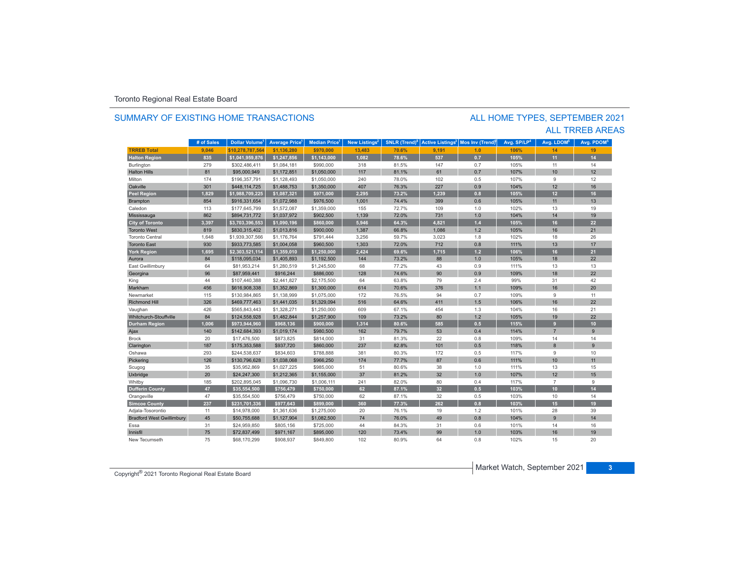### SUMMARY OF EXISTING HOME TRANSACTIONS

### ALL TRREB AREAS ALL HOME TYPES, SEPTEMBER 2021

|                                  | # of Sales | Dollar Volume <sup>1</sup> | <b>Average Price</b> | <b>Median Price</b> <sup>1</sup> | New Listings <sup>2</sup> | <b>SNLR</b> (Trend) <sup>8</sup> | <b>Active Listings<sup>3</sup></b> | Mos Inv (Trend) | Avg. SP/LP <sup>4</sup> | Avg. LDOM <sup>5</sup> | Avg. PDOM <sup>5</sup> |
|----------------------------------|------------|----------------------------|----------------------|----------------------------------|---------------------------|----------------------------------|------------------------------------|-----------------|-------------------------|------------------------|------------------------|
| <b>TRREB Total</b>               | 9,046      | \$10.278.787.564           | \$1,136,280          | \$970,000                        | 13,483                    | 70.6%                            | 9,191                              | 1.0             | 106%                    | 14                     | 19                     |
| <b>Halton Region</b>             | 835        | \$1,041,959,876            | \$1,247,856          | \$1,143,000                      | 1,082                     | 78.6%                            | 537                                | 0.7             | 105%                    | 11                     | 14                     |
| Burlington                       | 279        | \$302,486,411              | \$1,084,181          | \$990,000                        | 318                       | 81.5%                            | 147                                | 0.7             | 105%                    | 11                     | 14                     |
| <b>Halton Hills</b>              | 81         | \$95,000.949               | \$1,172,851          | \$1,050,000                      | 117                       | 81.1%                            | 61                                 | 0.7             | 107%                    | 10                     | 12                     |
| Milton                           | 174        | \$196,357,791              | \$1,128,493          | \$1,050,000                      | 240                       | 78.0%                            | 102                                | 0.5             | 107%                    | 9                      | 12                     |
| Oakville                         | 301        | \$448,114,725              | \$1,488,753          | \$1,350,000                      | 407                       | 76.3%                            | 227                                | 0.9             | 104%                    | 12                     | 16                     |
| <b>Peel Region</b>               | 1.829      | \$1,988,709,225            | \$1,087,321          | \$971,000                        | 2.295                     | 73.2%                            | 1.239                              | 0.8             | 105%                    | 12 <sub>2</sub>        | 16                     |
| <b>Brampton</b>                  | 854        | \$916,331,654              | \$1,072,988          | \$976,500                        | 1,001                     | 74.4%                            | 399                                | 0.6             | 105%                    | 11                     | 13                     |
| Caledon                          | 113        | \$177,645,799              | \$1,572,087          | \$1,359,000                      | 155                       | 72.7%                            | 109                                | 1.0             | 102%                    | 13                     | 19                     |
| Mississauga                      | 862        | \$894,731,772              | \$1,037,972          | \$902,500                        | 1,139                     | 72.0%                            | 731                                | 1.0             | 104%                    | 14                     | 19                     |
| <b>City of Toronto</b>           | 3,397      | \$3,703,396,553            | \$1,090,196          | \$860,000                        | 5,946                     | 64.3%                            | 4,821                              | $1.4$           | 105%                    | 16                     | 22                     |
| <b>Toronto West</b>              | 819        | \$830,315,402              | \$1,013,816          | \$900,000                        | 1,387                     | 66.8%                            | 1,086                              | 1.2             | 105%                    | 16                     | 21                     |
| <b>Toronto Central</b>           | 1,648      | \$1,939,307,566            | \$1,176,764          | \$791,444                        | 3,256                     | 59.7%                            | 3,023                              | 1.8             | 102%                    | 18                     | 26                     |
| <b>Toronto East</b>              | 930        | \$933,773,585              | \$1,004,058          | \$960,500                        | 1,303                     | 72.0%                            | 712                                | 0.8             | 111%                    | 13                     | 17                     |
| <b>York Region</b>               | 1,695      | \$2,303,521,114            | \$1,359,010          | \$1,250,000                      | 2,424                     | 69.6%                            | 1,715                              | $1.2$           | 106%                    | 16                     | 21                     |
| Aurora                           | 84         | \$118,095,034              | \$1,405,893          | \$1,192,500                      | 144                       | 73.2%                            | 88                                 | 1.0             | 105%                    | 18                     | 22                     |
| East Gwillimbury                 | 64         | \$81.953.214               | \$1,280,519          | \$1,245,500                      | 68                        | 77.2%                            | 43                                 | 0.9             | 111%                    | 13                     | 13                     |
| Georgina                         | 96         | \$87,959,441               | \$916,244            | \$886,000                        | 128                       | 74.6%                            | 90                                 | 0.9             | 109%                    | 18                     | 22                     |
| King                             | 44         | \$107,440,388              | \$2,441,827          | \$2,175,500                      | 64                        | 63.8%                            | 79                                 | 2.4             | 99%                     | 31                     | 42                     |
| Markham                          | 456        | \$616,908,338              | \$1,352,869          | \$1,300,000                      | 614                       | 70.6%                            | 376                                | 1.1             | 109%                    | 16                     | 20                     |
| Newmarket                        | 115        | \$130,984,865              | \$1,138,999          | \$1,075,000                      | 172                       | 76.5%                            | 94                                 | 0.7             | 109%                    | 9                      | 11                     |
| <b>Richmond Hill</b>             | 326        | \$469,777,463              | \$1,441,035          | \$1,329,094                      | 516                       | 64.6%                            | 411                                | 1.5             | 106%                    | 16                     | 22                     |
| Vaughan                          | 426        | \$565.843.443              | \$1,328,271          | \$1,250,000                      | 609                       | 67.1%                            | 454                                | 1.3             | 104%                    | 16                     | 21                     |
| Whitchurch-Stouffville           | 84         | \$124,558,928              | \$1,482,844          | \$1,257,900                      | 109                       | 73.2%                            | 80                                 | 1.2             | 105%                    | 19                     | 22                     |
| <b>Durham Region</b>             | 1,006      | \$973,944,960              | \$968,136            | \$900,000                        | 1,314                     | 80.6%                            | 585                                | 0.5             | 115%                    | 9                      | 10                     |
| Ajax                             | 140        | \$142,684,393              | \$1,019,174          | \$980,500                        | 162                       | 79.7%                            | 53                                 | 0.4             | 114%                    | $\overline{7}$         | 9                      |
| <b>Brock</b>                     | 20         | \$17,476,500               | \$873,825            | \$814,000                        | 31                        | 81.3%                            | 22                                 | 0.8             | 109%                    | 14                     | 14                     |
| Clarington                       | 187        | \$175,353,588              | \$937,720            | \$860,000                        | 237                       | 82.8%                            | 101                                | 0.5             | 118%                    | 8                      | 9                      |
| Oshawa                           | 293        | \$244,538,637              | \$834,603            | \$788,888                        | 381                       | 80.3%                            | 172                                | 0.5             | 117%                    | 9                      | 10                     |
| Pickering                        | 126        | \$130,796,628              | \$1,038,068          | \$966,250                        | 174                       | 77.7%                            | 87                                 | 0.6             | 111%                    | 10                     | 11                     |
| Scugog                           | 35         | \$35,952,869               | \$1,027,225          | \$985,000                        | 51                        | 80.6%                            | 38                                 | 1.0             | 111%                    | 13                     | 15                     |
| Uxbridge                         | 20         | \$24,247,300               | \$1,212,365          | \$1,155,000                      | 37                        | 81.2%                            | 32                                 | 1.0             | 107%                    | 12                     | 15                     |
| Whitby                           | 185        | \$202,895,045              | \$1,096,730          | \$1,006,111                      | 241                       | 82.0%                            | 80                                 | 0.4             | 117%                    | $\overline{7}$         | 9                      |
| <b>Dufferin County</b>           | 47         | \$35,554,500               | \$756,479            | \$750,000                        | 62                        | 87.1%                            | 32                                 | 0.5             | 103%                    | 10 <sup>1</sup>        | 14                     |
| Orangeville                      | 47         | \$35,554,500               | \$756,479            | \$750,000                        | 62                        | 87.1%                            | 32                                 | 0.5             | 103%                    | 10                     | 14                     |
| <b>Simcoe County</b>             | 237        | \$231,701,336              | \$977,643            | \$899,000                        | 360                       | 77.3%                            | 262                                | 0.8             | 103%                    | 15                     | 19                     |
| Adjala-Tosorontio                | 11         | \$14,978,000               | \$1,361,636          | \$1,275,000                      | 20                        | 76.1%                            | 19                                 | 1.2             | 101%                    | 28                     | 39                     |
| <b>Bradford West Gwillimbury</b> | 45         | \$50,755,688               | \$1,127,904          | \$1,082,500                      | 74                        | 76.0%                            | 49                                 | 0.8             | 104%                    | $\overline{9}$         | 14                     |
| Essa                             | 31         | \$24,959,850               | \$805,156            | \$725,000                        | 44                        | 84.3%                            | 31                                 | 0.6             | 101%                    | 14                     | 16                     |
| Innisfil                         | 75         | \$72,837,499               | \$971,167            | \$895,000                        | 120                       | 73.4%                            | 99                                 | 1.0             | 103%                    | 16                     | 19                     |
| New Tecumseth                    | 75         | \$68,170,299               | \$908,937            | \$849,800                        | 102                       | 80.9%                            | 64                                 | 0.8             | 102%                    | 15                     | 20                     |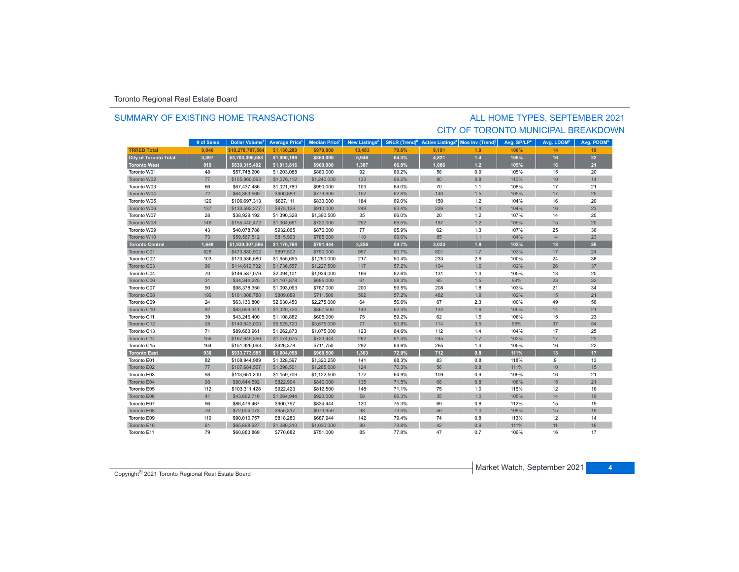### SUMMARY OF EXISTING HOME TRANSACTIONS

### ALL HOME TYPES, SEPTEMBER 2021 CITY OF TORONTO MUNICIPAL BREAKDOWN

|                              | # of Sales | Dollar Volume <sup>1</sup> | <b>Average Price</b> | <b>Median Price</b> | New Listings <sup>2</sup> | <b>SNLR (Trend)<sup>8</sup></b> | <b>Active Listings<sup>3</sup></b> | Mos Inv (Trend) | Avg. SP/LP <sup>4</sup> | Avg. LDOM <sup>5</sup> | Avg. PDOM <sup>5</sup> |
|------------------------------|------------|----------------------------|----------------------|---------------------|---------------------------|---------------------------------|------------------------------------|-----------------|-------------------------|------------------------|------------------------|
| <b>TRREB Total</b>           | 9.046      | \$10.278.787.564           | \$1.136.280          | \$970,000           | 13.483                    | 70.6%                           | 9.191                              | 1.0             | 106%                    | 14                     | 19                     |
| <b>City of Toronto Total</b> | 3,397      | \$3,703,396,553            | \$1,090,196          | \$860,000           | 5,946                     | 64.3%                           | 4,821                              | $1.4$           | 105%                    | 16                     | 22                     |
| <b>Toronto West</b>          | 819        | \$830,315,402              | \$1,013,816          | \$900,000           | 1,387                     | 66.8%                           | 1,086                              | $1.2$           | 105%                    | 16                     | 21                     |
| Toronto W01                  | 48         | \$57,748,200               | \$1,203,088          | \$860,000           | 92                        | 69.2%                           | 56                                 | 0.9             | 105%                    | 15                     | 20                     |
| Toronto W02                  | 77         | \$105,960,593              | \$1,376,112          | \$1,240,000         | 133                       | 69.2%                           | 80                                 | 0.8             | 110%                    | 10                     | 14                     |
| Toronto W03                  | 66         | \$67,437,486               | \$1,021,780          | \$990,000           | 103                       | 64.0%                           | 70                                 | 1.1             | 108%                    | 17                     | 21                     |
| Toronto W04                  | 72         | \$64,863,569               | \$900,883            | \$779,900           | 152                       | 62.8%                           | 140                                | 1.5             | 105%                    | 17                     | 25                     |
| Toronto W05                  | 129        | \$106,697,313              | \$827,111            | \$830,000           | 184                       | 69.0%                           | 150                                | 1.2             | 104%                    | 16                     | 20                     |
| Toronto W06                  | 137        | \$133,592,277              | \$975,126            | \$910,000           | 249                       | 63.4%                           | 226                                | 1.4             | 104%                    | 16                     | 23                     |
| Toronto W07                  | 28         | \$38,929,192               | \$1,390,328          | \$1,390,500         | 35                        | 66.0%                           | 20                                 | 1.2             | 107%                    | 14                     | 20                     |
| Toronto W08                  | 146        | \$155,440,472              | \$1,064,661          | \$720,000           | 252                       | 69.5%                           | 197                                | 1.2             | 105%                    | 15                     | 20                     |
| Toronto W09                  | 43         | \$40,078,788               | \$932,065            | \$870,000           | 77                        | 65.9%                           | 62                                 | 1.3             | 107%                    | 25                     | 36                     |
| Toronto W10                  | 73         | \$59,567,512               | \$815,993            | \$785,000           | 110                       | 69.6%                           | 85                                 | 1.1             | 104%                    | 14                     | 23                     |
| <b>Toronto Central</b>       | 1,648      | \$1,939,307,566            | \$1,176,764          | \$791,444           | 3,256                     | 59.7%                           | 3,023                              | 1.8             | 102%                    | 18                     | 26                     |
| Toronto C01                  | 528        | \$473,880,902              | \$897,502            | \$750,000           | 957                       | 60.7%                           | 801                                | 1.7             | 103%                    | 17                     | 24                     |
| Toronto C02                  | 103        | \$170,536,580              | \$1,655,695          | \$1,250,000         | 217                       | 50.4%                           | 233                                | 2.6             | 100%                    | 24                     | 38                     |
| Toronto C03                  | 66         | \$114,612,732              | \$1,736,557          | \$1,227,500         | 117                       | 57.2%                           | 104                                | 1.6             | 102%                    | 26                     | 37                     |
| Toronto C04                  | 70         | \$146,587,076              | \$2,094,101          | \$1,934,000         | 166                       | 62.6%                           | 131                                | 1.4             | 105%                    | 13                     | 20                     |
| Toronto C06                  | 31         | \$34,344,225               | \$1,107,878          | \$685,000           | 61                        | 58.3%                           | 65                                 | 1.5             | 99%                     | 23                     | 32                     |
| Toronto C07                  | 90         | \$98,378,350               | \$1,093,093          | \$767,000           | 200                       | 59.5%                           | 208                                | 1.8             | 103%                    | 21                     | 34                     |
| Toronto C08                  | 199        | \$161,008,780              | \$809,089            | \$711,500           | 502                       | 57.2%                           | 482                                | 1.9             | 102%                    | 15                     | 21                     |
| Toronto C09                  | 24         | \$63,130,800               | \$2,630,450          | \$2,275,000         | 64                        | 56.6%                           | 67                                 | 2.3             | 100%                    | 49                     | 56                     |
| Toronto C10                  | 82         | \$83,699,341               | \$1,020,724          | \$867,500           | 143                       | 62.4%                           | 134                                | 1.6             | 105%                    | 14                     | 21                     |
| Toronto C11                  | 39         | \$43,246,400               | \$1,108,882          | \$605,000           | 75                        | 59.2%                           | 62                                 | 1.5             | 108%                    | 15                     | 23                     |
| Toronto C12                  | 25         | \$140,643,000              | \$5,625,720          | \$3,675,000         | 77                        | 50.8%                           | 114                                | 3.5             | 95%                     | 37                     | 54                     |
| Toronto C13                  | 71         | \$89,663,961               | \$1,262,873          | \$1,075,000         | 123                       | 64.6%                           | 112                                | 1.4             | 104%                    | 17                     | 25                     |
| Toronto C14                  | 156        | \$167,649,356              | \$1,074,675          | \$723,444           | 262                       | 61.4%                           | 245                                | 1.7             | 102%                    | 17                     | 23                     |
| Toronto C15                  | 164        | \$151,926,063              | \$926,378            | \$711,750           | 292                       | 64.6%                           | 265                                | 1.4             | 105%                    | 16                     | 22                     |
| <b>Toronto East</b>          | 930        | \$933,773,585              | \$1,004,058          | \$960,500           | 1,303                     | 72.0%                           | 712                                | 0.8             | 111%                    | 13                     | 17                     |
| Toronto E01                  | 82         | \$108,944,989              | \$1,328,597          | \$1,320,250         | 141                       | 68.3%                           | 83                                 | 0.8             | 118%                    | 9                      | 13                     |
| Toronto E02                  | 77         | \$107,684,567              | \$1,398,501          | \$1,265,000         | 124                       | 70.3%                           | 56                                 | 0.8             | 111%                    | 10                     | 15                     |
| Toronto E03                  | 98         | \$113,651,200              | \$1,159,706          | \$1,122,500         | 172                       | 64.9%                           | 109                                | 0.9             | 109%                    | 16                     | 21                     |
| Toronto E04                  | 98         | \$80,644,592               | \$822,904            | \$840,000           | 135                       | 71.5%                           | 66                                 | 0.8             | 108%                    | 15                     | 21                     |
| Toronto E05                  | 112        | \$103,311,428              | \$922,423            | \$812,500           | 148                       | 71.1%                           | 75                                 | 1.0             | 115%                    | 12                     | 16                     |
| Toronto E06                  | 41         | \$43,662,716               | \$1,064,944          | \$920,000           | 58                        | 66.3%                           | 35                                 | 1.0             | 105%                    | 14                     | 19                     |
| Toronto E07                  | 96         | \$86,476,467               | \$900,797            | \$834,444           | 120                       | 75.3%                           | 69                                 | $0.8\,$         | 112%                    | 15                     | 19                     |
| Toronto E08                  | 76         | \$72,604,073               | \$955,317            | \$973,950           | 98                        | 73.3%                           | 56                                 | 1.0             | 108%                    | 15                     | 19                     |
| Toronto E09                  | 110        | \$90,010,757               | \$818,280            | \$687,944           | 142                       | 79.4%                           | 74                                 | 0.8             | 113%                    | 12                     | 14                     |
| Toronto E10                  | 61         | \$65,898,927               | \$1,080,310          | \$1,030,000         | 80                        | 73.8%                           | 42                                 | 0.9             | 111%                    | 11                     | 16                     |
| Toronto E11                  | 79         | \$60,883,869               | \$770,682            | \$751,000           | 85                        | 77.8%                           | 47                                 | 0.7             | 106%                    | 16                     | 17                     |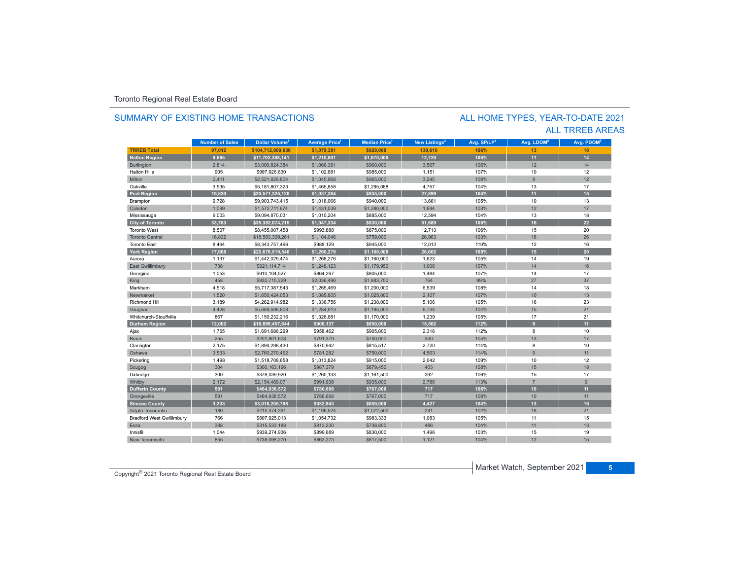### SUMMARY OF EXISTING HOME TRANSACTIONS

### ALL TRREB AREAS ALL HOME TYPES, YEAR-TO-DATE 2021

|                                  | <b>Number of Sales</b> | Dollar Volume <sup>1</sup> | <b>Average Price</b> | <b>Median Price</b> <sup>1</sup> | New Listings <sup>2</sup> | Avg. SP/LP <sup>4</sup> | Avg. LDOM <sup>5</sup> | Avg. PDOM <sup>5</sup> |
|----------------------------------|------------------------|----------------------------|----------------------|----------------------------------|---------------------------|-------------------------|------------------------|------------------------|
| <b>TRREB Total</b>               | 97,012                 | \$104,712,909,036          | \$1,079,381          | \$929,000                        | 139,616                   | 106%                    | 13                     | 18                     |
| <b>Halton Region</b>             | 9,665                  | \$11,702,388,141           | \$1,210,801          | \$1,070,000                      | 12,720                    | 105%                    | 11                     | 14                     |
| <b>Burlington</b>                | 2,814                  | \$3,000,824,384            | \$1,066,391          | \$960,000                        | 3,567                     | 106%                    | 12                     | 14                     |
| <b>Halton Hills</b>              | 905                    | \$997,926,630              | \$1,102,681          | \$985,000                        | 1,151                     | 107%                    | 10                     | 12                     |
| Milton                           | 2,411                  | \$2,521,829,804            | \$1,045,968          | \$965,000                        | 3,245                     | 106%                    | $\overline{9}$         | 12                     |
| Oakville                         | 3,535                  | \$5,181,807,323            | \$1,465,858          | \$1,295,088                      | 4,757                     | 104%                    | 13                     | 17                     |
| <b>Peel Region</b>               | 19.830                 | \$20,571,325,120           | \$1,037,384          | \$935,000                        | 27,899                    | 104%                    | 11                     | 15                     |
| Brampton                         | 9,728                  | \$9,903,743,415            | \$1,018,066          | \$940,000                        | 13,661                    | 105%                    | 10                     | 13                     |
| Caledon                          | 1,099                  | \$1,572,711,674            | \$1,431,039          | \$1,280,000                      | 1,644                     | 103%                    | 12                     | 17                     |
| Mississauga                      | 9,003                  | \$9,094,870,031            | \$1,010,204          | \$885,000                        | 12,594                    | 104%                    | 13                     | 18                     |
| <b>City of Toronto</b>           | 33,783                 | \$35,382,074,215           | \$1,047,334          | \$830,000                        | 51,689                    | 105%                    | 16                     | 22                     |
| <b>Toronto West</b>              | 8,507                  | \$8,455,007,458            | \$993,888            | \$875,000                        | 12,713                    | 106%                    | 15                     | 20                     |
| <b>Toronto Central</b>           | 16,832                 | \$18,583,309,261           | \$1,104,046          | \$759,000                        | 26,963                    | 103%                    | 18                     | 26                     |
| <b>Toronto East</b>              | 8,444                  | \$8,343,757,496            | \$988,129            | \$945,000                        | 12,013                    | 110%                    | 12                     | 16                     |
| <b>York Region</b>               | 17,908                 | \$22,676,519,546           | \$1,266,279          | \$1,160,000                      | 26,602                    | 105%                    | 15                     | 20                     |
| Aurora                           | 1,137                  | \$1,442,029,474            | \$1,268,276          | \$1,160,000                      | 1,623                     | 105%                    | 14                     | 19                     |
| <b>East Gwillimbury</b>          | 738                    | \$921,114,714              | \$1,248,123          | \$1,179,950                      | 1,006                     | 107%                    | 14                     | 16                     |
| Georgina                         | 1,053                  | \$910,104,527              | \$864,297            | \$805,000                        | 1,484                     | 107%                    | 14                     | 17                     |
| King                             | 458                    | \$932,715,229              | \$2,036,496          | \$1,883,750                      | 764                       | 99%                     | 27                     | 37                     |
| Markham                          | 4,518                  | \$5,717,387,543            | \$1,265,469          | \$1,200,000                      | 6,539                     | 108%                    | 14                     | 18                     |
| Newmarket                        | 1,520                  | \$1,650,424,053            | \$1,085,805          | \$1,025,000                      | 2,107                     | 107%                    | 10                     | 13                     |
| <b>Richmond Hill</b>             | 3,189                  | \$4,262,914,982            | \$1,336,756          | \$1,238,000                      | 5,106                     | 105%                    | 16                     | 23                     |
| Vaughan                          | 4,428                  | \$5,689,596,808            | \$1,284,913          | \$1,195,000                      | 6,734                     | 104%                    | 15                     | 21                     |
| Whitchurch-Stouffville           | 867                    | \$1,150,232,216            | \$1,326,681          | \$1,170,000                      | 1,239                     | 105%                    | 17                     | 21                     |
| <b>Durham Region</b>             | 12,002                 | \$10,899,457,644           | \$908,137            | \$850,000                        | 15,562                    | 112%                    | 9                      | 11                     |
| Ajax                             | 1,765                  | \$1,691,686,299            | \$958,462            | \$905,000                        | 2,316                     | 112%                    | 8                      | 10                     |
| <b>Brock</b>                     | 255                    | \$201,801,608              | \$791,379            | \$740,000                        | 340                       | 105%                    | 13                     | 17                     |
| Clarington                       | 2,175                  | \$1,894,298,430            | \$870,942            | \$815,517                        | 2,720                     | 114%                    | 8                      | 10                     |
| Oshawa                           | 3,533                  | \$2,760,270,462            | \$781,282            | \$750,000                        | 4,563                     | 114%                    | 9                      | 11                     |
| Pickering                        | 1,498                  | \$1,518,708,658            | \$1,013,824          | \$915,000                        | 2,042                     | 109%                    | 10                     | 12                     |
| Scugog                           | 304                    | \$300,163,196              | \$987,379            | \$879,450                        | 403                       | 108%                    | 15                     | 18                     |
| Uxbridge                         | 300                    | \$378,039,920              | \$1,260,133          | \$1,161,500                      | 392                       | 106%                    | 15                     | 17                     |
| Whitby                           | 2,172                  | \$2,154,489,071            | \$991,938            | \$935,000                        | 2,786                     | 113%                    | $\overline{7}$         | 9                      |
| <b>Dufferin County</b>           | 591                    | \$464,938,572              | \$786,698            | \$767,000                        | 717                       | 106%                    | 10                     | 11                     |
| Orangeville                      | 591                    | \$464,938,572              | \$786,698            | \$767,000                        | 717                       | 106%                    | 10                     | 11                     |
| <b>Simcoe County</b>             | 3,233                  | \$3,016,205,798            | \$932,943            | \$859,000                        | 4,427                     | 104%                    | 13                     | 16                     |
| Adjala-Tosorontio                | 180                    | \$215,374,391              | \$1,196,524          | \$1,072,500                      | 241                       | 102%                    | 18                     | 21                     |
| <b>Bradford West Gwillimbury</b> | 766                    | \$807,925,013              | \$1,054,732          | \$983,333                        | 1,083                     | 105%                    | 11                     | 15                     |
| Essa                             | 388                    | \$315,533,188              | \$813,230            | \$738,800                        | 486                       | 104%                    | 11                     | 13                     |
| Innisfil                         | 1,044                  | \$939,274,936              | \$899,689            | \$830,000                        | 1,496                     | 103%                    | 15                     | 19                     |
| New Tecumseth                    | 855                    | \$738,098,270              | \$863,273            | \$817,500                        | 1,121                     | 104%                    | 12                     | 15                     |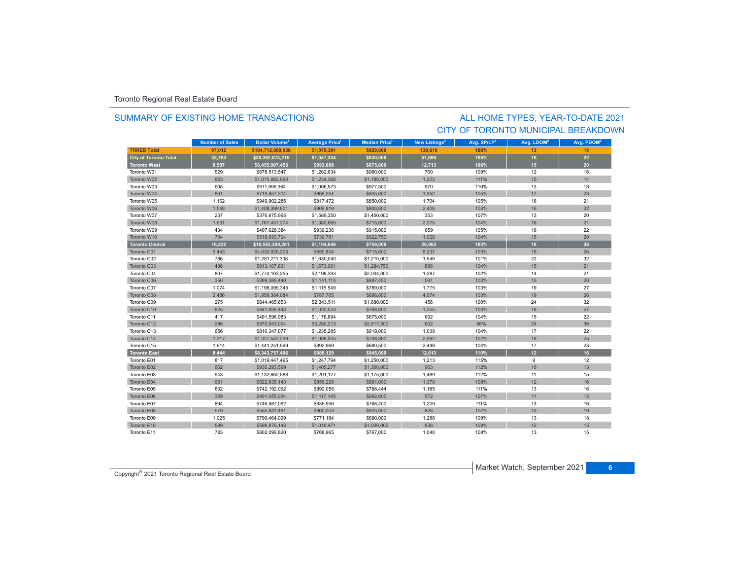### SUMMARY OF EXISTING HOME TRANSACTIONS

### CITY OF TORONTO MUNICIPAL BREAKDOWNALL HOME TYPES, YEAR-TO-DATE 2021

|                              | <b>Number of Sales</b> | Dollar Volume <sup>1</sup> | <b>Average Price<sup>1</sup></b> | <b>Median Price</b> <sup>1</sup> | New Listings <sup>2</sup> | Avg. SP/LP <sup>4</sup> | Avg. LDOM <sup>5</sup> | Avg. PDOM <sup>5</sup> |
|------------------------------|------------------------|----------------------------|----------------------------------|----------------------------------|---------------------------|-------------------------|------------------------|------------------------|
| <b>TRREB Total</b>           | 97.012                 | \$104.712.909.036          | \$1.079.381                      | \$929,000                        | 139.616                   | 106%                    | 13                     | 18                     |
| <b>City of Toronto Total</b> | 33,783                 | \$35,382,074,215           | \$1,047,334                      | \$830,000                        | 51,689                    | 105%                    | 16                     | 22                     |
| <b>Toronto West</b>          | 8,507                  | \$8,455,007,458            | \$993,888                        | \$875,000                        | 12,713                    | 106%                    | 15                     | 20                     |
| Toronto W01                  | 529                    | \$678.513.547              | \$1,282.634                      | \$980,000                        | 760                       | 109%                    | 12                     | 16                     |
| Toronto W02                  | 823                    | \$1,015,882,990            | \$1,234,366                      | \$1,180,000                      | 1,203                     | 111%                    | 10                     | 14                     |
| Toronto W03                  | 608                    | \$611,996,364              | \$1,006,573                      | \$977,500                        | 970                       | 110%                    | 13                     | 18                     |
| Toronto W04                  | 831                    | \$719,857,314              | \$866,254                        | \$805,000                        | 1,352                     | 105%                    | 17                     | 23                     |
| Toronto W05                  | 1,162                  | \$949,902,285              | \$817,472                        | \$850,000                        | 1,704                     | 105%                    | 16                     | 21                     |
| Toronto W06                  | 1,548                  | \$1,408,399,601            | \$909,819                        | \$800,000                        | 2,408                     | 103%                    | 16                     | 22                     |
| Toronto W07                  | 237                    | \$376,675,995              | \$1,589,350                      | \$1,450,000                      | 353                       | 107%                    | 13                     | 20                     |
| Toronto W08                  | 1,631                  | \$1,767,457,274            | \$1,083,665                      | \$715,000                        | 2,275                     | 104%                    | 16                     | 21                     |
| Toronto W09                  | 434                    | \$407,628,384              | \$939,236                        | \$915,000                        | 659                       | 105%                    | 16                     | 22                     |
| Toronto W10                  | 704                    | \$518,693,704              | \$736,781                        | \$622,750                        | 1,029                     | 104%                    | 15                     | 20                     |
| <b>Toronto Central</b>       | 16,832                 | \$18,583,309,261           | \$1,104,046                      | \$759,000                        | 26,963                    | 103%                    | 18                     | 26                     |
| Toronto C01                  | 5,443                  | \$4,630,926,203            | \$850,804                        | \$715,000                        | 8.237                     | 103%                    | 18                     | 26                     |
| Toronto C02                  | 786                    | \$1,281,211,308            | \$1,630,040                      | \$1,210,000                      | 1,549                     | 101%                    | 22                     | 32                     |
| Toronto C03                  | 486                    | \$813,107,631              | \$1,673,061                      | \$1,284,750                      | 896                       | 104%                    | 15                     | 21                     |
| Toronto C04                  | 807                    | \$1,774,103,255            | \$2,198,393                      | \$2,004,000                      | 1,287                     | 102%                    | 14                     | 21                     |
| Toronto C06                  | 350                    | \$399,389,440              | \$1,141,113                      | \$887,450                        | 591                       | 103%                    | 15                     | 20                     |
| Toronto C07                  | 1,074                  | \$1,198,099,345            | \$1,115,549                      | \$789,000                        | 1.775                     | 103%                    | 19                     | 27                     |
| Toronto C08                  | 2,486                  | \$1,958,384,084            | \$787,765                        | \$686,000                        | 4,074                     | 103%                    | 19                     | 26                     |
| Toronto C09                  | 275                    | \$644,465,653              | \$2,343,511                      | \$1,680,000                      | 456                       | 100%                    | 24                     | 32                     |
| Toronto C10                  | 825                    | \$841,939,443              | \$1,020,533                      | \$768,000                        | 1,255                     | 103%                    | 18                     | 27                     |
| Toronto C11                  | 417                    | \$491,598,983              | \$1,178,894                      | \$675,000                        | 692                       | 104%                    | 15                     | 22                     |
| Toronto C12                  | 296                    | \$970,943,004              | \$3,280,213                      | \$2,817,500                      | 602                       | 98%                     | 24                     | 36                     |
| Toronto C13                  | 656                    | \$810,347,077              | \$1,235,285                      | \$919,000                        | 1,039                     | 104%                    | 17                     | 22                     |
| Toronto C14                  | 1.317                  | \$1,327,542,236            | \$1,008,005                      | \$708,880                        | 2.062                     | 102%                    | 18                     | 25                     |
| Toronto C15                  | 1,614                  | \$1,441,251,599            | \$892,969                        | \$680,500                        | 2,448                     | 104%                    | 17                     | 23                     |
| <b>Toronto East</b>          | 8,444                  | \$8,343,757,496            | \$988,129                        | \$945,000                        | 12,013                    | 110%                    | 12 <sup>2</sup>        | 16                     |
| Toronto E01                  | 817                    | \$1,019,447,495            | \$1,247,794                      | \$1,250,000                      | 1,213                     | 115%                    | 9                      | 12                     |
| Toronto E02                  | 662                    | \$930,293,599              | \$1,405,277                      | \$1,300,000                      | 963                       | 112%                    | 10                     | 13                     |
| Toronto E03                  | 943                    | \$1,132,662,588            | \$1,201,127                      | \$1,175,000                      | 1.489                     | 112%                    | 11                     | 15                     |
| Toronto E04                  | 961                    | \$822,835,143              | \$856,228                        | \$881,000                        | 1.370                     | 108%                    | 12                     | 16                     |
| Toronto E05                  | 832                    | \$742,192,092              | \$892,058                        | \$788,444                        | 1,185                     | 111%                    | 13                     | 16                     |
| Toronto E06                  | 359                    | \$401,055,034              | \$1,117,145                      | \$992,000                        | 572                       | 107%                    | 11                     | 15                     |
| Toronto E07                  | 894                    | \$746,987,062              | \$835,556                        | \$768,400                        | 1,229                     | 111%                    | 13                     | 16                     |
| Toronto E08                  | 579                    | \$555,841,491              | \$960,003                        | \$925,000                        | 828                       | 107%                    | 13                     | 19                     |
| Toronto E09                  | 1,025                  | \$790,464,029              | \$771,184                        | \$680,000                        | 1,288                     | 109%                    | 13                     | 18                     |
| Toronto E10                  | 589                    | \$599,879,143              | \$1,018,471                      | \$1,000,000                      | 836                       | 109%                    | 12                     | 15                     |
| Toronto E11                  | 783                    | \$602,099,820              | \$768,965                        | \$767,000                        | 1,040                     | 108%                    | 13                     | 15                     |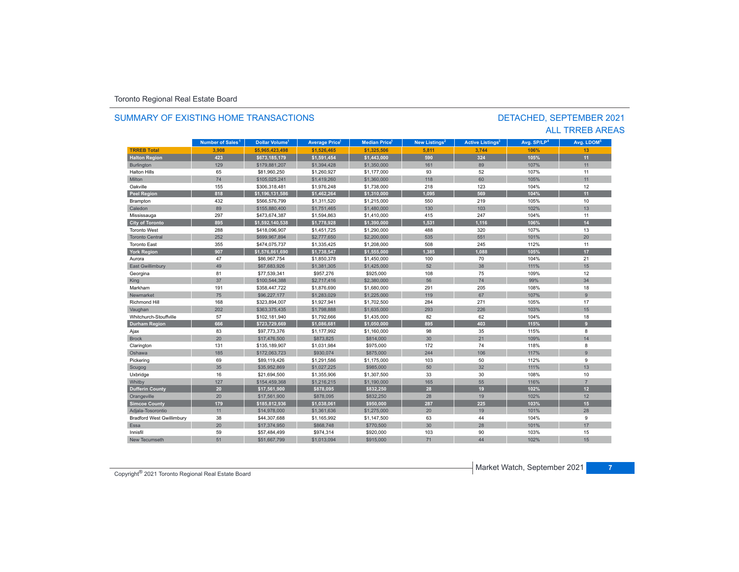### **TR5EB Total 3,908 \$5,965,423,498 \$1,526,465 \$1,325,506 5,811 3,744 106% 13 Halton Region 423 \$673,185,179 \$1,591,454 \$1,443,000 590 324 105% 11** Burlington 129 129 \$179,881,207 \$1,394,428 \$1,350,000 161 89 107% 107% 107% 11 Halton Hillss 65 \$81,960,250 \$1,260,927 \$1,177,000 93 52 107%% 11 Miltonn 74 \$105,025,241 \$1,419,260 \$1,360,000 118 60 105% 105% 11 Oakvillee 155 \$306,318,481 \$1,976,248 \$1,738,000 218 123 104% 104% 12 **Peel Region 818 \$1,196,131,586 \$1,462,264 \$1,310,000 1,095 569 104% 11** Brampton 432 \$566,576,799 \$1,311,520 \$1,215,000 550 219 105% 10 Caledonn 89 \$155,880,400 \$1,751,465 \$1,480,000 130 103 102% 102% 13 Mississauga 297 \$473,674,387 \$1,594,863 \$1,410,000 415 247 104% 11 **City of Toronto 895 \$1,592,140,538 \$1,778,928 \$1,390,000 1,531 1,116 106% 14** Toronto West 288 $$1,8096,907$   $$1,451,725$   $$1,290,000$  488 320 107% 13 Toronto Central 252 \$699,967,894 \$2,777,650 \$2,200,000 535 551 101%101% 20 Toronto East 355 \$474,075,737 \$1,335,425 \$1,208,000 508 245 112%% 11 **York Region 907 \$1,576,861,690 \$1,738,547 \$1,555,000 1,385 1,088 105% 17** Aurora47 \$86,967,754 \$1,850,378 \$1,450,000 100 70 104% 104% 21 East Gwillimbury 49 \$67,683,926 \$1,381,305 \$1,425,000 52 38 111% 15 Georgina 81 \$77,539,341 \$957,276 \$925,000 108 75 109% 12 King 37 \$100,544,388 \$2,717,416 \$2,380,000 56 74 99% 34 Markhamm 191 \$358,447,722 \$1,876,690 \$1,680,000 291 205 108% 108% 18 Newmarket 75 \$96,227,177 \$1,283,029 \$1,225,000 119 67 107%107% 9 Richmond Hill 168 \$323,894,007 \$1,927,941 \$1,702,500 284 271 105%% 17 Vaughan 202 \$363,375,435 \$1,798,888 \$1,635,000 293 226 103% 15 Whitchurch-Stouffville 57 \$102,181,940 \$1,792,666 \$1,435,000 82 62 104%104% 18 **Durham Region 666 \$723,729,669 \$1,086,681 \$1,050,000 895 403 115% 9** Ajax 83 \$97,773,376 \$1,177,992 \$1,160,000 98 35 115% 8 Brockk 20 \$17,476,500 \$873,825 \$814,000 30 21 109%109% 14 Clarington 131 \$135,189,907 \$1,031,984 \$975,000 172 74 74 118% 8 Oshawa 185 \$172,063,723 \$930,074 \$875,000 244 106 117%**%** 9 Pickering 69 \$89,119,426 \$1,291,586 \$1,175,000 103 50 112% 9 Scugog 35 \$35,952,869 \$1,027,225 \$985,000 50 32 111% 13 Uxbridge 16 \$21,694,500 \$1,355,906 \$1,307,500 33 30 108% 10 7 /116 /116 /127 | \$154,459,368 | \$1,216,215 | \$1,190,000 | 165 | 55 | 116% | 7 **Dufferin County 20 \$17,561,900 \$878,095 \$832,250 28 19 102% 12** Orangeville 20 20 | \$17,561,900 | \$878,095 | \$832,250 | 28 | 19 | 102% | 102% 12 **Simcoe County 179 \$185,812,936 \$1,038,061 \$950,000 287 225 103% 15** Adjala-Tosorontio 11 \$14,978,000 \$1,361,636 \$1,275,000 20 19 101% 28 Bradford West Gwillimbury 38 \$44,307,688 \$1,165,992 \$1,147,500 44 9 Essa20 \$17,374,950 \$868,748 \$770,500 \$30 } 30 28 101% \$101 101% 17 Innisfil 59 \$57,484,499 \$974,314 \$920,000 103 90 103%103% 15 New Tecumseth102% 15 **Municipality Number of Sales Dollar Volume Average Price Median Price New Listings Active Listings Avg. SP/LP Avg. LDOM Number of Sales<sup>1</sup> 1 1 1 2 3 4 5**

51 \$51,667,799 \$1,013,094 \$915,000 71 44 102%

### SUMMARY OF EXISTING HOME TRANSACTIONS

### DETACHED, SEPTEMBER 2021 ALL TRREB AREAS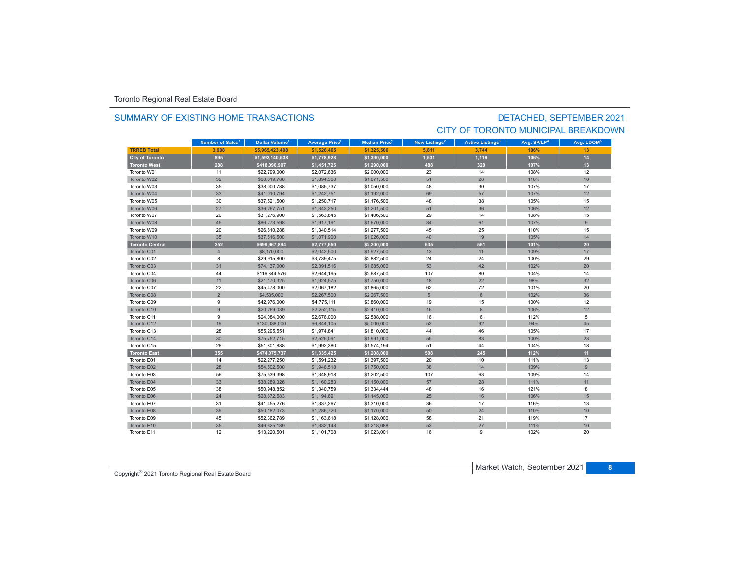### SUMMARY OF EXISTING HOME TRANSACTIONS

## DETACHED, SEPTEMBER 2021 CITY OF TORONTO MUNICIPAL BREAKDOWN

|                        | Number of Sales <sup>1</sup> | <b>Dollar Volume<sup>1</sup></b> | <b>Average Price</b> | <b>Median Price</b> <sup>1</sup> | New Listings <sup>2</sup> | <b>Active Listings<sup>3</sup></b> | Avg. SP/LP <sup>4</sup> | Avg. LDOM <sup>5</sup> |
|------------------------|------------------------------|----------------------------------|----------------------|----------------------------------|---------------------------|------------------------------------|-------------------------|------------------------|
| <b>TRREB Total</b>     | 3.908                        | \$5.965.423.498                  | \$1,526,465          | \$1,325,506                      | 5.811                     | 3.744                              | 106%                    | 13                     |
| <b>City of Toronto</b> | 895                          | \$1,592,140,538                  | \$1,778,928          | \$1,390,000                      | 1,531                     | 1,116                              | 106%                    | 14                     |
| <b>Toronto West</b>    | 288                          | \$418,096,907                    | \$1,451,725          | \$1,290,000                      | 488                       | 320                                | 107%                    | 13                     |
| Toronto W01            | 11                           | \$22,799,000                     | \$2,072,636          | \$2,000,000                      | 23                        | 14                                 | 108%                    | 12                     |
| Toronto W02            | 32                           | \$60,619,788                     | \$1,894,368          | \$1,871,500                      | 51                        | 26                                 | 110%                    | 10                     |
| Toronto W03            | 35                           | \$38,000,788                     | \$1,085,737          | \$1,050,000                      | 48                        | 30                                 | 107%                    | 17                     |
| Toronto W04            | 33                           | \$41,010,794                     | \$1,242,751          | \$1,192,000                      | 69                        | 57                                 | 107%                    | 12                     |
| Toronto W05            | 30                           | \$37,521,500                     | \$1,250,717          | \$1,176,500                      | 48                        | 38                                 | 105%                    | 15                     |
| Toronto W06            | 27                           | \$36,267,751                     | \$1,343,250          | \$1,201,500                      | 51                        | 36                                 | 106%                    | 12                     |
| Toronto W07            | 20                           | \$31,276,900                     | \$1,563,845          | \$1,406,500                      | 29                        | 14                                 | 108%                    | 15                     |
| Toronto W08            | 45                           | \$86,273,598                     | \$1,917,191          | \$1,670,000                      | 84                        | 61                                 | 107%                    | 9                      |
| Toronto W09            | 20                           | \$26,810,288                     | \$1,340,514          | \$1,277,500                      | 45                        | 25                                 | 110%                    | 15                     |
| Toronto W10            | 35                           | \$37,516,500                     | \$1,071,900          | \$1,026,000                      | 40                        | 19                                 | 105%                    | 14                     |
| <b>Toronto Central</b> | 252                          | \$699,967,894                    | \$2,777,650          | \$2,200,000                      | 535                       | 551                                | 101%                    | 20                     |
| Toronto C01            | $\overline{4}$               | \$8,170,000                      | \$2,042,500          | \$1,927,500                      | 13                        | 11                                 | 109%                    | 17                     |
| Toronto C02            | 8                            | \$29,915,800                     | \$3,739,475          | \$2,882,500                      | 24                        | 24                                 | 100%                    | 29                     |
| Toronto C03            | 31                           | \$74,137,000                     | \$2,391,516          | \$1,685,000                      | 53                        | 42                                 | 102%                    | 20                     |
| Toronto C04            | 44                           | \$116,344,576                    | \$2,644,195          | \$2,687,500                      | 107                       | 80                                 | 104%                    | 14                     |
| Toronto C06            | 11                           | \$21,170,325                     | \$1,924,575          | \$1,750,000                      | 18                        | 22                                 | 98%                     | 32                     |
| Toronto C07            | 22                           | \$45,478,000                     | \$2,067,182          | \$1,865,000                      | 62                        | 72                                 | 101%                    | 20                     |
| Toronto C08            | $\overline{2}$               | \$4,535,000                      | \$2,267,500          | \$2,267,500                      | 5                         | 6                                  | 102%                    | 36                     |
| Toronto C09            | 9                            | \$42,976,000                     | \$4,775,111          | \$3,860,000                      | 19                        | 15                                 | 100%                    | 12                     |
| Toronto C10            | $\overline{9}$               | \$20,269,039                     | \$2,252,115          | \$2,410,000                      | 16                        | 8                                  | 106%                    | 12                     |
| Toronto C11            | 9                            | \$24,084,000                     | \$2,676,000          | \$2,588,000                      | 16                        | 6                                  | 112%                    | 5                      |
| Toronto C12            | 19                           | \$130,038,000                    | \$6,844,105          | \$5,000,000                      | 52                        | 92                                 | 94%                     | 45                     |
| Toronto C13            | 28                           | \$55,295,551                     | \$1,974,841          | \$1,810,000                      | 44                        | 46                                 | 105%                    | 17                     |
| Toronto C14            | 30                           | \$75,752,715                     | \$2,525,091          | \$1,991,000                      | 55                        | 83                                 | 100%                    | 23                     |
| Toronto C15            | 26                           | \$51,801,888                     | \$1,992,380          | \$1,574,194                      | 51                        | 44                                 | 104%                    | 18                     |
| <b>Toronto East</b>    | 355                          | \$474,075,737                    | \$1,335,425          | \$1,208,000                      | 508                       | 245                                | 112%                    | 11                     |
| Toronto E01            | 14                           | \$22,277,250                     | \$1,591,232          | \$1,397,500                      | 20                        | 10                                 | 111%                    | 13                     |
| Toronto E02            | 28                           | \$54,502,500                     | \$1,946,518          | \$1,750,000                      | 38                        | 14                                 | 109%                    | 9                      |
| Toronto E03            | 56                           | \$75,539,398                     | \$1,348,918          | \$1,202,500                      | 107                       | 63                                 | 109%                    | 14                     |
| Toronto E04            | 33                           | \$38,289,326                     | \$1,160,283          | \$1,150,000                      | 57                        | 28                                 | 111%                    | 11                     |
| Toronto E05            | 38                           | \$50,948,852                     | \$1,340,759          | \$1,334,444                      | 48                        | 16                                 | 121%                    | 8                      |
| Toronto E06            | 24                           | \$28,672,583                     | \$1,194,691          | \$1,145,000                      | 25                        | 16                                 | 106%                    | 15                     |
| Toronto E07            | 31                           | \$41,455,276                     | \$1,337,267          | \$1,310,000                      | 36                        | 17                                 | 116%                    | 13                     |
| Toronto E08            | 39                           | \$50,182,073                     | \$1,286,720          | \$1,170,000                      | 50                        | 24                                 | 110%                    | 10                     |
| Toronto E09            | 45                           | \$52,362,789                     | \$1,163,618          | \$1,128,000                      | 58                        | 21                                 | 119%                    | $\overline{7}$         |
| Toronto E10            | 35                           | \$46,625,189                     | \$1,332,148          | \$1,218,088                      | 53                        | 27                                 | 111%                    | 10                     |
| Toronto E11            | 12                           | \$13,220,501                     | \$1,101,708          | \$1,023,001                      | 16                        | 9                                  | 102%                    | 20                     |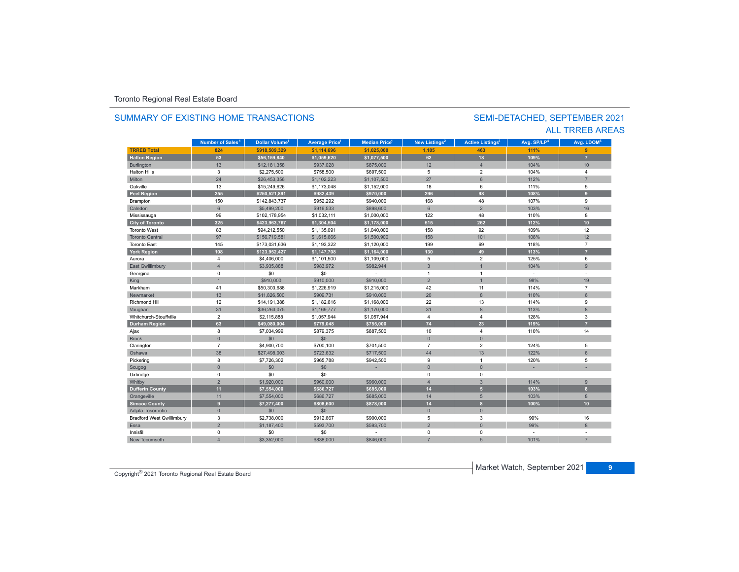### SUMMARY OF EXISTING HOME TRANSACTIONS

### SEMI-DETACHED, SEPTEMBER 2021 ALL TRREB AREAS

|                                  | Number of Sales <sup>1</sup> | <b>Dollar Volume<sup>1</sup></b> | <b>Average Price<sup>1</sup></b> | <b>Median Price</b> <sup>1</sup> | New Listings <sup>2</sup> | <b>Active Listings<sup>3</sup></b> | Avg. SP/LP <sup>4</sup> | Avg. LDOM <sup>5</sup> |
|----------------------------------|------------------------------|----------------------------------|----------------------------------|----------------------------------|---------------------------|------------------------------------|-------------------------|------------------------|
| <b>TRREB Total</b>               | 824                          | \$918.509.329                    | \$1.114.696                      | \$1,025,000                      | 1,105                     | 463                                | 111%                    | 9                      |
| <b>Halton Region</b>             | 53                           | \$56,159,840                     | \$1,059,620                      | \$1,077,500                      | 62                        | 18                                 | 109%                    | $\overline{7}$         |
| Burlington                       | 13                           | \$12,181,358                     | \$937,028                        | \$875,000                        | 12                        | $\overline{4}$                     | 104%                    | 10                     |
| <b>Halton Hills</b>              | 3                            | \$2,275,500                      | \$758,500                        | \$697,500                        | 5                         | $\overline{2}$                     | 104%                    | 4                      |
| Milton                           | 24                           | \$26,453,356                     | \$1,102,223                      | \$1,107,500                      | 27                        | 6                                  | 112%                    | $\overline{7}$         |
| Oakville                         | 13                           | \$15,249,626                     | \$1,173,048                      | \$1,152,000                      | 18                        | 6                                  | 111%                    | 5                      |
| <b>Peel Region</b>               | 255                          | \$250,521,891                    | \$982,439                        | \$970,000                        | 296                       | 98                                 | 108%                    | 9                      |
| Brampton                         | 150                          | \$142,843,737                    | \$952,292                        | \$940,000                        | 168                       | 48                                 | 107%                    | 9                      |
| Caledon                          | $6\overline{6}$              | \$5,499,200                      | \$916,533                        | \$898,600                        | $6\phantom{1}$            | $\overline{2}$                     | 103%                    | 16                     |
| Mississauga                      | 99                           | \$102,178,954                    | \$1,032,111                      | \$1,000,000                      | 122                       | 48                                 | 110%                    | 8                      |
| <b>City of Toronto</b>           | 325                          | \$423,963,767                    | \$1,304,504                      | \$1,178,000                      | 515                       | 262                                | 112%                    | 10 <sup>10</sup>       |
| <b>Toronto West</b>              | 83                           | \$94,212,550                     | \$1,135,091                      | \$1,040,000                      | 158                       | 92                                 | 109%                    | 12                     |
| <b>Toronto Central</b>           | 97                           | \$156,719,581                    | \$1,615,666                      | \$1,500,900                      | 158                       | 101                                | 108%                    | 12                     |
| <b>Toronto East</b>              | 145                          | \$173,031,636                    | \$1,193,322                      | \$1,120,000                      | 199                       | 69                                 | 118%                    | $\overline{7}$         |
| <b>York Region</b>               | 108                          | \$123,952,427                    | \$1,147,708                      | \$1,164,000                      | 130                       | 49                                 | 113%                    |                        |
| Aurora                           | $\overline{4}$               | \$4,406,000                      | \$1,101,500                      | \$1,109,000                      | 5                         | $\overline{2}$                     | 125%                    | 6                      |
| <b>East Gwillimbury</b>          | $\overline{4}$               | \$3,935,888                      | \$983,972                        | \$982,944                        | $\overline{3}$            |                                    | 104%                    | $\overline{9}$         |
| Georgina                         | $\mathbf 0$                  | \$0                              | \$0                              |                                  | $\mathbf{1}$              | $\overline{1}$                     | $\sim$                  |                        |
| King                             | $\overline{1}$               | \$910,000                        | \$910,000                        | \$910,000                        | $\overline{2}$            |                                    | 98%                     | 19                     |
| Markham                          | 41                           | \$50,303,688                     | \$1,226,919                      | \$1,215,000                      | 42                        | 11                                 | 114%                    | $\overline{7}$         |
| Newmarket                        | 13                           | \$11,826,500                     | \$909,731                        | \$910,000                        | 20                        | $\boldsymbol{8}$                   | 110%                    | 6                      |
| Richmond Hill                    | 12                           | \$14,191,388                     | \$1,182,616                      | \$1,168,000                      | 22                        | 13                                 | 114%                    | 9                      |
| Vaughan                          | 31                           | \$36,263,075                     | \$1,169,777                      | \$1,170,000                      | 31                        | $\boldsymbol{8}$                   | 113%                    | 8                      |
| Whitchurch-Stouffville           | $\overline{2}$               | \$2,115,888                      | \$1,057,944                      | \$1,057,944                      | $\overline{4}$            | $\overline{4}$                     | 128%                    | 3                      |
| <b>Durham Region</b>             | 63                           | \$49,080,004                     | \$779,048                        | \$755,000                        | $74$                      | 23                                 | 119%                    | $\overline{7}$         |
| Ajax                             | 8                            | \$7,034,999                      | \$879,375                        | \$887,500                        | 10                        | $\overline{4}$                     | 110%                    | 14                     |
| <b>Brock</b>                     | $\mathbf{0}$                 | \$0                              | \$0                              |                                  | $\overline{0}$            | $\mathbf{0}$                       |                         |                        |
| Clarington                       | $\overline{7}$               | \$4,900,700                      | \$700,100                        | \$701,500                        | $\overline{7}$            | $\overline{2}$                     | 124%                    | 5                      |
| Oshawa                           | 38                           | \$27,498,003                     | \$723,632                        | \$717,500                        | 44                        | 13                                 | 122%                    | 6                      |
| Pickering                        | 8                            | \$7,726,302                      | \$965,788                        | \$942,500                        | 9                         | $\overline{1}$                     | 120%                    | 5                      |
| Scugog                           | $\overline{0}$               | \$0                              | \$0                              |                                  | $\overline{0}$            | $\mathbf{0}$                       |                         |                        |
| Uxbridge                         | $\mathbf 0$                  | \$0                              | \$0                              |                                  | $\mathbf 0$               | $\mathbf 0$                        | ÷.                      |                        |
| Whitby                           | $\overline{2}$               | \$1,920,000                      | \$960,000                        | \$960,000                        | $\overline{4}$            | $\overline{3}$                     | 114%                    | 9                      |
| <b>Dufferin County</b>           | 11                           | \$7,554,000                      | \$686,727                        | \$685,000                        | 14                        | $\overline{5}$                     | 103%                    | $\mathbf{8}$           |
| Orangeville                      | 11                           | \$7,554,000                      | \$686,727                        | \$685,000                        | 14                        | 5                                  | 103%                    | 8                      |
| <b>Simcoe County</b>             | 9                            | \$7,277,400                      | \$808,600                        | \$878,000                        | 14                        | $\mathbf{8}$                       | 100%                    | 10 <sup>1</sup>        |
| Adjala-Tosorontio                | $\mathsf{O}\xspace$          | \$0                              | \$0                              |                                  | $\bf 0$                   | $\mathbf 0$                        |                         |                        |
| <b>Bradford West Gwillimbury</b> | 3                            | \$2,738,000                      | \$912,667                        | \$900,000                        | 5                         | 3                                  | 99%                     | 16                     |
| Essa                             | $\overline{2}$               | \$1,187,400                      | \$593,700                        | \$593,700                        | $\overline{2}$            | $\overline{0}$                     | 99%                     | 8                      |
| Innisfil                         | $\mathbf 0$                  | \$0                              | \$0                              |                                  | $\Omega$                  | $\mathbf 0$                        |                         |                        |
| New Tecumseth                    |                              | \$3,352,000                      | \$838,000                        | \$846,000                        |                           |                                    | 101%                    |                        |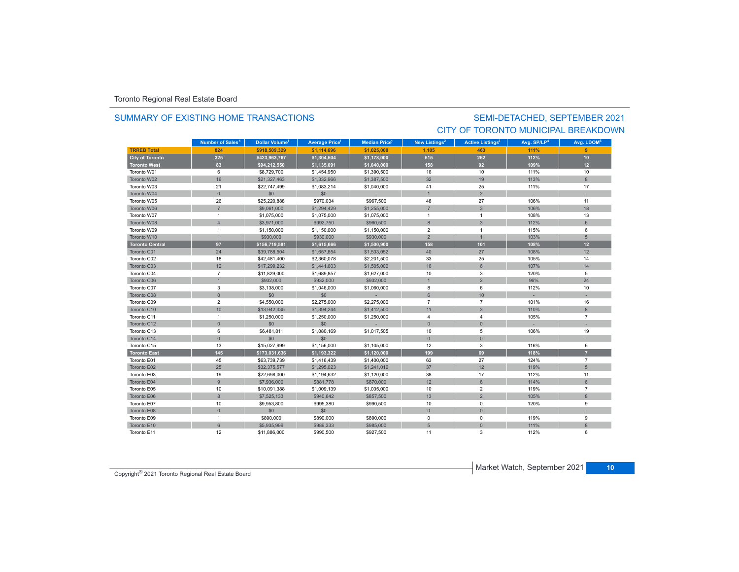### SUMMARY OF EXISTING HOME TRANSACTIONS

### SEMI-DETACHED, SEPTEMBER 2021 CITY OF TORONTO MUNICIPAL BREAKDOWN

|                        | Number of Sales <sup>1</sup> | <b>Dollar Volume<sup>1</sup></b> | <b>Average Price<sup>1</sup></b> | <b>Median Price</b> <sup>1</sup> | New Listings <sup>2</sup> | <b>Active Listings<sup>3</sup></b> | Avg. SP/LP <sup>4</sup> | Avg. LDOM <sup>5</sup> |
|------------------------|------------------------------|----------------------------------|----------------------------------|----------------------------------|---------------------------|------------------------------------|-------------------------|------------------------|
| <b>TRREB Total</b>     | 824                          | \$918.509.329                    | \$1,114,696                      | \$1,025,000                      | 1,105                     | 463                                | 111%                    | 9                      |
| <b>City of Toronto</b> | 325                          | \$423,963,767                    | \$1,304,504                      | \$1,178,000                      | 515                       | 262                                | 112%                    | 10                     |
| <b>Toronto West</b>    | 83                           | \$94,212,550                     | \$1,135,091                      | \$1,040,000                      | 158                       | 92                                 | 109%                    | 12 <sup>°</sup>        |
| Toronto W01            | 6                            | \$8,729,700                      | \$1,454,950                      | \$1,390,500                      | 16                        | 10                                 | 111%                    | 10                     |
| Toronto W02            | 16                           | \$21,327,463                     | \$1,332,966                      | \$1,387,500                      | 32                        | 19                                 | 113%                    | 8                      |
| Toronto W03            | 21                           | \$22,747,499                     | \$1,083,214                      | \$1,040,000                      | 41                        | 25                                 | 111%                    | 17                     |
| Toronto W04            | $\mathbf{0}$                 | \$0                              | \$0                              |                                  |                           | $\overline{2}$                     |                         |                        |
| Toronto W05            | 26                           | \$25,220,888                     | \$970,034                        | \$967,500                        | 48                        | 27                                 | 106%                    | 11                     |
| Toronto W06            | $\overline{7}$               | \$9,061,000                      | \$1,294,429                      | \$1,255,000                      | $\overline{7}$            | $\overline{3}$                     | 106%                    | 18                     |
| Toronto W07            | $\overline{1}$               | \$1,075,000                      | \$1,075,000                      | \$1,075,000                      | $\overline{1}$            | $\overline{1}$                     | 108%                    | 13                     |
| Toronto W08            | $\overline{4}$               | \$3,971,000                      | \$992,750                        | \$960,500                        | 8                         | $\overline{3}$                     | 112%                    | 6                      |
| Toronto W09            | $\overline{1}$               | \$1,150,000                      | \$1,150,000                      | \$1,150,000                      | $\overline{2}$            | $\overline{1}$                     | 115%                    | 6                      |
| Toronto W10            | $\overline{1}$               | \$930,000                        | \$930,000                        | \$930,000                        | 2                         | $\overline{1}$                     | 103%                    | 5                      |
| <b>Toronto Central</b> | 97                           | \$156,719,581                    | \$1,615,666                      | \$1,500,900                      | 158                       | 101                                | 108%                    | 12                     |
| Toronto C01            | 24                           | \$39,788,504                     | \$1,657,854                      | \$1,533,052                      | 40                        | 27                                 | 108%                    | 12                     |
| Toronto C02            | 18                           | \$42,481,400                     | \$2,360,078                      | \$2,201,500                      | 33                        | 25                                 | 105%                    | 14                     |
| Toronto C03            | 12                           | \$17,299,232                     | \$1,441,603                      | \$1,505,000                      | 16                        | 6                                  | 107%                    | 14                     |
| Toronto C04            | $\overline{7}$               | \$11,829,000                     | \$1,689,857                      | \$1,627,000                      | 10                        | 3                                  | 120%                    | 5                      |
| Toronto C06            | $\overline{1}$               | \$932,000                        | \$932,000                        | \$932,000                        |                           | $\overline{2}$                     | 96%                     | 24                     |
| Toronto C07            | 3                            | \$3,138,000                      | \$1,046,000                      | \$1,060,000                      | 8                         | 6                                  | 112%                    | 10                     |
| Toronto C08            | $\mathbf{0}$                 | \$0                              | \$0                              |                                  | 6                         | 10                                 |                         |                        |
| Toronto C09            | $\overline{2}$               | \$4,550,000                      | \$2,275,000                      | \$2,275,000                      | $\overline{7}$            | $\overline{7}$                     | 101%                    | 16                     |
| Toronto C10            | 10                           | \$13,942,435                     | \$1,394,244                      | \$1,412,500                      | 11                        | $\mathbf{3}$                       | 110%                    | 8                      |
| Toronto C11            | $\overline{1}$               | \$1,250,000                      | \$1,250,000                      | \$1,250,000                      | $\overline{4}$            | 4                                  | 105%                    | $\overline{7}$         |
| Toronto C12            | $\mathbf{0}$                 | \$0                              | \$0                              |                                  | $\mathbf{0}$              | $\mathbf{0}$                       |                         |                        |
| Toronto C13            | 6                            | \$6,481,011                      | \$1,080,169                      | \$1,017,505                      | 10                        | 5                                  | 106%                    | 19                     |
| Toronto C14            | $\mathbf{0}$                 | \$0                              | \$0                              |                                  | $\Omega$                  | $\Omega$                           |                         |                        |
| Toronto C15            | 13                           | \$15,027,999                     | \$1,156,000                      | \$1,105,000                      | 12                        | 3                                  | 116%                    | 6                      |
| <b>Toronto East</b>    | 145                          | \$173,031,636                    | \$1,193,322                      | \$1,120,000                      | 199                       | 69                                 | 118%                    | $\overline{7}$         |
| Toronto E01            | 45                           | \$63,739,739                     | \$1,416,439                      | \$1,400,000                      | 63                        | 27                                 | 124%                    | $\overline{7}$         |
| Toronto E02            | 25                           | \$32,375,577                     | \$1,295,023                      | \$1,241,016                      | 37                        | 12                                 | 119%                    | 5                      |
| Toronto E03            | 19                           | \$22,698,000                     | \$1,194,632                      | \$1,120,000                      | 38                        | 17                                 | 112%                    | 11                     |
| Toronto E04            | 9                            | \$7,936,000                      | \$881,778                        | \$870,000                        | 12                        | 6                                  | 114%                    | 6                      |
| Toronto E05            | 10                           | \$10,091,388                     | \$1,009,139                      | \$1,035,000                      | 10                        | $\overline{2}$                     | 119%                    | $\overline{7}$         |
| Toronto E06            | 8                            | \$7,525,133                      | \$940.642                        | \$857,500                        | 13                        | $\overline{2}$                     | 105%                    | 8                      |
| Toronto E07            | 10                           | \$9,953,800                      | \$995,380                        | \$990,500                        | 10                        | $\mathbf 0$                        | 120%                    | 9                      |
| Toronto E08            | $\mathbf{0}$                 | \$0                              | \$0                              |                                  | $\mathbf 0$               | $\mathsf{O}\xspace$                |                         |                        |
| Toronto E09            | $\overline{1}$               | \$890,000                        | \$890,000                        | \$890,000                        | $\mathbf 0$               | $\mathbf 0$                        | 119%                    | 9                      |
| Toronto E10            | 6                            | \$5,935,999                      | \$989,333                        | \$985,000                        | 5                         | $\overline{0}$                     | 111%                    | 8                      |
| Toronto E11            | 12                           | \$11,886,000                     | \$990,500                        | \$927,500                        | 11                        | 3                                  | 112%                    | 6                      |

Market Watch, September 2021 **<sup>10</sup>** Copyright® 2021 Toronto Regional Real Estate Board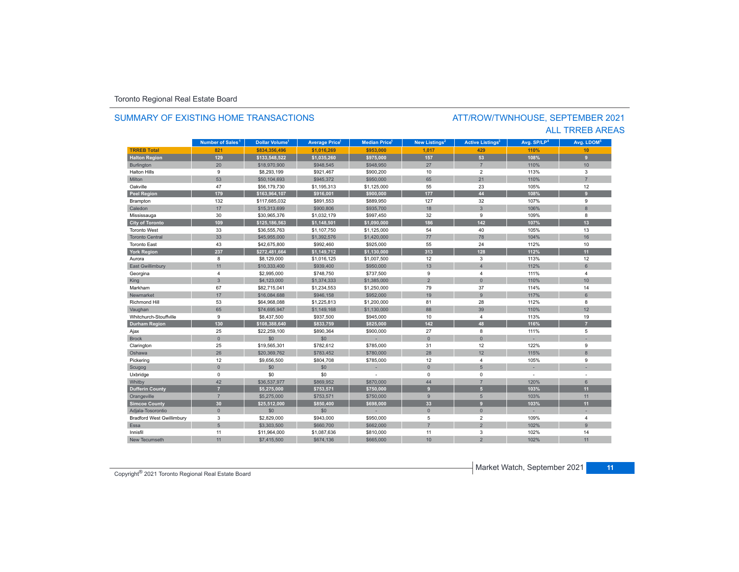### **TR5EB Total 821 \$834,356,496 \$1,016,269 \$953,000 1,017 429 110%110%** 10 **Halton Region 129 \$133,548,522 \$1,035,260 \$975,000 157 53 108% 9** Burlington 20 \$18,970,900 \$948,545 \$948,950 27 7 110% 10 Halton Hillss 9 \$8,293,199 \$921,467 \$900,200 10 2 113% 3 Miltonn 53 \$50,104,693 \$945,372 \$950,000 65 21 110% 110% 7 Oakvillee 47 \$56,179,730 \$1,195,313 \$1,125,000 55 23 105% 105% 12 **Peel Region 179 \$163,964,107 \$916,001 \$900,000 177 44 108% 9** Brampton 132 \$117,685,032 \$891,553 \$889,950 127 32 107% 9 Caledonn 17 \$15,313,699 \$900,806 \$935,700 18 3 106% 8 Mississauga 30 \$30,965,376 \$1,032,179 \$997,450 32 9 109% 8 **City of Toronto 109 \$125,186,563 \$1,148,501 \$1,090,000 186 142 107% 13** Toronto West 33 \$36,555,763 \$1,107,750 \$1,125,000 54 40 105%105% 13 Toronto Central 33 \$45,955,000 \$1,392,576 \$1,420,000 77 78 104%104% 16 Toronto Eastt 43 \$42,675,800 \$992,460 \$925,000 55 24 112%% 10 **York Region 237 \$272,481,664 \$1,149,712 \$1,130,000 313 128 112% 11** Auroraa 8 \$8,129,000 \$1,016,125 \$1,007,500 12 3 113% 113% 12 East Gwillimbury 11 \$10,333,400 \$939,400 \$950,000 13 4 112% 6 Georgina 4 \$2,995,000 \$748,750 \$737,500 9 4 111% 4 King 3 \$4,123,000 \$1,374,333 \$1,385,000 2 0 110% 10 Markhamm 67 \$82,715,041 \$1,234,553 \$1,250,000 79 37 114% 114% 14 Newmarkett 17 . \$16,084,688 \$946,158 \$952,000 \$97,000 \$952,000 \$952,000 \$952,000 \$952,000 \$961 \$97% 6 Richmond Hill 53 \$64,968,088 \$1,225,813 \$1,200,000 81 28 112% 8 Vaughan 65 \$74,695,947 \$1,149,168 \$1,130,000 88 39 110% 12 Whitchurch-Stouffvillee 9 \$8,437,500 \$937,500 \$945,000 10 4 113% % 19 **Durham Region 130 \$108,388,640 \$833,759 \$825,000 142 48 116% 7** Ajax 25 \$22,259,100 \$890,364 \$900,000 27 8 111% 5 Brock 0 \$0 \$0 - 0 0 - - Clarington 25 \$19,565,301 \$782,612 \$785,000 12 12 122% 9 Oshawaa 26 \$20,369,762 \$783,452 \$780,000 28 12 115% 8 Pickering 12 \$9,656,500 \$804,708 \$785,000 12 4 105% 9 Scugog 0 \$0 \$0 - 0 5 - - Uxbridge 0 \$0 \$0 - 0 0 - - 42 \$36,537,977 \$869,952 \$870,000 44 7 7 120% 6 \$870,000 \$ **Dufferin County 7 \$5,275,000 \$753,571 \$750,000 9 5 103% 11** Orangeville 7 \$5,275,000 \$753,571 \$750,000 9 5 103% 11 **Simcoe County 30 \$25,512,000 \$850,400 \$698,000 33 9 103% 11** Adjala-Tosorontio 0 \$0 \$0 - 0 0 - - Bradford West Gwillimbury 3 \$2,829,000 \$943,000 \$950,000 5 2 109% 4 Essaa | 5 \$3,303,500 | \$660,700 | \$662,000 | 7 | 2 102% 102% 9 **Municipality Number of Sales Dollar Volume Average Price Median Price New Listings Active Listings Avg. SP/LP Avg. LDOM** ATT/ROW/TWNHOUSE, SEPTEMBER 2021 SUMMARY OF EXISTING HOME TRANSACTIONS**Number of Sales<sup>1</sup> 1 1 1 2 3 4 5**

\$11,964,000 \$1,087,636 \$810,000 11 3 102%

h 11 \$7,415,500 \$674,136 \$665,000 10 2 102%

ALL TRREB AREAS

 $11$ 

Innisfil

New Tecumseth

% 14

102% 11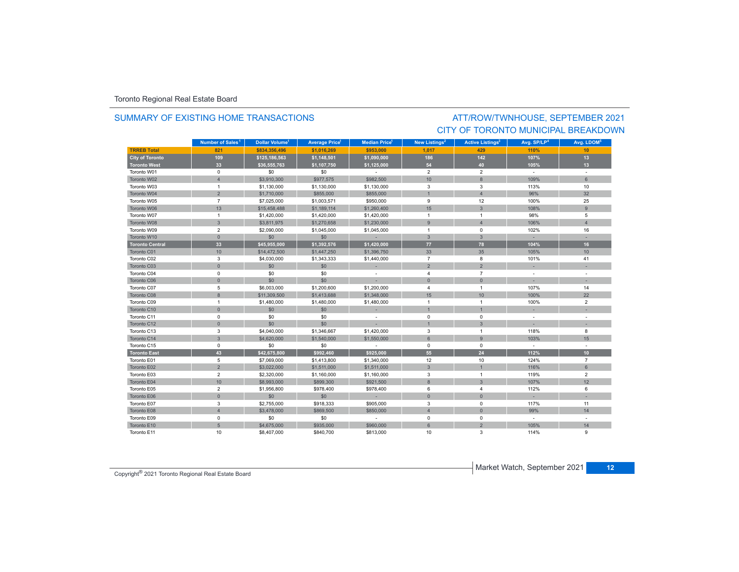### SUMMARY OF EXISTING HOME TRANSACTIONS

### ATT/ROW/TWNHOUSE, SEPTEMBER 2021 CITY OF TORONTO MUNICIPAL BREAKDOWN

|                        | Number of Sales <sup>1</sup> | Dollar Volume <sup>1</sup> | Average Price <sup>1</sup> | <b>Median Price</b> <sup>1</sup> | New Listings <sup>2</sup> | Active Listings <sup>3</sup> | Avg. SP/LP <sup>4</sup> | Avg. LDOM <sup>5</sup> |
|------------------------|------------------------------|----------------------------|----------------------------|----------------------------------|---------------------------|------------------------------|-------------------------|------------------------|
| <b>TRREB Total</b>     | 821                          | \$834.356.496              | \$1.016.269                | \$953,000                        | 1.017                     | 429                          | 110%                    | 10                     |
| <b>City of Toronto</b> | 109                          | \$125,186,563              | \$1,148,501                | \$1,090,000                      | 186                       | 142                          | 107%                    | 13                     |
| <b>Toronto West</b>    | 33                           | \$36,555,763               | \$1,107,750                | \$1,125,000                      | 54                        | 40                           | 105%                    | 13 <sup>°</sup>        |
| Toronto W01            | $\mathbf 0$                  | \$0                        | \$0                        | $\sim$                           | $\overline{2}$            | $\overline{2}$               | $\sim$                  | $\sim$                 |
| Toronto W02            | $\overline{4}$               | \$3,910,300                | \$977,575                  | \$982,500                        | 10                        | 8                            | 109%                    | $6 \overline{6}$       |
| Toronto W03            | $\mathbf{1}$                 | \$1,130,000                | \$1,130,000                | \$1,130,000                      | 3                         | 3                            | 113%                    | 10                     |
| Toronto W04            | $\overline{2}$               | \$1,710,000                | \$855,000                  | \$855,000                        |                           | $\overline{\mathbf{A}}$      | 96%                     | 32                     |
| Toronto W05            | $\overline{7}$               | \$7,025,000                | \$1,003,571                | \$950,000                        | 9                         | 12                           | 100%                    | 25                     |
| Toronto W06            | 13                           | \$15,458,488               | \$1,189,114                | \$1,260,400                      | 15                        | $\mathbf{3}$                 | 108%                    | 9                      |
| Toronto W07            | $\mathbf{1}$                 | \$1,420,000                | \$1,420,000                | \$1,420,000                      | $\overline{1}$            | $\mathbf{1}$                 | 98%                     | 5                      |
| Toronto W08            | $\mathbf{3}$                 | \$3,811,975                | \$1,270,658                | \$1,230,000                      | 9                         | $\overline{4}$               | 106%                    | $\overline{4}$         |
| Toronto W09            | $\overline{2}$               | \$2,090,000                | \$1,045,000                | \$1,045,000                      | $\overline{1}$            | 0                            | 102%                    | 16                     |
| Toronto W10            | $\mathbf{0}$                 | \$0                        | \$0                        | $\sim$                           | $\overline{3}$            | $\mathbf{3}$                 |                         |                        |
| <b>Toronto Central</b> | 33                           | \$45,955,000               | \$1,392,576                | \$1,420,000                      | 77                        | 78                           | 104%                    | 16                     |
| Toronto C01            | 10                           | \$14,472,500               | \$1,447,250                | \$1,396,750                      | 33                        | 35                           | 105%                    | 10                     |
| Toronto C02            | 3                            | \$4,030,000                | \$1,343,333                | \$1,440,000                      | $\overline{7}$            | 8                            | 101%                    | 41                     |
| Toronto C03            | $\mathbf{0}$                 | \$0                        | \$0                        |                                  | $\overline{2}$            | $\overline{2}$               |                         |                        |
| Toronto C04            | 0                            | \$0                        | \$0                        | $\sim$                           | $\overline{4}$            | $\overline{7}$               | $\sim$                  | $\sim$                 |
| Toronto C06            | $\mathbf{0}$                 | \$0                        | \$0                        |                                  | $\mathbf{0}$              | $\overline{0}$               |                         |                        |
| Toronto C07            | 5                            | \$6,003,000                | \$1,200,600                | \$1,200,000                      | $\overline{4}$            | $\mathbf{1}$                 | 107%                    | 14                     |
| Toronto C08            | $\overline{8}$               | \$11,309,500               | \$1,413,688                | \$1,348,000                      | 15                        | 10                           | 100%                    | 22                     |
| Toronto C09            | $\mathbf{1}$                 | \$1,480,000                | \$1,480,000                | \$1,480,000                      | $\overline{1}$            | $\mathbf{1}$                 | 100%                    | $\overline{2}$         |
| Toronto C10            | $\mathsf{O}\xspace$          | \$0                        | \$0                        | $\sim$                           | $\overline{1}$            |                              |                         |                        |
| Toronto C11            | 0                            | \$0                        | \$0                        | $\sim$                           | $\mathbf 0$               | $\mathbf 0$                  | $\sim$                  |                        |
| Toronto C12            | $\mathbf{0}$                 | \$0                        | \$0                        |                                  | $\overline{1}$            | 3                            |                         |                        |
| Toronto C13            | 3                            | \$4,040,000                | \$1,346,667                | \$1,420,000                      | 3                         | 1                            | 118%                    | 8                      |
| Toronto C14            | $\mathbf{3}$                 | \$4,620,000                | \$1,540,000                | \$1,550,000                      | 6                         | $\overline{9}$               | 103%                    | 15                     |
| Toronto C15            | 0                            | \$0                        | \$0                        | $\sim$                           | $^{\circ}$                | $^{\circ}$                   | $\sim$                  |                        |
| <b>Toronto East</b>    | 43                           | \$42,675,800               | \$992,460                  | \$925.000                        | 55                        | 24                           | 112%                    | 10 <sup>1</sup>        |
| Toronto E01            | 5                            | \$7,069,000                | \$1,413,800                | \$1,340,000                      | 12                        | 10                           | 124%                    | $\overline{7}$         |
| Toronto E02            | $\overline{2}$               | \$3,022,000                | \$1,511,000                | \$1,511,000                      | $\mathbf{3}$              |                              | 116%                    | $6\phantom{1}$         |
| Toronto E03            | $\overline{2}$               | \$2,320,000                | \$1,160,000                | \$1,160,000                      | 3                         | $\mathbf{1}$                 | 119%                    | $\overline{2}$         |
| Toronto E04            | 10                           | \$8,993,000                | \$899,300                  | \$921,500                        | 8                         | 3                            | 107%                    | 12                     |
| Toronto E05            | $\overline{2}$               | \$1,956,800                | \$978,400                  | \$978,400                        | 6                         | 4                            | 112%                    | 6                      |
| Toronto E06            | $\mathbf{0}$                 | \$0                        | \$0                        | u.                               | $\Omega$                  | $\Omega$                     |                         |                        |
| Toronto E07            | 3                            | \$2,755,000                | \$918,333                  | \$905,000                        | 3                         | $\mathbf 0$                  | 117%                    | 11                     |
| Toronto E08            | $\overline{4}$               | \$3,478,000                | \$869,500                  | \$850,000                        | $\overline{4}$            | $\overline{0}$               | 99%                     | 14                     |
| Toronto E09            | $\mathbf 0$                  | \$0                        | \$0                        | $\sim$                           | $\mathbf 0$               | $\mathbf 0$                  | $\sim$                  | $\sim$                 |
| Toronto E10            | 5                            | \$4,675,000                | \$935,000                  | \$960,000                        | 6                         | $\overline{2}$               | 105%                    | 14                     |
| Toronto E11            | 10                           | \$8,407,000                | \$840.700                  | \$813,000                        | 10                        | 3                            | 114%                    | 9                      |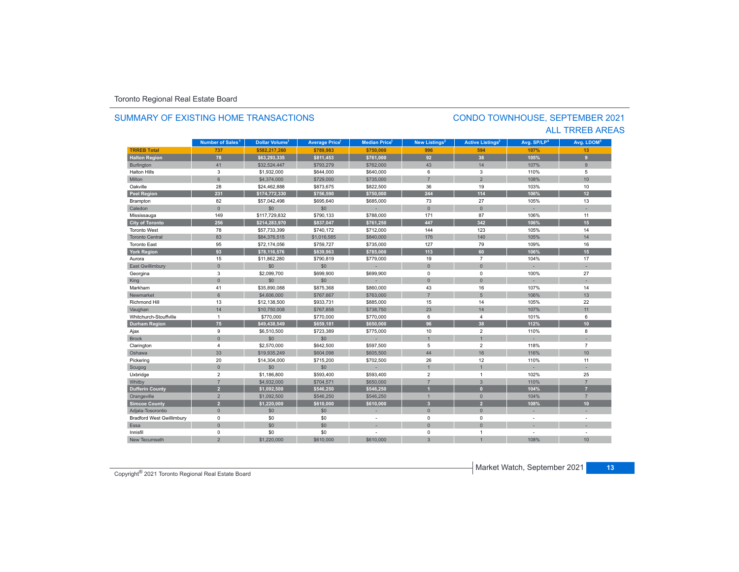### **TRREB Total 737 \$582,217,260 \$789,983 \$750,000 996 594 107%107%** 13 **Halton Region 78 \$63,293,335 \$811,453 \$761,000 92 38 105% 9** Burlington 41 \$32,524,447 \$793,279 \$762,000 43 14 107% 9 Halton Hillss 3 \$1,932,000 \$644,000 \$640,000 6 3 110% 5 Miltonn 6 \$4,374,000 \$729,000 \$735,000 7 2 108% 108% 10 Oakvillee 28 \$24,462,888 \$873,675 \$822,500 36 19 103% 103% 10<br>106% 12 **Peel Region 231 \$174,772,330 \$756,590 \$750,000 244 114 106% 12** Brampton 82 \$57,042,498 \$695,640 \$685,000 73 27 105% 13 Caledonn 1980 - 1980 - 1980 - 1981 - 1981 - 1982 - 1983 - 1984 - 1986 - 1986 - 1987 - 1988 - 1988 - 1988 - 1988 - 198 Mississauga 149 \$117,729,832 \$790,133 \$788,000 171 87 106% 11 **City of Toronto 256 \$214,283,970 \$837,047 \$761,250 447 342 106% 15** Toronto West 78 \$57,733,399 \$740,172 \$712,000 144 123 105%105% 14 Toronto Central 833 \$84,376,515 \$1,016,585 \$840,000 176 140 105% 105% 14 Toronto Eastt 95 \$72,174,056 \$759,727 \$735,000 127 79 109%% 16 **York Region 93 \$78,116,576 \$839,963 \$785,000 113 60 106% 15** Aurora15 \$11,862,280 \$790,819 \$779,000 \$ \$71,000 19 7 7 104% م 104% 104% 17 East Gwillimbury 0 \$0 \$0 - 0 0 - - Georgina 3 \$2,099,700 \$699,900 \$699,900 0 0 100% 27 King 0 \$0 \$0 - 0 0 - - Markhamm 41 \$35,890,088 \$875,368 \$860,000 43 16 107% 107% 14 Newmarket 6 \$4,606,000 \$767,667 \$763,000 7 5 106%106% 13 Richmond Hill 13 \$12,138,500 \$933,731 \$885,000 15 14 105% 22 Vaughan 14 - 14 \$10,750,008 \$767,858 \$738,750 \$738,750 23 14 14 107% | 11 Whitchurch-Stouffville 1 \$770,000 \$770,000 \$770,000 6 4 101% 6 **Durham Region 75 \$49,438,549 \$659,181 \$650,000 96 38 112% 10** Ajax 9 \$6,510,500 \$723,389 \$775,000 10 2 110% 8 Brock 0. 0 50 \$0 \$0 - 1 - 1 - 1 - 1 - 1 - 1 Clarington 4 \$2,570,000 \$642,500 \$597,500 5 2 118% 7 Oshawaa 33 \$19,935,249 \$604,098 \$605,500 44 16 116% 116% 10 Pickering 20 \$14,304,000 \$715,200 \$702,500 26 12 110% 11 Scugog 0 \$0 \$0 - 1 1 - - Uxbridge 2 \$1,186,800 \$593,400 \$593,400 2 1 102% 25 7 \$4,932,000 \$704,571 \$650,000 7 3 3 110% 7 7 3 110 3 **Dufferin County 2 \$1,092,500 \$546,250 \$546,250 1 0 104% 7** Orangeville 2 \$1,092,500 \$546,250 \$546,250 1 0 104% 7 **Simcoe County 2 \$1,220,000 \$610,000 \$610,000 3 2 108% 10** Adjala-Tosorontio 0 \$0 \$0 - 0 0 - - Bradford West Gwillimbury 0 \$0 \$0 - 0 0 - - Essaa dia 1980 - Aniso ao amin'ny faritr'i Nouvelle-Aquitaine, ao amin'ny faritr'i Nouvelle-Aquitaine, ao amin'ny Innisfil 0 \$0 \$0 - 0 1 - - New Tecumseth108% 10 **Municipality Number of Sales Dollar Volume Average Price Median Price New Listings Active Listings Avg. SP/LP Avg. LDOM Number of Sales<sup>1</sup> 1** Dollar Volume<sup>1</sup> | Average Price<sup>1</sup> | Median Price<sup>1</sup> | New Listings<sup>2</sup> | Active Listings<sup>3</sup> | Avg. SP/LP<sup>4</sup> | Avg. LDOM<sup>s</sup>

2 \$1,220,000 \$610,000 \$610,000 3 1 108%

### SUMMARY OF EXISTING HOME TRANSACTIONS

### CONDO TOWNHOUSE, SEPTEMBER 2021 ALL TRREB AREAS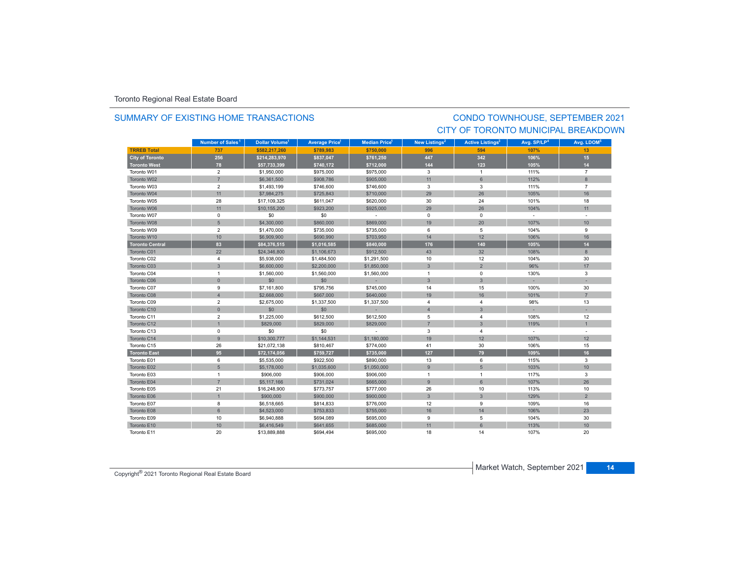### SUMMARY OF EXISTING HOME TRANSACTIONS

## CONDO TOWNHOUSE, SEPTEMBER 2021 CITY OF TORONTO MUNICIPAL BREAKDOWN

|                        | Number of Sales <sup>1</sup> | <b>Dollar Volume<sup>1</sup></b> | <b>Average Price<sup>1</sup></b> | <b>Median Price</b> <sup>1</sup> | New Listings <sup>2</sup> | <b>Active Listings<sup>3</sup></b> | Avg. SP/LP <sup>4</sup> | Avg. LDOM <sup>5</sup> |
|------------------------|------------------------------|----------------------------------|----------------------------------|----------------------------------|---------------------------|------------------------------------|-------------------------|------------------------|
| <b>TRREB Total</b>     | 737                          | \$582,217,260                    | \$789.983                        | \$750,000                        | 996                       | 594                                | 107%                    | 13                     |
| <b>City of Toronto</b> | 256                          | \$214,283,970                    | \$837,047                        | \$761,250                        | 447                       | 342                                | 106%                    | 15                     |
| <b>Toronto West</b>    | 78                           | \$57,733,399                     | \$740,172                        | \$712,000                        | 144                       | 123                                | 105%                    | 14                     |
| Toronto W01            | $\overline{2}$               | \$1,950,000                      | \$975,000                        | \$975,000                        | 3                         | $\mathbf{1}$                       | 111%                    | $\overline{7}$         |
| Toronto W02            | $\overline{7}$               | \$6,361,500                      | \$908,786                        | \$905,000                        | 11                        | 6                                  | 112%                    | 8                      |
| Toronto W03            | $\overline{2}$               | \$1,493,199                      | \$746,600                        | \$746,600                        | 3                         | 3                                  | 111%                    | $\overline{7}$         |
| Toronto W04            | 11                           | \$7,984,275                      | \$725,843                        | \$710,000                        | 29                        | 26                                 | 105%                    | 16                     |
| Toronto W05            | 28                           | \$17,109,325                     | \$611,047                        | \$620,000                        | 30                        | 24                                 | 101%                    | 18                     |
| Toronto W06            | 11                           | \$10,155,200                     | \$923,200                        | \$925,000                        | 29                        | 26                                 | 104%                    | 11                     |
| Toronto W07            | 0                            | \$0                              | \$0                              |                                  | $\mathbf 0$               | $\mathbf 0$                        | $\sim$                  |                        |
| Toronto W08            | 5                            | \$4,300,000                      | \$860,000                        | \$869,000                        | 19                        | 20                                 | 107%                    | 10                     |
| Toronto W09            | $\overline{2}$               | \$1,470,000                      | \$735,000                        | \$735,000                        | 6                         | 5                                  | 104%                    | 9                      |
| Toronto W10            | 10                           | \$6,909,900                      | \$690,990                        | \$703,950                        | 14                        | 12                                 | 106%                    | 16                     |
| <b>Toronto Central</b> | 83                           | \$84,376,515                     | \$1,016,585                      | \$840,000                        | 176                       | 140                                | 105%                    | 14                     |
| Toronto C01            | 22                           | \$24,346,800                     | \$1,106,673                      | \$912,500                        | 43                        | 32                                 | 108%                    | $8\phantom{1}$         |
| Toronto C02            | 4                            | \$5,938,000                      | \$1,484,500                      | \$1,291,500                      | 10                        | 12                                 | 104%                    | 30                     |
| Toronto C03            | $\mathbf{3}$                 | \$6,600,000                      | \$2,200,000                      | \$1,850,000                      | $\mathbf{3}$              | $\overline{2}$                     | 96%                     | 17                     |
| Toronto C04            | $\mathbf{1}$                 | \$1,560,000                      | \$1,560,000                      | \$1,560,000                      | $\overline{1}$            | $\mathbf 0$                        | 130%                    | 3                      |
| Toronto C06            | $\mathbf{0}$                 | \$0                              | \$0                              |                                  | $\mathbf{3}$              | 3                                  |                         |                        |
| Toronto C07            | 9                            | \$7,161,800                      | \$795,756                        | \$745,000                        | 14                        | 15                                 | 100%                    | 30                     |
| Toronto C08            | $\overline{4}$               | \$2,668,000                      | \$667,000                        | \$640,000                        | 19                        | 16                                 | 101%                    | $\overline{7}$         |
| Toronto C09            | $\overline{2}$               | \$2,675,000                      | \$1,337,500                      | \$1,337,500                      | $\overline{4}$            | $\overline{4}$                     | 98%                     | 13                     |
| Toronto C10            | $\mathsf{O}\xspace$          | \$0                              | \$0                              |                                  | $\overline{4}$            | $\mathbf{3}$                       |                         |                        |
| Toronto C11            | $\overline{\mathbf{c}}$      | \$1,225,000                      | \$612,500                        | \$612,500                        | 5                         | $\overline{4}$                     | 108%                    | 12                     |
| Toronto C12            | $\mathbf{1}$                 | \$829,000                        | \$829,000                        | \$829,000                        | $\overline{7}$            | $\overline{3}$                     | 119%                    | $\mathbf{1}$           |
| Toronto C13            | $\mathsf 0$                  | \$0                              | \$0                              |                                  | 3                         | $\overline{4}$                     | $\sim$                  |                        |
| Toronto C14            | $\overline{9}$               | \$10,300,777                     | \$1,144,531                      | \$1,180,000                      | 19                        | 12                                 | 107%                    | 12                     |
| Toronto C15            | 26                           | \$21,072,138                     | \$810,467                        | \$774,000                        | 41                        | 30                                 | 106%                    | 15                     |
| <b>Toronto East</b>    | 95                           | \$72,174,056                     | \$759,727                        | \$735,000                        | 127                       | 79                                 | 109%                    | 16                     |
| Toronto E01            | 6                            | \$5,535,000                      | \$922,500                        | \$890,000                        | 13                        | 6                                  | 115%                    | 3                      |
| Toronto E02            | $5\phantom{.}$               | \$5,178,000                      | \$1,035,600                      | \$1,050,000                      | 9                         | 5                                  | 103%                    | 10                     |
| Toronto E03            | 1                            | \$906,000                        | \$906,000                        | \$906,000                        | $\overline{1}$            | $\overline{1}$                     | 117%                    | 3                      |
| Toronto E04            | $\overline{7}$               | \$5,117,166                      | \$731,024                        | \$665,000                        | 9                         | 6                                  | 107%                    | 26                     |
| Toronto E05            | 21                           | \$16,248,900                     | \$773,757                        | \$777,000                        | 26                        | 10                                 | 113%                    | 10                     |
| Toronto E06            | $\mathbf{1}$                 | \$900,000                        | \$900,000                        | \$900,000                        | $\mathbf{3}$              | 3                                  | 129%                    | $\overline{2}$         |
| Toronto E07            | 8                            | \$6,518,665                      | \$814,833                        | \$776,000                        | 12                        | 9                                  | 109%                    | 16                     |
| Toronto E08            | $6\phantom{.}$               | \$4,523,000                      | \$753,833                        | \$755,000                        | 16                        | 14                                 | 106%                    | 23                     |
| Toronto E09            | 10                           | \$6,940,888                      | \$694,089                        | \$695,000                        | 9                         | 5                                  | 104%                    | 30                     |
| Toronto E10            | 10                           | \$6,416,549                      | \$641,655                        | \$685,000                        | 11                        | 6                                  | 113%                    | 10                     |
| Toronto E11            | 20                           | \$13,889,888                     | \$694,494                        | \$695,000                        | 18                        | 14                                 | 107%                    | 20                     |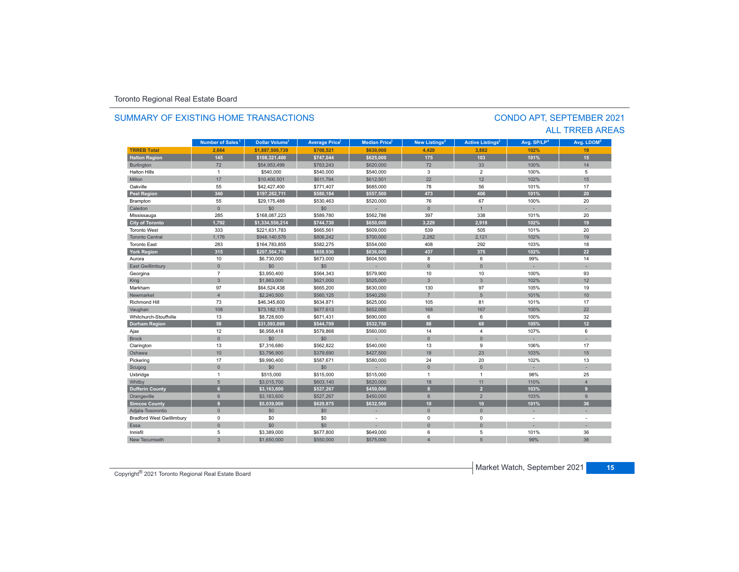### **TRREB Total 2,664 \$1,887,500,739 \$708,521 \$630,000 4,420 3,882 102%102%** 19 **Halton Region 145 \$108,321,400 \$747,044 \$625,000 175 103 101% 15** Burlington 72 \$54,953,499 \$763,243 \$620,000 72 33 100% 14 Halton Hills $\sim$  1 \$540,000 \$540,000 \$540,000 3 2 100% 5 Miltonn | 17 | \$10,400,501 | \$611,794 | \$612,501 | 22 | 12 102% 102% 15 Oakvillee 55 \$42,427,400 \$771,407 \$685,000 78 56 101% 101% 17 **Peel Region 340 \$197,262,711 \$580,184 \$557,500 473 406 101% 20** Brampton 55 \$29,175,488 \$530,463 \$520,000 76 67 100% 20 Caledonn 1 - 0 1 - 50 - 50 - 1 - 1 - 1 - 1 - 1 - 1 Mississauga 285 \$168,087,223 \$589,780 \$562,786 397 338 101% 20 **City of Toronto 1,792 \$1,334,556,214 \$744,730 \$650,000 3,229 2,918 102% 19** Toronto West 333 $$221,631,783$   $$665,561$   $$609,000$   $$539$  505 101% 20 Toronto Central1,176 \$948,140,576 \$806,242 \$700,000 2,282 2,121 102% كال المسابق المستخدمات المستخدمات المستخدمات ا 102% 19 Toronto East 283 \$164,783,855 \$582,275 \$554,000 408 292 103%% 18 **York Region 315 \$207,564,716 \$658,936 \$636,000 437 375 102% 22** Aurora10 \$6,730,000 \$673,000 \$673,000 \$604,500 \$604,500 \$604,500 \$604,500 \$6 6 6 99% 99% 14 East Gwillimbury 0 \$0 \$0 - 0 0 - - Georgina 7 \$3,950,400 \$564,343 \$579,900 10 10 100% 93 King 3 | \$1,863,000 | \$621,000 | \$525,000 | 3 | 3 102% 12 Markhamm 97 \$64,524,438 \$665,200 \$630,000 130 97 105% 105% 19 Newmarket $\frac{1}{4}$  \$2,240,500 \$560,125 \$540,250 7 5 101%101% 10 Richmond Hill 73 \$46,345,600 \$634,871 \$625,000 105 81 101%% 17 Vaughan 108 |\$73,182,178 \$677,613 \$652,000 |\$168 |\$167 |\$100% |\$22 Whitchurch-Stouffville 13 \$8,728,600 \$671,431 \$690,000 6 6 100% 32 **Durham Region 58 \$31,593,098 \$544,709 \$532,750 88 68 105% 12** Ajax 12 \$6,958,418 \$579,868 \$560,000 14 4 107% 6 Brock 0 \$0 \$0 - 0 0 - - Clarington 13 (13 (13,316,680 \$562,822 \$540,000 13 9 106% 106% 17 13 9 Oshawa10 \$3,796,900 \$3,796,900 \$427,500 \$427,500 \$18 23 103% a 103% 15 Pickering 17 \$9,990,400 \$587,671 \$580,000 24 20 102% 13 Scugog 0 \$0 \$0 - 0 0 - - Uxbridge 1 \$515,000 \$515,000 \$515,000 1 1 98% 25 Whitby 5 \$3,015,700 \$603,140 \$620,000 18 11 110% 4 **Dufferin County 6 \$3,163,600 \$527,267 \$450,000 8 2 103% 9** Orangeville 6 \$3,163,600 \$527,267 \$450,000 8 2 103% 9 **Simcoe County 8 \$5,039,000 \$629,875 \$632,500 10 10 101% 36** Adjala-Tosorontio 0 \$0 \$0 - 0 0 - - Bradford West Gwillimbury 0 \$0 \$0 - 0 0 - - Essaa dia 1980 - Aniso ao amin'ny faritr'i Nouvelle-Aquitaine, ao amin'ny faritr'i Nouvelle-Aquitaine, ao amin'ny Innisfil 5 \$3,389,000 \$677,800 \$649,000 6 5 101% 36 New Tecumseth 3 \$1,650,000 \$550,000 \$575,000 4 5 99%**99%** 36 **Municipality Number of Sales Dollar Volume Average Price Median Price New Listings Active Listings Avg. SP/LP Avg. LDOM** SUMMARY OF EXISTING HOME TRANSACTIONS**Number of Sales<sup>1</sup> 1 1 1 2 3 4 5**

### CONDO APT, SEPTEMBER 2021 ALL TRREB AREAS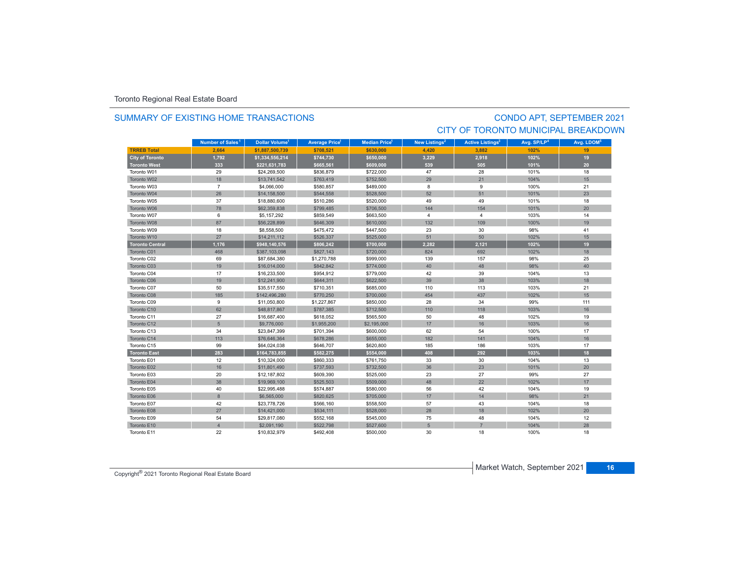### SUMMARY OF EXISTING HOME TRANSACTIONS

## CONDO APT, SEPTEMBER 2021 CITY OF TORONTO MUNICIPAL BREAKDOWN

|                        | Number of Sales <sup>1</sup> | Dollar Volume <sup>1</sup> | <b>Average Price</b> | <b>Median Price</b> <sup>1</sup> | New Listings <sup>2</sup> | <b>Active Listings<sup>3</sup></b> | Avg. SP/LP <sup>4</sup> | Avg. LDOM <sup>5</sup> |
|------------------------|------------------------------|----------------------------|----------------------|----------------------------------|---------------------------|------------------------------------|-------------------------|------------------------|
| <b>TRREB Total</b>     | 2.664                        | \$1,887,500,739            | \$708,521            | \$630,000                        | 4.420                     | 3.882                              | 102%                    | 19                     |
| <b>City of Toronto</b> | 1,792                        | \$1,334,556,214            | \$744,730            | \$650,000                        | 3,229                     | 2,918                              | 102%                    | 19                     |
| <b>Toronto West</b>    | 333                          | \$221,631,783              | \$665,561            | \$609,000                        | 539                       | 505                                | 101%                    | 20                     |
| Toronto W01            | 29                           | \$24,269,500               | \$836,879            | \$722,000                        | 47                        | 28                                 | 101%                    | 18                     |
| Toronto W02            | 18                           | \$13,741,542               | \$763,419            | \$752,500                        | 29                        | 21                                 | 104%                    | 15                     |
| Toronto W03            | $\overline{7}$               | \$4,066,000                | \$580,857            | \$489,000                        | 8                         | 9                                  | 100%                    | 21                     |
| Toronto W04            | 26                           | \$14,158,500               | \$544,558            | \$528,500                        | 52                        | 51                                 | 101%                    | 23                     |
| Toronto W05            | 37                           | \$18,880,600               | \$510,286            | \$520,000                        | 49                        | 49                                 | 101%                    | 18                     |
| Toronto W06            | 78                           | \$62,359,838               | \$799,485            | \$706,500                        | 144                       | 154                                | 101%                    | 20                     |
| Toronto W07            | 6                            | \$5,157,292                | \$859,549            | \$663,500                        | $\overline{4}$            | $\overline{4}$                     | 103%                    | 14                     |
| Toronto W08            | 87                           | \$56,228,899               | \$646,309            | \$610,000                        | 132                       | 109                                | 100%                    | 19                     |
| Toronto W09            | 18                           | \$8,558,500                | \$475,472            | \$447,500                        | 23                        | 30                                 | 98%                     | 41                     |
| Toronto W10            | 27                           | \$14,211,112               | \$526,337            | \$525,000                        | 51                        | 50                                 | 102%                    | 15                     |
| <b>Toronto Central</b> | 1,176                        | \$948,140,576              | \$806,242            | \$700,000                        | 2,282                     | 2,121                              | 102%                    | 19                     |
| Toronto C01            | 468                          | \$387,103,098              | \$827,143            | \$720,000                        | 824                       | 692                                | 102%                    | 18                     |
| Toronto C02            | 69                           | \$87,684,380               | \$1,270,788          | \$999,000                        | 139                       | 157                                | 98%                     | 25                     |
| Toronto C03            | 19                           | \$16,014,000               | \$842,842            | \$774,000                        | 40                        | 48                                 | 98%                     | 40                     |
| Toronto C04            | 17                           | \$16,233,500               | \$954,912            | \$779,000                        | 42                        | 39                                 | 104%                    | 13                     |
| Toronto C06            | 19                           | \$12,241,900               | \$644,311            | \$622,500                        | 39                        | 38                                 | 103%                    | 18                     |
| Toronto C07            | 50                           | \$35,517,550               | \$710,351            | \$685,000                        | 110                       | 113                                | 103%                    | 21                     |
| Toronto C08            | 185                          | \$142,496,280              | \$770,250            | \$700,000                        | 454                       | 437                                | 102%                    | 15                     |
| Toronto C09            | 9                            | \$11,050,800               | \$1,227,867          | \$850,000                        | 28                        | 34                                 | 99%                     | 111                    |
| Toronto C10            | 62                           | \$48,817,867               | \$787,385            | \$712,500                        | 110                       | 118                                | 103%                    | 16                     |
| Toronto C11            | 27                           | \$16,687,400               | \$618,052            | \$565,500                        | 50                        | 48                                 | 102%                    | 19                     |
| Toronto C12            | $5\overline{5}$              | \$9,776,000                | \$1,955,200          | \$2,195,000                      | 17                        | 16                                 | 103%                    | 16                     |
| Toronto C13            | 34                           | \$23,847,399               | \$701,394            | \$600,000                        | 62                        | 54                                 | 100%                    | 17                     |
| Toronto C14            | 113                          | \$76,646,364               | \$678,286            | \$655,000                        | 182                       | 141                                | 104%                    | 16                     |
| Toronto C15            | 99                           | \$64,024,038               | \$646,707            | \$620,800                        | 185                       | 186                                | 103%                    | 17                     |
| <b>Toronto East</b>    | 283                          | \$164,783,855              | \$582,275            | \$554,000                        | 408                       | 292                                | 103%                    | 18                     |
| Toronto E01            | 12                           | \$10,324,000               | \$860,333            | \$761,750                        | 33                        | 30                                 | 104%                    | 13                     |
| Toronto E02            | 16                           | \$11,801,490               | \$737,593            | \$732,500                        | 36                        | 23                                 | 101%                    | 20                     |
| Toronto E03            | 20                           | \$12,187,802               | \$609,390            | \$525,000                        | 23                        | 27                                 | 99%                     | 27                     |
| Toronto E04            | 38                           | \$19,969,100               | \$525,503            | \$509,000                        | 48                        | 22                                 | 102%                    | 17                     |
| Toronto E05            | 40                           | \$22,995,488               | \$574,887            | \$580,000                        | 56                        | 42                                 | 104%                    | 19                     |
| Toronto E06            | 8                            | \$6,565,000                | \$820,625            | \$705,000                        | 17                        | 14                                 | 98%                     | 21                     |
| Toronto E07            | 42                           | \$23,778,726               | \$566,160            | \$558,500                        | 57                        | 43                                 | 104%                    | 18                     |
| Toronto E08            | 27                           | \$14,421,000               | \$534,111            | \$528,000                        | 28                        | 18                                 | 102%                    | 20                     |
| Toronto E09            | 54                           | \$29,817,080               | \$552,168            | \$545,000                        | 75                        | 48                                 | 104%                    | 12                     |
| Toronto E10            | $\overline{4}$               | \$2,091,190                | \$522,798            | \$527,600                        | 5                         |                                    | 104%                    | 28                     |
| Toronto E11            | 22                           | \$10,832,979               | \$492.408            | \$500,000                        | 30                        | 18                                 | 100%                    | 18                     |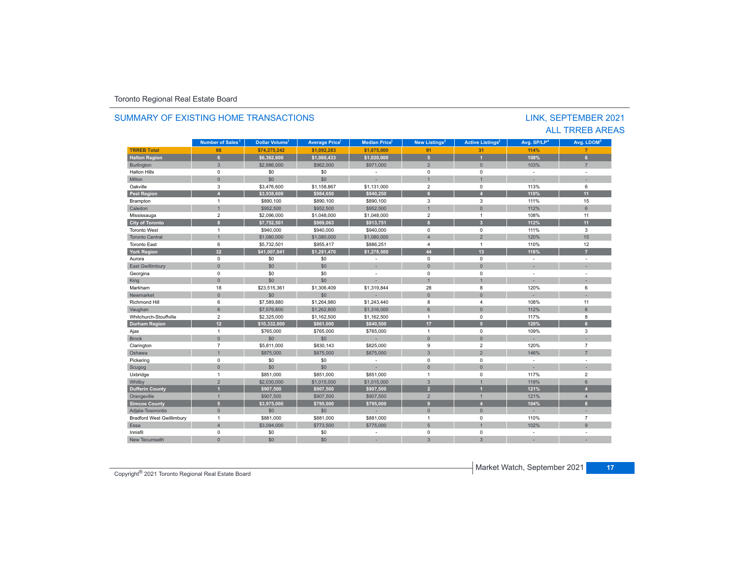| SUMMARY OF EXISTING HOME TRANSACTIONS |                              |                                  |                      |                           |                           |                                    |                         | LINK, SEPTEMBER 2021<br><b>ALL TRREB AREAS</b> |
|---------------------------------------|------------------------------|----------------------------------|----------------------|---------------------------|---------------------------|------------------------------------|-------------------------|------------------------------------------------|
|                                       | Number of Sales <sup>1</sup> | <b>Dollar Volume<sup>1</sup></b> | <b>Average Price</b> | Median Price <sup>1</sup> | New Listings <sup>2</sup> | <b>Active Listings<sup>3</sup></b> | Avg. SP/LP <sup>4</sup> | Ava. LDOM <sup>5</sup>                         |
| <b>TRREB Total</b>                    | 68                           | \$74,275,242                     | \$1,092,283          | \$1.075.000               | 91                        | 31                                 | 114%                    | $\overline{7}$                                 |
| <b>Halton Region</b>                  | 6 <sup>1</sup>               | \$6.362.600                      | \$1.060.433          | \$1,020,000               | 5 <sup>1</sup>            | и                                  | 108%                    | 6                                              |
| Burlington                            | $\mathbf{3}$                 | \$2,886,000                      | \$962,000            | \$971,000                 | $\overline{2}$            | $\overline{0}$                     | 103%                    | $\overline{7}$                                 |
| <b>Halton Hills</b>                   | $\mathbf 0$                  | \$0                              | \$0                  |                           | $\mathbf 0$               | $\mathbf 0$                        | $\overline{a}$          | $\overline{\phantom{a}}$                       |
| Milton                                | $\mathbf{0}$                 | \$0                              | \$0                  |                           | $\overline{1}$            |                                    | ×.                      |                                                |
| Oakville                              | 3                            | \$3,476,600                      | \$1,158,867          | \$1,131,000               | $\overline{2}$            | $\mathbf 0$                        | 113%                    | 6                                              |
| <b>Peel Region</b>                    | $\overline{A}$               | \$3.938.600                      | \$984.650            | \$940.250                 | 6 <sup>1</sup>            | $\overline{A}$                     | 110%                    | 11                                             |
| Brampton                              | $\mathbf{1}$                 | \$890,100                        | \$890,100            | \$890,100                 | 3                         | 3                                  | 111%                    | 15                                             |
| Caledon                               | $\overline{1}$               | \$952,500                        | \$952,500            | \$952,500                 | $\overline{1}$            | $\Omega$                           | 112%                    | $6\phantom{1}$                                 |
| Mississauga                           | $\overline{2}$               | \$2,096,000                      | \$1,048,000          | \$1,048,000               | $\overline{2}$            | $\mathbf{1}$                       | 108%                    | 11                                             |
| <b>City of Toronto</b>                | $\mathbf{a}$                 | \$7,752,501                      | \$969,063            | \$913,751                 | $\mathbf{a}$              | $\overline{\mathbf{3}}$            | 112%                    | 11                                             |
| <b>Toronto West</b>                   | $\mathbf{1}$                 | \$940,000                        | \$940,000            | \$940,000                 | $\mathbf 0$               | $\mathbf 0$                        | 111%                    | 3                                              |
| <b>Toronto Central</b>                |                              | \$1,080,000                      | \$1,080,000          | \$1,080,000               | $\overline{\mathbf{A}}$   | $\overline{2}$                     | 120%                    | 15                                             |
| <b>Toronto East</b>                   | 6                            | \$5,732,501                      | \$955,417            | \$886.251                 | $\overline{4}$            | $\overline{1}$                     | 110%                    | 12                                             |
| <b>York Region</b>                    | 32                           | \$41,007,041                     | \$1,281,470          | \$1,278,500               | 44                        | 13                                 | 116%                    | $\overline{7}$                                 |
| Aurora                                | $\mathbf 0$                  | \$0                              | \$0                  | $\sim$                    | $\mathbf 0$               | $\mathbf 0$                        | $\sim$                  | $\sim$                                         |
| East Gwillimbury                      | $\mathbf{0}$                 | \$0                              | \$0                  |                           | $\mathbf{0}$              | $\overline{0}$                     |                         |                                                |
| Georgina                              | $\mathbf 0$                  | \$0                              | \$0                  | $\sim$                    | $\mathbf 0$               | $\mathbf 0$                        | $\sim$                  | $\sim$                                         |
| King                                  | $\mathbf{0}$                 | \$0                              | \$0                  |                           | $\overline{1}$            | $\overline{1}$                     |                         |                                                |
| Markham                               | 18                           | \$23,515,361                     | \$1,306,409          | \$1,319,844               | 28                        | 8                                  | 120%                    | 6                                              |
| Newmarket                             | $\mathbf{0}$                 | \$0                              | \$0                  |                           | $\Omega$                  | $\Omega$                           |                         |                                                |
| <b>Richmond Hill</b>                  | 6                            | \$7,589,880                      | \$1,264,980          | \$1,243,440               | 8                         | $\overline{4}$                     | 108%                    | 11                                             |
| Vaughan                               | 6                            | \$7,576,800                      | \$1,262,800          | \$1,316,000               | 6                         | $\mathbf{0}$                       | 112%                    | 6                                              |
| Whitchurch-Stouffville                | $\overline{2}$               | \$2,325,000                      | \$1,162,500          | \$1,162,500               | $\mathbf{1}$              | $\mathbf 0$                        | 117%                    | 8                                              |
| <b>Durham Region</b>                  | 12                           | \$10,332,000                     | \$861,000            | \$840.500                 | 17                        | $\overline{5}$                     | 120%                    | 6                                              |
| Ajax                                  | $\mathbf{1}$                 | \$765,000                        | \$765,000            | \$765,000                 | $\mathbf{1}$              | $\mathbf 0$                        | 109%                    | 3                                              |
| <b>Brock</b>                          | $\mathbf{0}$                 | \$0                              | \$0                  |                           | $\overline{0}$            | $\Omega$                           |                         |                                                |
| Clarington                            | $\overline{7}$               | \$5,811,000                      | \$830,143            | \$825,000                 | 9                         | $\overline{2}$                     | 120%                    | $\overline{7}$                                 |
| Oshawa                                | $\overline{1}$               | \$875,000                        | \$875,000            | \$875,000                 | $\overline{3}$            | $\overline{2}$                     | 146%                    | $\overline{7}$                                 |
| Pickering                             | $\mathbf 0$                  | \$0                              | \$0                  | ÷                         | $\Omega$                  | $\mathbf 0$                        | $\sim$                  | $\overline{a}$                                 |
| Scugog                                | $\mathbf{0}$                 | \$0                              | \$0                  |                           | $\Omega$                  | $\Omega$                           |                         | ÷                                              |
| Uxbridge                              | $\overline{1}$               | \$851,000                        | \$851,000            | \$851,000                 | $\overline{1}$            | $\Omega$                           | 117%                    | $\overline{2}$                                 |
| Whitby                                | $\overline{2}$               | \$2,030,000                      | \$1,015,000          | \$1,015,000               | $\mathbf{3}$              | $\overline{1}$                     | 119%                    | 6                                              |
| <b>Dufferin County</b>                | и                            | \$907.500                        | \$907.500            | \$907.500                 | $\overline{2}$            |                                    | 121%                    | $\overline{4}$                                 |
| Orangeville                           | $\mathbf{1}$                 | \$907,500                        | \$907,500            | \$907,500                 | $\overline{2}$            | $\overline{1}$                     | 121%                    | $\overline{4}$                                 |
| <b>Simcoe County</b>                  | 5 <sup>1</sup>               | \$3.975.000                      | \$795.000            | \$795.000                 | $\overline{9}$            | $\overline{A}$                     | 104%                    | $\mathbf{8}$                                   |
| Adjala-Tosorontio                     | $\mathbf{0}$                 | \$0                              | \$0                  |                           | $\mathbf{0}$              | $\overline{0}$                     | L.                      |                                                |
| <b>Bradford West Gwillimbury</b>      | $\mathbf{1}$                 | \$881,000                        | \$881,000            | \$881,000                 | $\mathbf{1}$              | $\mathbf 0$                        | 110%                    | $\overline{7}$                                 |
| Essa                                  | $\overline{4}$               | \$3,094,000                      | \$773,500            | \$775,000                 | 5                         | $\overline{1}$                     | 102%                    | $\overline{9}$                                 |
| Innisfil                              | $\mathbf 0$                  | \$0                              | \$0                  |                           | $\Omega$                  | $\Omega$                           |                         | $\sim$                                         |
| <b>New Tecumseth</b>                  | $\Omega$                     | \$0                              | \$0                  |                           | 3                         | $\overline{3}$                     |                         |                                                |

# SUMMARY OF EXISTING HOME TRANSACTIONS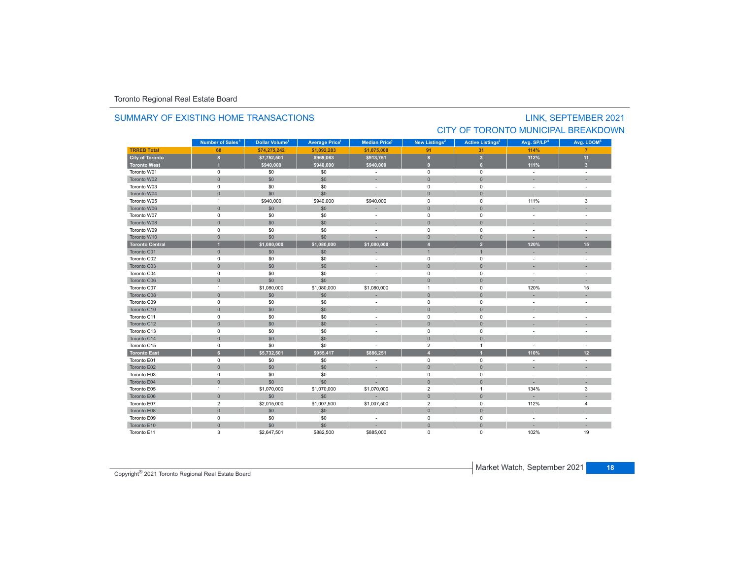# SUMMARY OF EXISTING HOME TRANSACTIONS

## LINK, SEPTEMBER 2021 CITY OF TORONTO MUNICIPAL BREAKDOWN

|                        | Number of Sales <sup>1</sup> | Dollar Volume <sup>1</sup> | <b>Average Price<sup>1</sup></b> | <b>Median Price</b> <sup>1</sup> | New Listings <sup>2</sup> | <b>Active Listings<sup>3</sup></b> | Avg. SP/LP <sup>4</sup>  | Avg. LDOM <sup>5</sup> |
|------------------------|------------------------------|----------------------------|----------------------------------|----------------------------------|---------------------------|------------------------------------|--------------------------|------------------------|
| <b>TRREB Total</b>     | 68                           | \$74.275.242               | \$1.092.283                      | \$1,075,000                      | 91                        | 31                                 | 114%                     |                        |
| City of Toronto        | $\bf{8}$                     | \$7,752,501                | \$969,063                        | \$913,751                        | 8                         | $\overline{\mathbf{3}}$            | 112%                     | 11                     |
| <b>Toronto West</b>    | и                            | \$940,000                  | \$940,000                        | \$940,000                        | $\overline{0}$            | $\overline{0}$                     | 111%                     | 3 <sup>2</sup>         |
| Toronto W01            | $\mathbf 0$                  | \$0                        | \$0                              |                                  | $\pmb{0}$                 | $\pmb{0}$                          | $\sim$                   | $\sim$                 |
| Toronto W02            | $\mathbf{0}$                 | \$0                        | \$0                              |                                  | $\mathbf{0}$              | $\mathbf{0}$                       |                          |                        |
| Toronto W03            | $\mathbf 0$                  | \$0                        | \$0                              | ÷.                               | $\mathbf 0$               | $\mathbf 0$                        | $\sim$                   |                        |
| Toronto W04            | $\mathbf{0}$                 | \$0                        | \$0                              |                                  | $\overline{0}$            | $\mathbf{0}$                       |                          |                        |
| Toronto W05            | $\mathbf{1}$                 | \$940,000                  | \$940,000                        | \$940,000                        | $\pmb{0}$                 | $\mathsf 0$                        | 111%                     | 3                      |
| Toronto W06            | $\mathbf{0}$                 | \$0                        | \$0                              |                                  | $\mathbf{0}$              | $\mathbf{0}$                       |                          |                        |
| Toronto W07            | $\mathsf 0$                  | \$0                        | \$0                              |                                  | $\pmb{0}$                 | $\mathsf 0$                        |                          |                        |
| Toronto W08            | $\mathbf{0}$                 | \$0                        | \$0                              |                                  | $\mathbf{0}$              | $\mathbf{0}$                       |                          |                        |
| Toronto W09            | $\mathbf 0$                  | \$0                        | \$0                              | $\sim$                           | $\mathbf 0$               | $\mathbf 0$                        | ÷                        |                        |
| Toronto W10            | $\mathbf{0}$                 | \$0                        | \$0                              |                                  | $\mathbf{0}$              | $\mathbf{0}$                       |                          |                        |
| <b>Toronto Central</b> | $\overline{1}$               | \$1,080,000                | \$1,080,000                      | \$1,080,000                      | $\overline{4}$            | $\overline{2}$                     | 120%                     | 15                     |
| Toronto C01            | $\mathbf{0}$                 | \$0                        | \$0                              |                                  | $\overline{1}$            | $\overline{1}$                     |                          |                        |
| Toronto C02            | $\mathsf 0$                  | \$0                        | \$0                              | ÷.                               | $\pmb{0}$                 | $\mathsf 0$                        | $\sim$                   |                        |
| Toronto C03            | $\mathbf{0}$                 | \$0                        | \$0                              |                                  | $\mathbf{0}$              | $\mathbf{0}$                       |                          |                        |
| Toronto C04            | $\mathsf 0$                  | \$0                        | \$0                              | $\sim$                           | $\pmb{0}$                 | $\mathsf 0$                        | ÷                        |                        |
| Toronto C06            | $\mathbf{0}$                 | \$0                        | \$0                              |                                  | $\mathbf{0}$              | $\mathbf{0}$                       |                          |                        |
| Toronto C07            | $\mathbf{1}$                 | \$1,080,000                | \$1,080,000                      | \$1,080,000                      | $\mathbf{1}$              | $\mathsf 0$                        | 120%                     | 15                     |
| Toronto C08            | $\mathbf{0}$                 | \$0                        | \$0                              |                                  | $\mathbf{0}$              | $\mathbf{0}$                       |                          |                        |
| Toronto C09            | 0                            | \$0                        | \$0                              |                                  | $\mathbf 0$               | $\mathbf 0$                        | $\overline{\phantom{a}}$ |                        |
| Toronto C10            | $\mathbf{0}$                 | \$0                        | \$0                              |                                  | $\mathbf{0}$              | $\mathbf{0}$                       | ×.                       |                        |
| Toronto C11            | 0                            | \$0                        | \$0                              | $\sim$                           | $\mathbf 0$               | $\mathbf 0$                        | $\sim$                   | $\sim$                 |
| Toronto C12            | $\mathbf{0}$                 | \$0                        | \$0                              |                                  | $\mathbf{0}$              | $\mathbf{0}$                       |                          |                        |
| Toronto C13            | $\mathsf 0$                  | \$0                        | \$0                              |                                  | $\mathbf 0$               | $\mathbf 0$                        | $\sim$                   |                        |
| Toronto C14            | $\mathbf{0}$                 | \$0                        | \$0                              |                                  | $\mathbf{0}$              | $\mathbf{0}$                       |                          |                        |
| Toronto C15            | 0                            | \$0                        | \$0                              |                                  | $\overline{2}$            | $\overline{1}$                     | $\sim$                   | $\sim$                 |
| <b>Toronto East</b>    | 6 <sup>1</sup>               | \$5,732,501                | \$955,417                        | \$886.251                        | $\overline{4}$            |                                    | 110%                     | 12                     |
| Toronto E01            | $\mathsf 0$                  | \$0                        | \$0                              | ÷.                               | $\pmb{0}$                 | $\mathsf 0$                        | ÷                        |                        |
| Toronto E02            | $\mathsf{O}\xspace$          | \$0                        | \$0                              | ×.                               | $\mathbf{0}$              | $\mathbf 0$                        | ×.                       |                        |
| Toronto E03            | $\mathbf 0$                  | \$0                        | \$0                              |                                  | 0                         | $\mathbf 0$                        | $\sim$                   |                        |
| Toronto E04            | $\mathbf{0}$                 | \$0                        | \$0                              |                                  | $\mathbf{0}$              | $\mathbf{0}$                       | ÷                        |                        |
| Toronto E05            | $\mathbf{1}$                 | \$1,070,000                | \$1,070,000                      | \$1,070,000                      | $\overline{2}$            | $\overline{1}$                     | 134%                     | 3                      |
| Toronto E06            | $\mathbf{0}$                 | \$0                        | \$0                              |                                  | $\mathbf 0$               | $\mathbf{0}$                       |                          |                        |
| Toronto E07            | $\overline{2}$               | \$2,015,000                | \$1,007,500                      | \$1,007,500                      | $\overline{2}$            | $\mathsf 0$                        | 112%                     | $\overline{4}$         |
| Toronto E08            | $\mathbf{0}$                 | \$0                        | \$0                              |                                  | $\pmb{0}$                 | $\mathbf 0$                        |                          |                        |
| Toronto E09            | $\mathsf 0$                  | \$0                        | \$0                              |                                  | $\pmb{0}$                 | $\mathbf 0$                        | $\sim$                   |                        |
| Toronto E10            | $\mathbf{0}$                 | \$0                        | \$0                              |                                  | $\mathbf{0}$              | $\mathbf{0}$                       |                          |                        |
| Toronto E11            | 3                            | \$2,647,501                | \$882,500                        | \$885,000                        | $\Omega$                  | $\Omega$                           | 102%                     | 19                     |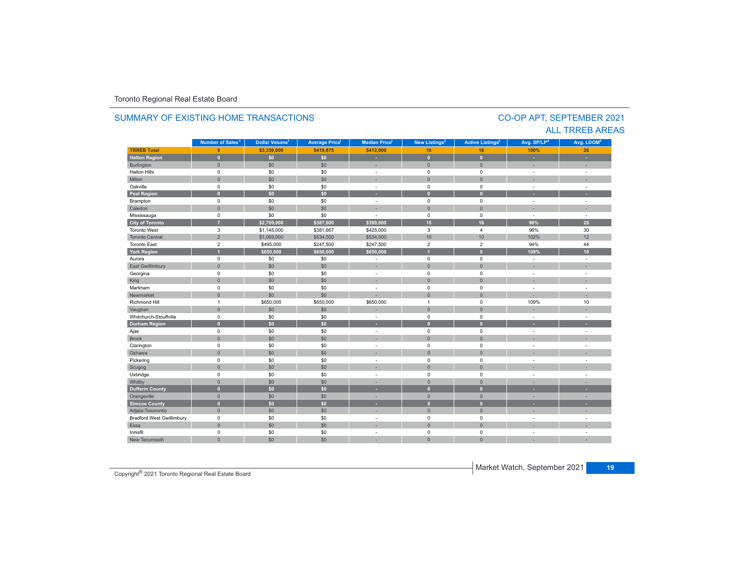### **TRREB Total 8 \$3,359,000 \$419,875 \$412,000 16 16 100% 26 Halton Region 0 \$0 \$0 - 0 0 - -** Burlington 0 \$0 \$0 | = 0 | = | = Halton Hills 0 \$0 \$0 - 0 0 - - Miltonn 1980 - 1990 - 1991 - 1991 - 1991 - 1992 - 1993 - 1994 - 1994 - 1994 - 1994 - 1994 - 1994 - 1994 - 1994 - 199 Oakville<br>Peel Region e 0 \$0 \$0 - 0 0 - -**Peel Region 0 \$0 \$0 - 0 0 - -** Brampton 0 \$0 \$0 - 0 0 - - Caledonn 1980 - 1980 - 1980 - 1981 - 1981 - 1982 - 1983 - 1984 - 1986 - 1986 - 1987 - 1988 - 1988 - 1988 - 1988 - 198 Mississauga 0 \$0 \$0 - 0 0 - - **City of Toronto 7 \$2,709,000 \$387,000 \$399,000 15 16 98% 29** Toronto West 3 \$1,145,000 \$381,667 \$425,000 3 4 96%96% 30<br>102% 12 Toronto Central 2 \$1,069,000 \$534,500 \$534,500 10 10 102% 12 Toronto East 2 \$495,000 \$247,500 \$247,500 2 2 94%94% 44 **York Region 1 \$650,000 \$650,000 \$650,000 1 0 109% 10** Aurora 0 \$0 \$0 - 0 0 - - East Gwillimbury 0 \$0 \$0 - 0 0 - - Georgina 0 \$0 \$0 - 0 0 - - King the second term of the second term of the second term of the second term of the second term of the second Markham 0 \$0 \$0 - 0 0 - - Newmarket 0 \$0 \$0 - 0 0 - - Richmond Hill 1 \$650,000 \$650,000 \$650,000 1 0 109%% 10 Vaughan 1980 (1980) (1980) (1980) (1980) (1980) (1980) (1980) (1980) (1980) (1980) (1980) (1980) (1980) (1980) Whitchurch-Stouffvillee 0 \$0 \$0 - 0 0 - -**Durham Region 0 \$0 \$0 - 0 0 - -** Ajax 0 \$0 \$0 - 0 0 - - Brock 0 \$0 \$0 - 0 0 - - Clarington 0 \$0 \$0 - 0 0 - - Oshawaa dia 1980 - Aniso ao amin'ny faritr'i Nouvelle-Aquitaine, ao amin'ny faritr'i Nouvelle-Aquitaine, ao amin'ny المال المسابق التي يقوم المسابق التي يقوم التي يقوم التي يقوم التي يقوم التي تعالى التي يقوم التي تعالى التي ي<br>التي يقوم التي يقوم التي يقوم التي يقوم التي يقوم التي يقوم التي يقوم التي يقوم التي يقوم التي يقوم التي يقوم Scugog 0 \$0 \$0 - 0 0 - - Uxbridge 0 \$0 \$0 - 0 0 - - Whitby 0 \$0 \$0 - 0 0 - - **Dufferin County 0 \$0 \$0 - 0 0 - -** Orangeville 0 \$0 \$0 - 0 0 - - **Simcoe County 0 \$0 \$0 - 0 0 - -** Adjala-Tosorontio 0 \$0 \$0 - 0 0 - - Bradford West Gwillimbury 0 \$0 \$0 - 0 0 - - Essaa dia 1980 - Aniso ao amin'ny faritr'i Nouvelle-Aquitaine, ao amin'ny faritr'i Nouvelle-Aquitaine, ao amin'ny Innisfil 0 \$0 \$0 - 0 0 - - New Tecumseth**Municipality Number of Sales Dollar Volume Average Price Median Price New Listings Active Listings Avg. SP/LP Avg. LDOM** Number of Sales<sup>1</sup> **1** Dollar Volume<sup>1</sup> | Average Price<sup>1</sup> | Median Price<sup>1</sup> | New Listings<sup>2</sup> | Active Listings<sup>3</sup> | Avg. SP/LP<sup>4</sup> | Avg. LDOM<sup>5</sup>

0 \$0 \$0 - 0 0 - -

### SUMMARY OF EXISTING HOME TRANSACTIONS

### CO-OP APT, SEPTEMBER 2021 ALL TRREB AREAS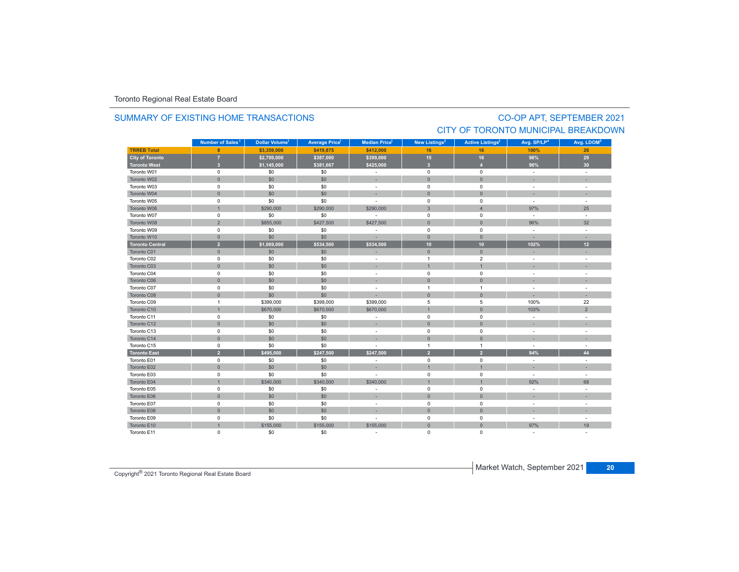### SUMMARY OF EXISTING HOME TRANSACTIONS

## CO-OP APT, SEPTEMBER 2021 CITY OF TORONTO MUNICIPAL BREAKDOWN

|                        | Number of Sales <sup>1</sup> | Dollar Volume <sup>1</sup> | <b>Average Price<sup>1</sup></b> | Median Price <sup>1</sup> | New Listings <sup>2</sup> | <b>Active Listings<sup>3</sup></b> | Avg. SP/LP <sup>4</sup>  | Avg. LDOM <sup>5</sup> |
|------------------------|------------------------------|----------------------------|----------------------------------|---------------------------|---------------------------|------------------------------------|--------------------------|------------------------|
| <b>TRREB Total</b>     | 8                            | \$3,359,000                | \$419,875                        | \$412,000                 | 16                        | 16                                 | 100%                     | 26                     |
| <b>City of Toronto</b> | $\overline{7}$               | \$2,709,000                | \$387,000                        | \$399,000                 | 15                        | 16                                 | 98%                      | 29                     |
| <b>Toronto West</b>    | $\overline{\mathbf{3}}$      | \$1,145,000                | \$381,667                        | \$425,000                 | $\overline{\mathbf{3}}$   | $\overline{4}$                     | 96%                      | 30 <sub>o</sub>        |
| Toronto W01            | $\mathsf 0$                  | \$0                        | \$0                              | $\mathcal{L}$             | $\mathbf 0$               | $\mathbf 0$                        | $\sim$                   | $\mathbf{r}$           |
| Toronto W02            | $\mathbf 0$                  | \$0                        | \$0                              | ×.                        | $\mathbf{0}$              | $\overline{0}$                     | ÷.                       |                        |
| Toronto W03            | $\mathbf 0$                  | \$0                        | \$0                              | $\sim$                    | $\mathbf 0$               | 0                                  | $\sim$                   | ÷.                     |
| Toronto W04            | $\Omega$                     | \$0                        | \$0                              | ×.                        | $\Omega$                  | $\Omega$                           |                          |                        |
| Toronto W05            | $\mathsf 0$                  | \$0                        | \$0                              | $\sim$                    | $\pmb{0}$                 | 0                                  | $\sim$                   |                        |
| Toronto W06            | $\overline{1}$               | \$290,000                  | \$290,000                        | \$290,000                 | $\mathbf{3}$              | $\overline{4}$                     | 97%                      | 25                     |
| Toronto W07            | $\mathbf 0$                  | \$0                        | \$0                              | $\sim$                    | $\mathsf 0$               | $\Omega$                           | $\sim$                   | $\mathbf{r}$           |
| Toronto W08            | $\sqrt{2}$                   | \$855,000                  | \$427,500                        | \$427,500                 | $\mathbf{0}$              | $\mathbf{0}$                       | 96%                      | 32                     |
| Toronto W09            | $\mathsf 0$                  | \$0                        | \$0                              | $\sim$                    | $\mathsf 0$               | $\mathbf 0$                        | $\sim$                   | ÷.                     |
| Toronto W10            | $\mathbf 0$                  | \$0                        | \$0                              | ×.                        | $\mathbf 0$               | $\mathbf{0}$                       | $\sim$                   | ٠                      |
| <b>Toronto Central</b> | $\overline{2}$               | \$1,069,000                | \$534,500                        | \$534,500                 | 10                        | 10                                 | 102%                     | 12                     |
| Toronto C01            | $\mathbf{0}$                 | \$0                        | \$0                              | ä,                        | $\mathbf{0}$              | $\mathbf{0}$                       | ä,                       |                        |
| Toronto C02            | $\mathsf 0$                  | \$0                        | \$0                              | $\overline{\phantom{a}}$  | $\mathbf{1}$              | $\overline{2}$                     | $\overline{\phantom{a}}$ | ÷,                     |
| Toronto C03            | $\mathbf{0}$                 | \$0                        | \$0                              | ×.                        | $\overline{1}$            |                                    |                          |                        |
| Toronto C04            | $\mathsf 0$                  | \$0                        | \$0                              | $\sim$                    | $\mathsf 0$               | $\mathbf 0$                        | ÷                        |                        |
| Toronto C06            | $\mathbf 0$                  | \$0                        | \$0                              | ×.                        | $\pmb{0}$                 | $\mathbf{0}$                       | ×                        | ×.                     |
| Toronto C07            | $\mathbf 0$                  | \$0                        | \$0                              | $\sim$                    | $\overline{1}$            | $\mathbf{1}$                       | $\overline{\phantom{a}}$ | $\overline{a}$         |
| Toronto C08            | $\mathbf 0$                  | \$0                        | \$0                              |                           | $\mathbf{0}$              | $\mathbf{0}$                       | ×.                       | ×.                     |
| Toronto C09            | $\overline{1}$               | \$399,000                  | \$399,000                        | \$399,000                 | 5                         | 5                                  | 100%                     | 22                     |
| Toronto C10            | $\overline{1}$               | \$670,000                  | \$670,000                        | \$670,000                 | $\overline{1}$            | $\overline{0}$                     | 103%                     | $\overline{2}$         |
| Toronto C11            | $\mathsf 0$                  | \$0                        | \$0                              | $\overline{\phantom{a}}$  | $\mathsf 0$               | $\mathbf 0$                        | $\overline{\phantom{a}}$ |                        |
| Toronto C12            | $\mathsf{O}$                 | \$0                        | \$0                              |                           | $\mathbf{0}$              | $\Omega$                           |                          |                        |
| Toronto C13            | $\mathbf 0$                  | \$0                        | \$0                              | $\mathcal{L}$             | $\mathbf 0$               | $\mathbf 0$                        | $\overline{\phantom{a}}$ | ÷,                     |
| Toronto C14            | $\mathbf 0$                  | \$0                        | \$0                              | ۰                         | $\mathbf{0}$              | $\mathbf{0}$                       | ۰                        |                        |
| Toronto C15            | 0                            | \$0                        | \$0                              | ۰                         | $\mathbf{1}$              | $\mathbf{1}$                       | ÷                        | ÷.                     |
| <b>Toronto East</b>    | $\overline{2}$               | \$495,000                  | \$247,500                        | \$247,500                 | $\overline{2}$            | $\overline{2}$                     | 94%                      | 44                     |
| Toronto E01            | $\mathbf 0$                  | \$0                        | \$0                              |                           | 0                         | $\mathbf 0$                        | $\overline{\phantom{a}}$ |                        |
| Toronto E02            | $\mathbf{0}$                 | \$0                        | \$0                              | ×,                        | $\overline{1}$            |                                    | ×.                       |                        |
| Toronto E03            | $\mathsf 0$                  | \$0                        | \$0                              | ٠                         | $\mathbf 0$               | $\mathbf 0$                        | $\sim$                   | ÷.                     |
| Toronto E04            | $\overline{1}$               | \$340,000                  | \$340,000                        | \$340,000                 | $\overline{1}$            |                                    | 92%                      | 68                     |
| Toronto E05            | $\mathsf 0$                  | \$0                        | \$0                              | $\sim$                    | $\mathsf 0$               | $\mathbf 0$                        | ÷.                       |                        |
| Toronto E06            | $\mathbf 0$                  | \$0                        | \$0                              | ×.                        | $\mathbf{0}$              | $\mathbf{0}$                       | ×.                       |                        |
| Toronto E07            | $\mathsf 0$                  | \$0                        | \$0                              | $\sim$                    | $\mathbf 0$               | $\mathbf 0$                        | ÷                        | ÷                      |
| Toronto E08            | $\mathbf 0$                  | \$0                        | \$0                              |                           | $\pmb{0}$                 | $\mathbf{0}$                       | ÷.                       |                        |
| Toronto E09            | $\mathsf 0$                  | \$0                        | \$0                              | ÷                         | $\mathbf 0$               | 0                                  | ÷                        | ÷,                     |
| Toronto E10            | $\overline{1}$               | \$155,000                  | \$155,000                        | \$155,000                 | $\overline{0}$            | $\overline{0}$                     | 97%                      | 19                     |
| Toronto E11            | $\mathbf 0$                  | \$0                        | \$0                              | $\sim$                    | 0                         | 0                                  |                          |                        |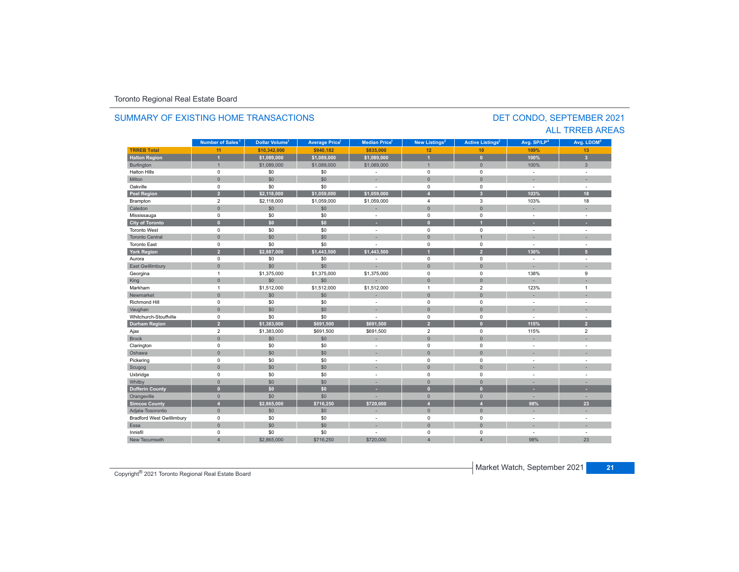### **TRREB Total 11 \$10,342,000 \$940,182 \$835,000 12 10 109%109%** 13 **Halton Region 1 \$1,089,000 \$1,089,000 \$1,089,000 1 0 100% 3** Burlington 1 : 1 : 1 : 1,089,000 \$1,089,000 \$1,089,000 \$1,089,000 \$1,009,000 1 1 1 1 1 100% 1 : 3 Halton Hills 0 \$0 \$0 - 0 0 - - Miltonn 1980 - 1990 - 1991 - 1991 - 1991 - 1992 - 1993 - 1994 - 1994 - 1994 - 1994 - 1994 - 1994 - 1994 - 1994 - 199 Oakville<br>Peel Region e 0 \$0 \$0 - 0 0 - -**Peel Region 2 \$2,118,000 \$1,059,000 \$1,059,000 4 3 103% 18** Brampton 2 \$2,118,000 \$1,059,000 4 3 103% 18 Caledonn 1980 - 1980 - 1980 - 1981 - 1981 - 1982 - 1983 - 1984 - 1986 - 1986 - 1987 - 1988 - 1988 - 1988 - 1988 - 198 Mississauga 0 \$0 \$0 - 0 0 - - **City of Toronto 0 \$0 \$0 - 0 1 - -** Toronto West 0 \$0 \$0 - 0 0 - - Toronto Central 0 \$0 \$0 - 0 1 - - Toronto East 0 \$0 \$0 - 0 0 - - **York Region 2 \$2,887,000 \$1,443,500 \$1,443,500 1 2 130% 5** Aurora 0 \$0 \$0 - 0 0 - - East Gwillimbury 0 \$0 \$0 - 0 0 - - Georgina 1 \$1,375,000 \$1,375,000 \$1,375,000 0 0 138% 9 King 0 \$0 \$0 - 0 0 - - Markham 1 \$1,512,000 \$1,512,000 \$1,512,000 1 2 123%123% 1 Newmarket 0 \$0 \$0 - 0 0 - - Richmond Hill 0 \$0 \$0 - 0 0 - - Vaughan 1980 (1980) (1980) (1980) (1980) (1980) (1980) (1980) (1980) (1980) (1980) (1980) (1980) (1980) (1980) Whitchurch-Stouffvillee 0 \$0 \$0 - 0 0 - -**Durham Region 2 \$1,383,000 \$691,500 \$691,500 2 0 115% 2** Ajax 2 \$1,383,000 \$691,500 \$691,500 2 0 115% 2 Brock 0 \$0 \$0 - 0 0 - - Clarington 0 \$0 \$0 - 0 0 - - Oshawaa dia 1980 - Aniso ao amin'ny faritr'i Nouvelle-Aquitaine, ao amin'ny faritr'i Nouvelle-Aquitaine, ao amin'ny المال المسابق التي يقوم المسابق التي يقوم التي يقوم التي يقوم التي يقوم التي تعالى التي يقوم التي تعالى التي ي<br>التي يقوم التي يقوم التي يقوم التي يقوم التي يقوم التي يقوم التي يقوم التي يقوم التي يقوم التي يقوم التي يقوم Scugog 0 \$0 \$0 - 0 0 - - Uxbridge 0 \$0 \$0 - 0 0 - - Whitby 0 \$0 \$0 - 0 0 - - **Dufferin County 0 \$0 \$0 - 0 0 - -** Orangeville 0 \$0 \$0 - 0 0 - - **Simcoe County 4 \$2,865,000 \$716,250 \$720,000 4 4 98% 23** Adjala-Tosorontio 0 \$0 \$0 - 0 0 - - Bradford West Gwillimbury 0 \$0 \$0 - 0 0 - - Essaa dia 1980 - Aniso ao amin'ny faritr'i Nouvelle-Aquitaine, ao amin'ny faritr'i Nouvelle-Aquitaine, ao amin'ny Innisfil 0 \$0 \$0 - 0 0 - - New Tecumseth98% 23 **Municipality Number of Sales Dollar Volume Average Price Median Price New Listings Active Listings Avg. SP/LP Avg. LDOM Number of Sales<sup>1</sup> 1** Dollar Volume<sup>1</sup> | Average Price<sup>1</sup> | Median Price<sup>1</sup> | New Listings<sup>2</sup> | Active Listings<sup>3</sup> | Avg. SP/LP<sup>4</sup> | Avg. LDOM<sup>5</sup>

h 4 \$2,865,000 \$716,250 \$720,000 4 98%

### SUMMARY OF EXISTING HOME TRANSACTIONS

### DET CONDO, SEPTEMBER 2021 ALL TRREB AREAS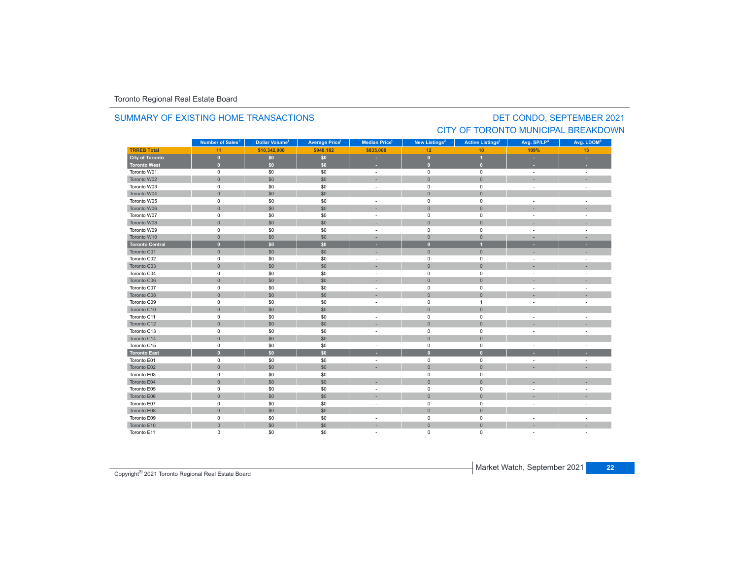### **TRREB Total 11 \$10,342,000 \$940,182 \$835,000 12 10 109%109%** 13 **City of Toronto 0 \$0 \$0 - 0 1 - - Toronto West 0 \$0 \$0 - 0 0 - -** Toronto W01 $1$  and the contract of the contract of the contract of the contract of the contract of the contract of the contract of the contract of the contract of the contract of the contract of the contract of the contract of the c Toronto W022 - 1 0 - 1 - 50 - 50 - 50 - 1 - 0 - 1 - 0 - 1 - - 1 - -Toronto W03 $\begin{matrix} 3 \end{matrix}$  and the  $\begin{matrix} 0 \end{matrix}$  of  $\begin{matrix} 60 \end{matrix}$  ,  $\begin{matrix} 50 \end{matrix}$  ,  $\begin{matrix} 50 \end{matrix}$  , and  $\begin{matrix} 0 \end{matrix}$  , and  $\begin{matrix} 0 \end{matrix}$  , and  $\begin{matrix} 0 \end{matrix}$  , and  $\begin{matrix} 0 \end{matrix}$  , and  $\begin{matrix} 0 \end{matrix}$  , and  $\begin{matrix} 0 \end{matrix}$  , Toronto W044 0 0 0 \$0 \$0 \$0 0 - 0 0 0 0 - 1 Toronto W055 0 0 - 50 50 50 - 0 0 0 - 1 Toronto W066 - 1 0 - 1 - 50 - 50 - 50 - 50 - 0 - 0 - 0 - 1 - - 1 - -Toronto W07 $\begin{matrix}7\end{matrix}$  , the contract of the contract of the contract of the contract of the contract of the contract of the contract of the contract of the contract of the contract of the contract of the contract of the contract Toronto W088 - 1 0 | \$0 | \$0 | - - | 0 | 0 | - - | -Toronto W09 $\begin{matrix} 9 & 0 & 0 \end{matrix}$  , and  $\begin{matrix} 60 & 50 \end{matrix}$  , and  $\begin{matrix} 50 & 0 \end{matrix}$  , and  $\begin{matrix} 0 & 0 \end{matrix}$  , and  $\begin{matrix} 0 & 0 \end{matrix}$  , and  $\begin{matrix} 0 & 0 \end{matrix}$  , and  $\begin{matrix} 0 & 0 \end{matrix}$  , and  $\begin{matrix} 0 & 0 \end{matrix}$  , and  $\begin{matrix} 0 & 0 \end{matrix}$  , and Toronto W10 0 \$0 \$0 - 0 0 - - **Toronto Central 0 \$0 \$0 - 0 1 - -** Toronto C01 0 \$0 \$0 - 0 0 - - Toronto C02 0 \$0 \$0 - 0 0 - - Toronto C03 0 \$0 \$0 - 0 0 - - Toronto C04 0 \$0 \$0 - 0 0 - - Toronto C06 0 \$0 \$0 - 0 0 - - Toronto C07 0 \$0 \$0 - 0 0 - - Toronto C08 0 \$0 \$0 - 0 0 - - Toronto C09 0 \$0 \$0 - 0 1 - - Toronto C10 0 \$0 \$0 - 0 0 - - Toronto C11 $\begin{matrix}0\end{matrix} \hspace{1.5cm} \begin{matrix}0\end{matrix} \hspace{1.5cm} \begin{matrix}0\end{matrix} \hspace{1.5cm} \begin{matrix}0\end{matrix} \hspace{1.5cm} \begin{matrix}0\end{matrix} \hspace{1.5cm} \begin{matrix}0\end{matrix} \hspace{1.5cm} \begin{matrix}0\end{matrix} \hspace{1.5cm} \begin{matrix}0\end{matrix} \hspace{1.5cm} \begin{matrix}0\end{matrix} \hspace{1.5cm} \begin{matrix}0\end{matrix} \hspace{1.5cm} \begin{matrix}0\end{matrix} \hspace{1.5cm}$ Toronto C12 0 \$0 \$0 - 0 0 - - Toronto C13 $\begin{matrix}3\end{matrix}$  and the  $\begin{matrix}0\end{matrix}$  of  $\begin{matrix}50\end{matrix}$  ,  $\begin{matrix}50\end{matrix}$  ,  $\begin{matrix}0\end{matrix}$  ,  $\begin{matrix}0\end{matrix}$  ,  $\begin{matrix}0\end{matrix}$  ,  $\begin{matrix}0\end{matrix}$  ,  $\begin{matrix}0\end{matrix}$  ,  $\begin{matrix}0\end{matrix}$  ,  $\begin{matrix}0\end{matrix}$  ,  $\begin{matrix}0\end{matrix}$  ,  $\begin{matrix}0\end{matrix}$  ,  $\begin{$ Toronto C14 0 \$0 \$0 - 0 0 - - Toronto C155 5 0 50 50 50 - 0 0 0 - 1 **Toronto East 0 \$0 \$0 - 0 0 - -** Toronto E01 $0$  50 50 50 - 0 0 -  $1$ Toronto E02 0 \$0 \$0 - 0 0 - - Toronto E03 $\begin{matrix} 3 \end{matrix}$  and  $\begin{matrix} 0 \end{matrix}$  and  $\begin{matrix} 50 \end{matrix}$  and  $\begin{matrix} 50 \end{matrix}$  and  $\begin{matrix} 0 \end{matrix}$  and  $\begin{matrix} 0 \end{matrix}$  and  $\begin{matrix} 0 \end{matrix}$  and  $\begin{matrix} 0 \end{matrix}$  and  $\begin{matrix} 0 \end{matrix}$  and  $\begin{matrix} 0 \end{matrix}$  and  $\begin{matrix} 0 \end{matrix}$  and  $\begin{matrix} 0 \end$ Toronto E04 0 \$0 \$0 - 0 0 - - Toronto E05 0 \$0 \$0 - 0 0 - - Toronto E066 - 1 0 - 1 30 30 30 - 1 0 0 0 0 - 1 - 1 Toronto E07 0 \$0 \$0 - 0 0 - - Toronto E088 - 0 - 1 - 50 - 50 - 50 - - 1 - 0 - 1 - 0 - 1 - - 1 - -**Municipality Number of Sales Dollar Volume Average Price Median Price New Listings Active Listings Avg. SP/LP Avg. LDOM** DET CONDO, SEPTEMBER 2021 Number of Sales<sup>1</sup> **1 1 1 2 3 4 5**

 $0$  50 50 50 - 0 0 -  $1$ 

0 \$0 \$0 - 0 0 - -

0 \$0 \$0 - 0 0 - -

### SUMMARY OF EXISTING HOME TRANSACTIONS

CITY OF TORONTO MUNICIPAL BREAKDOWN

Toronto E09

Toronto E10

Toronto E11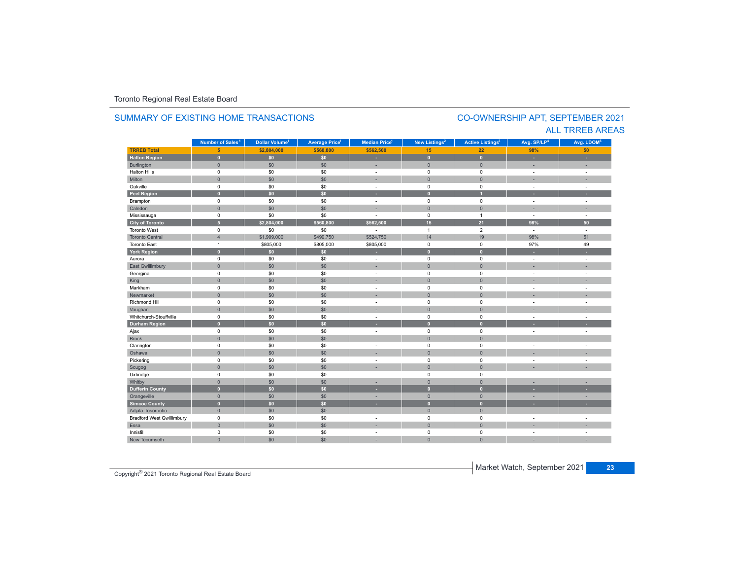### **TR5EB Total 5 \$2,804,000 \$560,800 \$562,500 15 22 98%50 Halton Region 0 \$0 \$0 - 0 0 - -** Burlington 0 \$0 \$0 | = 0 | = | = Halton Hills 0 \$0 \$0 - 0 0 - - Miltonn 1980 - 1990 - 1991 - 1991 - 1991 - 1992 - 1993 - 1994 - 1994 - 1994 - 1994 - 1994 - 1994 - 1994 - 1994 - 199 Oakville<br>Peel Region e 0 \$0 \$0 - 0 0 - -**Peel Region 0 \$0 \$0 - 0 1 - -** Brampton 0 \$0 \$0 - 0 0 - - Caledonn 1980 - 1980 - 1980 - 1981 - 1981 - 1982 - 1983 - 1984 - 1986 - 1986 - 1987 - 1988 - 1988 - 1988 - 1988 - 198 Mississauga 0 \$0 \$0 - 0 1 - - **City of Toronto 5 \$2,804,000 \$560,800 \$562,500 15 21 98% 50** Toronto West 0 $\begin{array}{ccccccccccc} 0 & \hspace{1.5cm} & \hspace{1.5cm} & \hspace{1.5cm} & \hspace{1.5cm} & \hspace{1.5cm} & \hspace{1.5cm} & \hspace{1.5cm} & \hspace{1.5cm} & \hspace{1.5cm} & \hspace{1.5cm} & \hspace{1.5cm} & \hspace{1.5cm} & \hspace{1.5cm} & \hspace{1.5cm} & \hspace{1.5cm} & \hspace{1.5cm} & \hspace{1.5cm} \end{array}$ Toronto Central 4 \$1,999,000 \$499,750 \$524,750 14 19 98%**98%** 51 Toronto Eastt 1 \$805,000 \$805,000 \$805,000 0 0 97%97% 49 **York Region 0 \$0 \$0 - 0 0 - -** Aurora 0 \$0 \$0 - 0 0 - - East Gwillimbury 0 \$0 \$0 - 0 0 - - Georgina 0 \$0 \$0 - 0 0 - - King the second term of the second term of the second term of the second term of the second term of the second Markham 0 \$0 \$0 - 0 0 - - Newmarket 0 \$0 \$0 - 0 0 - - Richmond Hill 0 \$0 \$0 - 0 0 - - Vaughan 1980 (1980) (1980) (1980) (1980) (1980) (1980) (1980) (1980) (1980) (1980) (1980) (1980) (1980) (1980) Whitchurch-Stouffvillee 0 \$0 \$0 - 0 0 - -**Durham Region 0 \$0 \$0 - 0 0 - -** Ajax 0 \$0 \$0 - 0 0 - - Brock 0 \$0 \$0 - 0 0 - - Clarington 0 \$0 \$0 - 0 0 - - Oshawaa dia 1980 - Aniso ao amin'ny faritr'i Nouvelle-Aquitaine, ao amin'ny faritr'i Nouvelle-Aquitaine, ao amin'ny المال المسابق التي يقوم المسابق التي يقوم التي يقوم التي يقوم التي يقوم التي تعالى التي يقوم التي تعالى التي ي<br>التي يقوم التي يقوم التي يقوم التي يقوم التي يقوم التي يقوم التي يقوم التي يقوم التي يقوم التي يقوم التي يقوم Scugog 0 \$0 \$0 - 0 0 - - Uxbridge 0 \$0 \$0 - 0 0 - - Whitby 0 \$0 \$0 - 0 0 - - **Dufferin County 0 \$0 \$0 - 0 0 - -** Orangeville 0 \$0 \$0 - 0 0 - - **Simcoe County 0 \$0 \$0 - 0 0 - -** Adjala-Tosorontio 0 \$0 \$0 - 0 0 - - Bradford West Gwillimbury 0 \$0 \$0 - 0 0 - - Essaa dia 1980 - Aniso ao amin'ny faritr'i Nouvelle-Aquitaine, ao amin'ny faritr'i Nouvelle-Aquitaine, ao amin'ny Innisfil 0 \$0 \$0 - 0 0 - - New Tecumseth**Municipality Number of Sales Dollar Volume Average Price Median Price New Listings Active Listings Avg. SP/LP Avg. LDOM Number of Sales<sup>1</sup> 1** Dollar Volume<sup>1</sup> | Average Price<sup>1</sup> | Median Price<sup>1</sup> | New Listings<sup>2</sup> | Active Listings<sup>3</sup> | Avg. SP/LP<sup>4</sup> | Avg. LDOM<sup>5</sup>

0 \$0 \$0 - 0 0 - -

### SUMMARY OF EXISTING HOME TRANSACTIONS

### CO-OWNERSHIP APT, SEPTEMBER 2021 ALL TRREB AREAS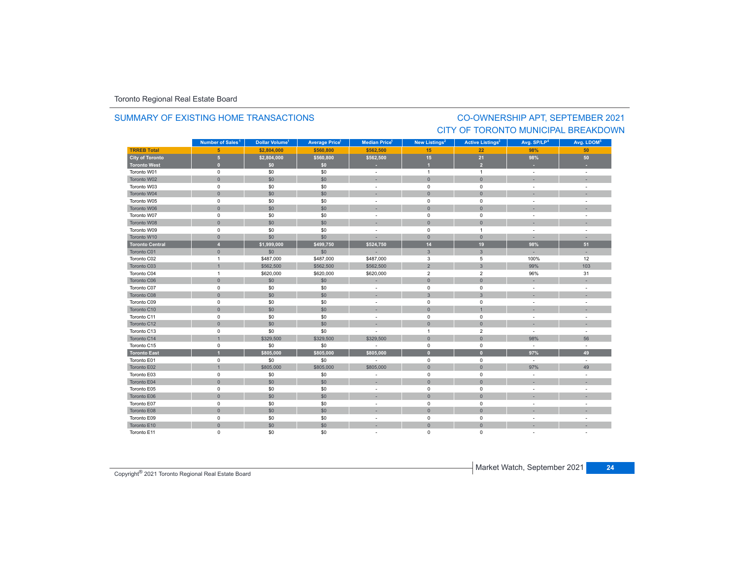### SUMMARY OF EXISTING HOME TRANSACTIONS

### CO-OWNERSHIP APT, SEPTEMBER 2021 CITY OF TORONTO MUNICIPAL BREAKDOWN

|                        | Number of Sales <sup>1</sup> | Dollar Volume <sup>1</sup> | <b>Average Price</b> <sup>1</sup> | <b>Median Price</b> <sup>1</sup> | New Listings <sup>2</sup> | <b>Active Listings<sup>3</sup></b> | Avg. SP/LP <sup>4</sup>  | Avg. LDOM <sup>5</sup>   |
|------------------------|------------------------------|----------------------------|-----------------------------------|----------------------------------|---------------------------|------------------------------------|--------------------------|--------------------------|
| <b>TRREB Total</b>     | $5\phantom{1}$               | \$2,804,000                | \$560,800                         | \$562,500                        | 15                        | 22                                 | 98%                      | 50                       |
| <b>City of Toronto</b> | $\overline{5}$               | \$2,804,000                | \$560,800                         | \$562,500                        | 15                        | 21                                 | 98%                      | 50                       |
| <b>Toronto West</b>    | $\mathbf{0}$                 | \$0                        | \$0                               | ٠                                | и                         | $\overline{2}$                     |                          |                          |
| Toronto W01            | $\mathbf 0$                  | \$0                        | \$0                               | $\sim$                           | $\mathbf{1}$              | $\overline{1}$                     | $\sim$                   | $\sim$                   |
| Toronto W02            | $\mathbf 0$                  | \$0                        | \$0                               |                                  | $\mathbf{0}$              | $\mathbf{0}$                       |                          |                          |
| Toronto W03            | $\mathsf 0$                  | \$0                        | \$0                               | $\overline{\phantom{a}}$         | $\mathsf 0$               | $\mathsf 0$                        | $\overline{\phantom{a}}$ |                          |
| Toronto W04            | $\mathbf 0$                  | \$0                        | \$0                               |                                  | $\mathbf{0}$              | $\mathbf{0}$                       |                          |                          |
| Toronto W05            | $\mathsf 0$                  | \$0                        | \$0                               | $\sim$                           | $\pmb{0}$                 | $\mathsf 0$                        | $\overline{\phantom{a}}$ |                          |
| Toronto W06            | $\mathbf 0$                  | \$0                        | \$0                               |                                  | $\mathbf{0}$              | $\mathbf{0}$                       |                          |                          |
| Toronto W07            | $\mathsf 0$                  | \$0                        | \$0                               | $\sim$                           | $\mathbf 0$               | $\mathsf 0$                        | ÷.                       |                          |
| Toronto W08            | $\mathbf 0$                  | \$0                        | \$0                               |                                  | $\mathsf{O}\xspace$       | $\mathbf 0$                        |                          |                          |
| Toronto W09            | $\mathsf 0$                  | \$0                        | \$0                               | $\sim$                           | $\mathsf 0$               | $\overline{1}$                     | ÷,                       | ÷,                       |
| Toronto W10            | $\mathbf 0$                  | \$0                        | \$0                               | ×.                               | $\mathbf 0$               | $\mathbf{0}$                       | ×.                       |                          |
| <b>Toronto Central</b> | $\overline{4}$               | \$1,999,000                | \$499,750                         | \$524,750                        | 14                        | 19                                 | 98%                      | 51                       |
| Toronto C01            | $\mathbf 0$                  | \$0                        | \$0                               |                                  | $\mathbf{3}$              | $\mathbf{3}$                       | ÷.                       |                          |
| Toronto C02            | $\mathbf{1}$                 | \$487,000                  | \$487,000                         | \$487,000                        | 3                         | 5                                  | 100%                     | 12                       |
| Toronto C03            | $\mathbf{1}$                 | \$562,500                  | \$562,500                         | \$562,500                        | $\overline{2}$            | $\mathbf{3}$                       | 99%                      | 103                      |
| Toronto C04            | $\mathbf{1}$                 | \$620,000                  | \$620,000                         | \$620,000                        | $\overline{2}$            | $\overline{2}$                     | 96%                      | 31                       |
| Toronto C06            | $\mathbf 0$                  | \$0                        | \$0                               |                                  | $\mathsf{O}\xspace$       | $\mathbf 0$                        |                          |                          |
| Toronto C07            | $\mathsf 0$                  | \$0                        | \$0                               | $\sim$                           | $\pmb{0}$                 | $\mathsf 0$                        | ÷.                       |                          |
| Toronto C08            | $\mathbf{0}$                 | \$0                        | \$0                               | ×.                               | $\overline{3}$            | $\overline{3}$                     | ×                        |                          |
| Toronto C09            | $\mathsf 0$                  | \$0                        | \$0                               | $\sim$                           | $\mathbf 0$               | $\mathbf 0$                        | ÷                        | $\overline{\phantom{a}}$ |
| Toronto C10            | $\mathbf 0$                  | \$0                        | \$0                               |                                  | $\mathsf{O}\xspace$       |                                    |                          |                          |
| Toronto C11            | $\mathsf 0$                  | \$0                        | \$0                               | $\sim$                           | $\pmb{0}$                 | $\mathsf 0$                        | $\overline{\phantom{a}}$ |                          |
| Toronto C12            | $\mathbf{0}$                 | \$0                        | \$0                               |                                  | $\mathbf{0}$              | $\mathbf{0}$                       |                          |                          |
| Toronto C13            | $\mathsf 0$                  | \$0                        | \$0                               | $\sim$                           | $\overline{1}$            | $\overline{2}$                     | ÷                        | $\overline{\phantom{a}}$ |
| Toronto C14            | $\overline{1}$               | \$329,500                  | \$329,500                         | \$329,500                        | $\mathsf{O}\xspace$       | $\mathbf 0$                        | 98%                      | 56                       |
| Toronto C15            | $\mathsf 0$                  | \$0                        | \$0                               | ÷                                | $\mathsf 0$               | $\mathsf 0$                        | ÷                        | $\sim$                   |
| <b>Toronto East</b>    | $\overline{1}$               | \$805,000                  | \$805,000                         | \$805,000                        | $\mathbf{0}$              | $\overline{0}$                     | 97%                      | 49                       |
| Toronto E01            | $\mathsf 0$                  | \$0                        | \$0                               |                                  | $\pmb{0}$                 | $\pmb{0}$                          | $\overline{\phantom{a}}$ | $\sim$                   |
| Toronto E02            | $\overline{1}$               | \$805,000                  | \$805,000                         | \$805,000                        | $\mathbf{0}$              | $\mathbf{0}$                       | 97%                      | 49                       |
| Toronto E03            | $\mathsf 0$                  | \$0                        | \$0                               |                                  | $\mathsf 0$               | $\mathsf 0$                        | ÷                        | ÷,                       |
| Toronto E04            | $\mathbf 0$                  | \$0                        | \$0                               |                                  | $\mathbf{0}$              | $\mathbf{0}$                       |                          |                          |
| Toronto E05            | $\mathsf 0$                  | \$0                        | \$0                               | $\overline{\phantom{a}}$         | $\mathsf 0$               | $\mathsf 0$                        | $\overline{\phantom{a}}$ |                          |
| Toronto E06            | $\mathsf{O}\xspace$          | \$0                        | \$0                               |                                  | $\mathsf{O}\xspace$       | $\mathbf 0$                        |                          |                          |
| Toronto E07            | $\mathsf 0$                  | \$0                        | \$0                               | $\overline{\phantom{a}}$         | $\mathsf 0$               | $\mathsf 0$                        | $\sim$                   |                          |
| Toronto E08            | $\mathbf 0$                  | \$0                        | \$0                               |                                  | $\mathsf{O}\xspace$       | $\mathbf 0$                        |                          |                          |
| Toronto E09            | $\mathsf 0$                  | \$0                        | \$0                               | $\overline{\phantom{a}}$         | $\pmb{0}$                 | $\mathsf 0$                        | ÷,                       |                          |
| Toronto E10            | $\mathsf{O}\xspace$          | \$0                        | \$0                               |                                  | $\mathbf 0$               | $\mathbf{0}$                       |                          |                          |
| Toronto E11            | $\mathbf 0$                  | \$0                        | \$0                               |                                  | $\mathbf 0$               | $\mathbf 0$                        |                          |                          |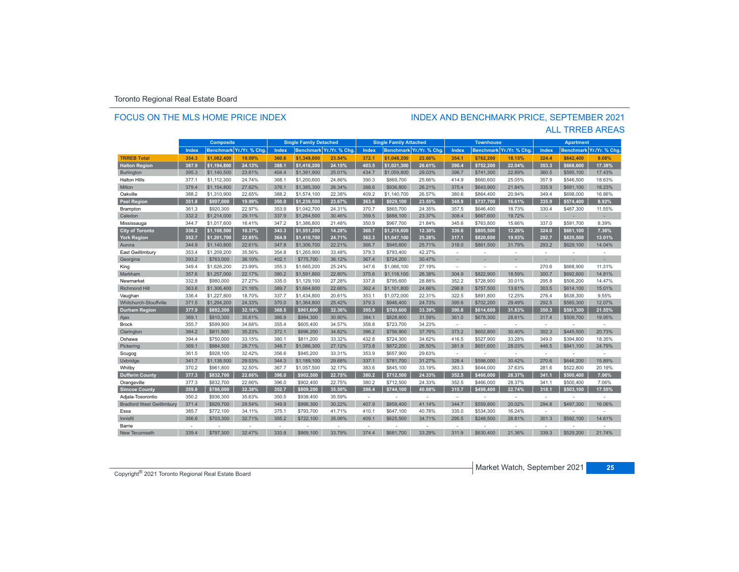### FOCUS ON THE MLS HOME PRICE INDEX

# INDEX AND BENCHMARK PRICE, SEPTEMBER 2021

|                                  |       | <b>Composite</b> |               |       | <b>Single Family Detached</b> |                         |       | <b>Single Family Attached</b> |                          |              | <b>Townhouse</b> |               |                          | <b>Apartment</b> |                         |
|----------------------------------|-------|------------------|---------------|-------|-------------------------------|-------------------------|-------|-------------------------------|--------------------------|--------------|------------------|---------------|--------------------------|------------------|-------------------------|
|                                  | Index | <b>Benchmark</b> | Yr./Yr. % Chg | Index |                               | Benchmark Yr./Yr. % Chg | Index |                               | Benchmark Yr./Yr. % Chg. | <b>Index</b> | <b>Benchmark</b> | Yr./Yr. % Chg | Index                    |                  | Benchmark Yr./Yr. % Chg |
| <b>TRREB Total</b>               | 354.3 | \$1.082.400      | 19.09%        | 360.6 | \$1.349.000                   | 23.54%                  | 372.1 | \$1.048.200                   | 22.60%                   | 354.1        | \$762.200        | 18.15%        | 324.4                    | \$642,400        | 9.08%                   |
| <b>Halton Region</b>             | 387.9 | \$1,194,800      | 24.13%        | 388.1 | \$1,416,200                   | 24.15%                  | 403.5 | \$1,021,300                   | 26.61%                   | 390.4        | \$752,200        | 22.04%        | 353.3                    | \$668,600        | 17.38%                  |
| <b>Burlington</b>                | 395.3 | \$1,140,500      | 23.61%        | 404.4 | \$1,391,900                   | 25.01%                  | 434.7 | \$1,059,800                   | 29.03%                   | 396.7        | \$741,300        | 22.89%        | 360.5                    | \$595,100        | 17.43%                  |
| <b>Halton Hills</b>              | 377.1 | \$1,112,300      | 24.74%        | 368.1 | \$1,200,600                   | 24.86%                  | 390.3 | \$869,700                     | 25.66%                   | 414.9        | \$660,600        | 25.05%        | 357.9                    | \$546,500        | 18.63%                  |
| Milton                           | 379.4 | \$1,154,800      | 27.62%        | 376.1 | \$1,385,300                   | 26.34%                  | 388.6 | \$936,800                     | 26.21%                   | 375.4        | \$643.900        | 21.84%        | 335.9                    | \$691,100        | 18.23%                  |
| Oakville                         | 388.2 | \$1,310,900      | 22.65%        | 388.2 | \$1,574,100                   | 22.38%                  | 409.2 | \$1,140,700                   | 26.57%                   | 380.6        | \$864,400        | 20.94%        | 349.4                    | \$698,000        | 16.86%                  |
| <b>Peel Region</b>               | 351.8 | \$997.000        | 19.99%        | 350.0 | \$1,239,500                   | 23.67%                  | 363.6 | \$929.100                     | 23.55%                   | 348.9        | \$737.700        | 16.61%        | 335.9                    | \$574.400        | 8.92%                   |
| Brampton                         | 361.3 | \$920,300        | 22.97%        | 353.9 | \$1,042,700                   | 24.31%                  | 370.7 | \$865,700                     | 24.35%                   | 357.5        | \$646,400        | 18.73%        | 330.4                    | \$487.300        | 11.55%                  |
| Caledon                          | 332.2 | \$1,214,000      | 29.11%        | 337.9 | \$1,284,500                   | 30.46%                  | 359.5 | \$888,100                     | 23.37%                   | 308.4        | \$667,600        | 19.72%        | ×                        |                  |                         |
| Mississauga                      | 344.7 | \$1,017,600      | 16.41%        | 347.2 | \$1,386,800                   | 21.48%                  | 350.9 | \$967,700                     | 21.84%                   | 345.6        | \$763,800        | 15.66%        | 337.0                    | \$591,700        | 8.39%                   |
| City of Toronto                  | 336.2 | \$1,108,500      | 10.37%        | 343.3 | \$1,551,200                   | 14.28%                  | 360.7 | \$1,218,600                   | 12.30%                   | 339.6        | \$805,500        | 12.26%        | 324.0                    | \$661,100        | 7.36%                   |
| <b>York Region</b>               | 352.7 | \$1.201.700      | 22.85%        | 364.9 | \$1.410.700                   | 24.71%                  | 362.3 | \$1,047,100                   | 25.28%                   | 317.1        | \$820.600        | 19.93%        | 292.7                    | \$635.500        | 13.01%                  |
| Aurora                           | 344.9 | \$1,140,800      | 22.61%        | 347.8 | \$1,306,700                   | 22.21%                  | 366.7 | \$945,600                     | 25.71%                   | 318.0        | \$861,500        | 31.79%        | 293.2                    | \$629,100        | 14.04%                  |
| East Gwillimbury                 | 353.4 | \$1,209,200      | 35.56%        | 354.8 | \$1,265,900                   | 33.48%                  | 379.3 | \$793,400                     | 42.27%                   | ÷            |                  | ÷,            | ÷                        |                  |                         |
| Georgina                         | 393.2 | \$763,000        | 36.10%        | 402.1 | \$775,700                     | 36.12%                  | 367.4 | \$724,200                     | 30.47%                   | ÷            |                  |               |                          |                  |                         |
| King                             | 349.4 | \$1,626,200      | 23.99%        | 355.3 | \$1,665,200                   | 25.24%                  | 347.6 | \$1,066,100                   | 27.19%                   | ÷            | ٠                | ÷             | 270.6                    | \$668,900        | 11.31%                  |
| Markham                          | 357.6 | \$1,257,000      | 22.17%        | 380.2 | \$1,591,800                   | 22.80%                  | 375.6 | \$1,118,100                   | 26.38%                   | 304.9        | \$822,900        | 18.59%        | 300.7                    | \$692,600        | 14.81%                  |
| Newmarket                        | 332.8 | \$980,000        | 27.27%        | 335.0 | \$1,129,100                   | 27.28%                  | 337.8 | \$795,600                     | 28.88%                   | 352.2        | \$728,900        | 30.01%        | 295.8                    | \$506,200        | 14.47%                  |
| <b>Richmond Hill</b>             | 363.6 | \$1,306,400      | 21.16%        | 389.7 | \$1,664,600                   | 22.66%                  | 362.4 | \$1,101,800                   | 24.66%                   | 298.8        | \$757,500        | 13.61%        | 303.5                    | \$614,100        | 15.01%                  |
| Vaughan                          | 336.4 | \$1,227,800      | 18.70%        | 337.7 | \$1,434,800                   | 20.61%                  | 353.1 | \$1,072,000                   | 22.31%                   | 322.5        | \$891,800        | 12.25%        | 276.4                    | \$638,300        | 9.55%                   |
| <b>Whitchurch-Stouffville</b>    | 371.5 | \$1,294,200      | 24.33%        | 370.0 | \$1,364,800                   | 25.42%                  | 379.3 | \$946,400                     | 24.73%                   | 395.6        | \$702.200        | 29.49%        | 292.5                    | \$585.300        | 12.07%                  |
| <b>Durham Region</b>             | 377.9 | \$882.300        | 32.18%        | 368.5 | \$961.600                     | 32.36%                  | 395.9 | \$789,600                     | 33.39%                   | 390.6        | \$614,600        | 31.83%        | 350.3                    | \$581.300        | 21.55%                  |
| Ajax                             | 369.1 | \$910,300        | 30.61%        | 366.9 | \$984,300                     | 30.90%                  | 384.1 | \$828,800                     | 31.59%                   | 361.0        | \$678,300        | 28.61%        | 317.4                    | \$509,700        | 19.95%                  |
| <b>Brock</b>                     | 355.7 | \$599,900        | 34.68%        | 355.4 | \$605,400                     | 34.57%                  | 358.8 | \$723,700                     | 34.23%                   | ÷            |                  | ÷.            | $\sim$                   |                  |                         |
| Clarington                       | 384.2 | \$811,500        | 35.23%        | 372.1 | \$896,200                     | 34.82%                  | 396.2 | \$756,900                     | 37.76%                   | 373.2        | \$602,800        | 30.40%        | 302.3                    | \$445,500        | 20.73%                  |
| Oshawa                           | 394.4 | \$750,000        | 33.15%        | 380.1 | \$811,200                     | 33.32%                  | 432.8 | \$724,300                     | 34.62%                   | 416.5        | \$527,900        | 33.28%        | 349.0                    | \$394.800        | 18.35%                  |
| Pickering                        | 369.1 | \$984,500        | 26.71%        | 348.7 | \$1,086,300                   | 27.12%                  | 373.8 | \$872,200                     | 26.50%                   | 381.9        | \$651,600        | 28.03%        | 446.5                    | \$841,100        | 24.79%                  |
| Scugog                           | 361.5 | \$928,100        | 32.42%        | 356.6 | \$945.200                     | 33.31%                  | 353.9 | \$657,900                     | 29.63%                   | $\sim$       |                  | $\sim$        | $\sim$                   |                  |                         |
| Uxbridge                         | 341.7 | \$1,138,500      | 29.53%        | 344.3 | \$1,189,100                   | 29.68%                  | 337.1 | \$781,700                     | 31.27%                   | 328.4        | \$598,000        | 30.42%        | 270.6                    | \$646,200        | 15.89%                  |
| Whitby                           | 370.2 | \$961,800        | 32.50%        | 367.7 | \$1,057,500                   | 32.17%                  | 383.6 | \$845,100                     | 33.19%                   | 383.3        | \$644,000        | 37.63%        | 281.6                    | \$522.800        | 20.19%                  |
| <b>Dufferin County</b>           | 377.3 | \$832.700        | 22.66%        | 396.0 | \$902.500                     | 22.75%                  | 380.2 | \$712,500                     | 24.33%                   | 352.5        | \$466.000        | 28.37%        | 341.1                    | \$500,400        | 7.06%                   |
| Orangeville                      | 377.3 | \$832,700        | 22.66%        | 396.0 | \$902.400                     | 22.75%                  | 380.2 | \$712,500                     | 24.33%                   | 352.5        | \$466,000        | 28.37%        | 341.1                    | \$500.400        | 7.06%                   |
| <b>Simcoe County</b>             | 359.8 | \$786.000        | 32.38%        | 352.7 | \$809.200                     | 35.50%                  | 398.4 | \$744,100                     | 40.68%                   | 315.7        | \$498.400        | 22.74%        | 318.1                    | \$503,100        | 17.55%                  |
| Adjala-Tosorontio                | 350.2 | \$936,300        | 35.63%        | 350.5 | \$938,400                     | 35.59%                  | ×     |                               |                          | ÷            |                  | ÷             | ۰.                       |                  |                         |
| <b>Bradford West Gwillimbury</b> | 371.4 | \$929,700        | 29.54%        | 349.9 | \$998,300                     | 30.22%                  | 407.9 | \$859,400                     | 41.14%                   | 344.7        | \$559,800        | 20.02%        | 294.8                    | \$497,300        | 16.06%                  |
| Essa                             | 385.7 | \$772,100        | 34.11%        | 375.1 | \$793,700                     | 41.71%                  | 410.1 | \$647,100                     | 40.78%                   | 335.0        | \$534,300        | 16.24%        | $\sim$                   |                  |                         |
| Innisfil                         | 356.6 | \$703,300        | 32.71%        | 355.2 | \$722,100                     | 35.06%                  | 409.1 | \$625,500                     | 34.71%                   | 295.5        | \$248,500        | 28.81%        | 301.3                    | \$592,100        | 14.61%                  |
| Barrie                           |       |                  | ÷             | ÷     |                               | ٠                       | in 19 |                               | $\sim$                   | $\sim$       |                  | ÷             | $\overline{\phantom{a}}$ |                  |                         |
| <b>New Tecumseth</b>             | 339.4 | \$797.300        | 32.47%        | 333.8 | \$869,100                     | 33.79%                  | 374.4 | \$681,700                     | 33.29%                   | 311.9        | \$630,400        | 21.36%        | 339.3                    | \$529,200        | 21.74%                  |

### ALL TRREB AREAS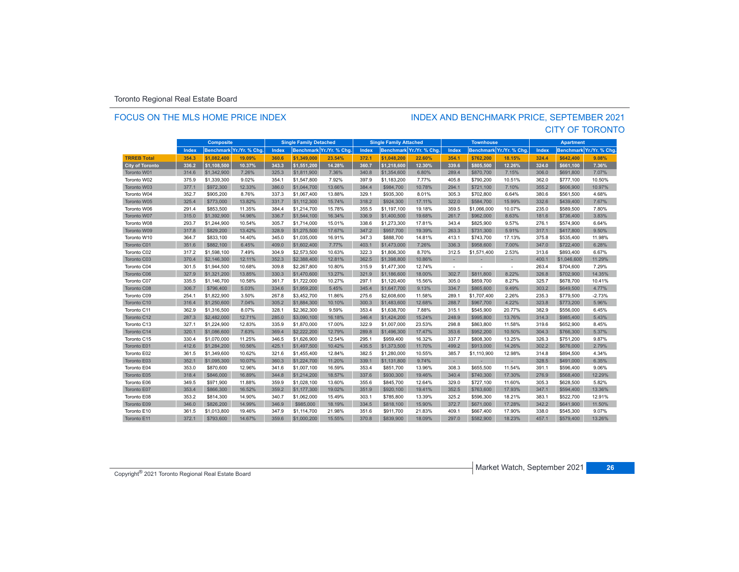### FOCUS ON THE MLS HOME PRICE INDEX

### CITY OF TORONTO INDEX AND BENCHMARK PRICE, SEPTEMBER 2021

|                        |       | <b>Composite</b> |                          |       | <b>Single Family Detached</b> |                          |       | <b>Single Family Attached</b> |                          |                          | <b>Townhouse</b> |                          | <b>Apartment</b> |                  |                |
|------------------------|-------|------------------|--------------------------|-------|-------------------------------|--------------------------|-------|-------------------------------|--------------------------|--------------------------|------------------|--------------------------|------------------|------------------|----------------|
|                        | Index |                  | Benchmark Yr./Yr. % Chg. | Index |                               | Benchmark Yr./Yr. % Chg. | Index |                               | Benchmark Yr./Yr. % Chg. | Index                    |                  | Benchmark Yr./Yr. % Chg. | Index            | <b>Benchmark</b> | Yr./Yr. % Chg. |
| <b>TRREB Total</b>     | 354.3 | \$1.082.400      | 19.09%                   | 360.6 | \$1,349,000                   | 23.54%                   | 372.1 | \$1.048.200                   | 22.60%                   | 354.1                    | \$762.200        | 18.15%                   | 324.4            | \$642,400        | 9.08%          |
| <b>City of Toronto</b> | 336.2 | \$1,108,500      | 10.37%                   | 343.3 | \$1,551,200                   | 14.28%                   | 360.7 | \$1,218,600                   | 12.30%                   | 339.6                    | \$805,500        | 12.26%                   | 324.0            | \$661,100        | 7.36%          |
| Toronto W01            | 314.6 | \$1,342,900      | 7.26%                    | 325.3 | \$1,811,900                   | 7.36%                    | 340.8 | \$1,354,600                   | 6.80%                    | 289.4                    | \$870,700        | 7.15%                    | 306.0            | \$691,800        | 7.07%          |
| Toronto W02            | 375.9 | \$1,339,300      | 9.02%                    | 354.1 | \$1,547,800                   | 7.92%                    | 397.9 | \$1,183,200                   | 7.77%                    | 405.8                    | \$790,200        | 10.51%                   | 362.0            | \$777,100        | 10.50%         |
| Toronto W03            | 377.1 | \$972,300        | 12.33%                   | 386.0 | \$1,044,700                   | 13.66%                   | 384.4 | \$984,700                     | 10.78%                   | 294.1                    | \$721,100        | 7.10%                    | 355.2            | \$606,900        | 10.97%         |
| Toronto W04            | 352.7 | \$905,200        | 8.76%                    | 337.3 | \$1,067,400                   | 13.88%                   | 329.1 | \$935,300                     | 8.01%                    | 305.3                    | \$702,800        | 6.64%                    | 380.6            | \$561,500        | 4.68%          |
| Toronto W05            | 325.4 | \$773,000        | 13.82%                   | 331.7 | \$1,112,300                   | 15.74%                   | 318.2 | \$924,300                     | 17.11%                   | 322.0                    | \$584,700        | 15.99%                   | 332.6            | \$439,400        | 7.67%          |
| Toronto W06            | 291.4 | \$853,500        | 11.35%                   | 384.4 | \$1,214,700                   | 15.78%                   | 355.5 | \$1,197,100                   | 19.18%                   | 359.5                    | \$1,066,000      | 10.07%                   | 235.0            | \$589,500        | 7.80%          |
| Toronto W07            | 315.0 | \$1,392,900      | 14.96%                   | 336.7 | \$1,544,100                   | 16.34%                   | 336.9 | \$1,400,500                   | 19.68%                   | 261.7                    | \$962,000        | 8.63%                    | 181.6            | \$736,400        | 3.83%          |
| Toronto W08            | 293.7 | \$1,244,900      | 10.54%                   | 305.7 | \$1,714,000                   | 15.01%                   | 338.6 | \$1,273,300                   | 17.81%                   | 343.4                    | \$825,900        | 9.57%                    | 276.1            | \$574,900        | 6.64%          |
| Toronto W09            | 317.8 | \$829,200        | 13.42%                   | 328.9 | \$1,275,500                   | 17.67%                   | 347.2 | \$957,700                     | 19.39%                   | 263.3                    | \$731,300        | 5.91%                    | 317.1            | \$417,800        | 9.50%          |
| Toronto W10            | 364.7 | \$833,100        | 14.40%                   | 345.0 | \$1,035,000                   | 16.91%                   | 347.3 | \$888,700                     | 14.81%                   | 413.1                    | \$743,700        | 17.13%                   | 375.8            | \$535,400        | 11.98%         |
| Toronto C01            | 351.6 | \$882,100        | 6.45%                    | 409.0 | \$1,602,400                   | 7.77%                    | 403.1 | \$1,473,000                   | 7.26%                    | 336.3                    | \$958,600        | 7.00%                    | 347.0            | \$722,400        | 6.28%          |
| Toronto C02            | 317.2 | \$1,598,100      | 7.49%                    | 304.9 | \$2,573,500                   | 10.63%                   | 322.3 | \$1,806,300                   | 8.70%                    | 312.5                    | \$1,571,400      | 2.53%                    | 313.6            | \$893,400        | 6.67%          |
| Toronto C03            | 370.4 | \$2,146,300      | 12.11%                   | 352.3 | \$2,388,400                   | 12.81%                   | 362.5 | \$1,398,800                   | 10.86%                   |                          |                  |                          | 400.1            | \$1,046,600      | 11.29%         |
| Toronto C04            | 301.5 | \$1,944,500      | 10.68%                   | 309.8 | \$2,267,800                   | 10.80%                   | 315.9 | \$1,477,300                   | 12.74%                   | $\overline{\phantom{a}}$ |                  | $\sim$                   | 263.4            | \$704,600        | 7.29%          |
| Toronto C06            | 327.9 | \$1,321,200      | 13.85%                   | 330.3 | \$1,470,600                   | 13.27%                   | 321.9 | \$1,186,600                   | 18.00%                   | 302.7                    | \$811,800        | 8.22%                    | 326.8            | \$702,900        | 14.35%         |
| Toronto C07            | 335.5 | \$1,146,700      | 10.58%                   | 361.7 | \$1,722,000                   | 10.27%                   | 297.1 | \$1,120,400                   | 15.56%                   | 305.0                    | \$859,700        | 8.27%                    | 325.7            | \$678,700        | 10.41%         |
| Toronto C08            | 306.7 | \$796,400        | 5.03%                    | 334.6 | \$1,959,200                   | 5.45%                    | 345.4 | \$1,647,700                   | 9.13%                    | 334.7                    | \$865,600        | 9.49%                    | 303.2            | \$649,500        | 4.77%          |
| Toronto C09            | 254.1 | \$1,822,900      | 3.50%                    | 267.8 | \$3,452,700                   | 11.86%                   | 275.6 | \$2,608,600                   | 11.58%                   | 289.1                    | \$1,707,400      | 2.26%                    | 235.3            | \$779,500        | $-2.73%$       |
| Toronto C10            | 316.4 | \$1,250,600      | 7.04%                    | 305.2 | \$1,884,300                   | 10.10%                   | 300.3 | \$1,483,600                   | 12.68%                   | 288.7                    | \$967,700        | 4.22%                    | 323.8            | \$773,200        | 5.96%          |
| Toronto C11            | 362.9 | \$1,316,500      | 8.07%                    | 328.1 | \$2,362,300                   | 9.59%                    | 353.4 | \$1,638,700                   | 7.88%                    | 315.1                    | \$545,900        | 20.77%                   | 382.9            | \$556,000        | 6.45%          |
| Toronto C12            | 287.3 | \$2,482,000      | 12.71%                   | 285.0 | \$3,090,100                   | 16.18%                   | 346.4 | \$1,424,200                   | 15.24%                   | 248.9                    | \$995,800        | 13.76%                   | 314.3            | \$985,400        | 5.43%          |
| Toronto C13            | 327.1 | \$1,224,900      | 12.83%                   | 335.9 | \$1,870,000                   | 17.00%                   | 322.9 | \$1,007,000                   | 23.53%                   | 298.8                    | \$863,800        | 11.58%                   | 319.6            | \$652,900        | 8.45%          |
| Toronto C14            | 320.1 | \$1,086,600      | 7.63%                    | 369.4 | \$2,222,200                   | 12.79%                   | 289.8 | \$1,496,300                   | 17.47%                   | 353.6                    | \$952,200        | 10.50%                   | 304.3            | \$766,300        | 5.37%          |
| Toronto C15            | 330.4 | \$1,070,000      | 11.25%                   | 346.5 | \$1,626,900                   | 12.54%                   | 295.1 | \$959,400                     | 16.32%                   | 337.7                    | \$808,300        | 13.25%                   | 326.3            | \$751,200        | 9.87%          |
| Toronto E01            | 412.6 | \$1,284,200      | 10.56%                   | 425.1 | \$1,497,500                   | 10.42%                   | 435.5 | \$1,373,500                   | 11.70%                   | 499.2                    | \$913,000        | 14.26%                   | 302.2            | \$676,000        | 2.79%          |
| Toronto E02            | 361.5 | \$1,349,600      | 10.62%                   | 321.6 | \$1,455,400                   | 12.84%                   | 382.5 | \$1,280,000                   | 10.55%                   | 385.7                    | \$1,110,900      | 12.98%                   | 314.8            | \$894,500        | 4.34%          |
| Toronto E03            | 352.1 | \$1,095,300      | 10.07%                   | 360.3 | \$1,224,700                   | 11.20%                   | 339.1 | \$1,131,800                   | 9.74%                    | $\sim$                   | ×.               | $\overline{\phantom{a}}$ | 328.5            | \$491,000        | 6.35%          |
| Toronto E04            | 353.0 | \$870,600        | 12.96%                   | 341.6 | \$1,007.100                   | 16.59%                   | 353.4 | \$851,700                     | 13.96%                   | 308.3                    | \$655,500        | 11.54%                   | 391.1            | \$596,400        | 9.06%          |
| Toronto E05            | 318.4 | \$846,000        | 16.89%                   | 344.8 | \$1,214,200                   | 18.57%                   | 337.6 | \$930,300                     | 19.46%                   | 340.4                    | \$740,300        | 17.30%                   | 276.9            | \$568,400        | 12.29%         |
| Toronto E06            | 349.5 | \$971,900        | 11.88%                   | 359.9 | \$1,028,100                   | 13.60%                   | 355.6 | \$845,700                     | 12.64%                   | 329.0                    | \$727,100        | 11.60%                   | 305.3            | \$628,500        | 5.82%          |
| Toronto E07            | 353.4 | \$866,300        | 16.52%                   | 359.2 | \$1,177,300                   | 19.02%                   | 351.9 | \$920,100                     | 19.41%                   | 352.5                    | \$763,600        | 17.93%                   | 347.1            | \$594,400        | 13.36%         |
| Toronto E08            | 353.2 | \$814,300        | 14.90%                   | 340.7 | \$1,062,000                   | 15.49%                   | 303.1 | \$785,800                     | 13.39%                   | 325.2                    | \$596,300        | 18.21%                   | 383.1            | \$522,700        | 12.91%         |
| Toronto E09            | 346.0 | \$826.200        | 14.99%                   | 346.9 | \$985,000                     | 18.19%                   | 334.5 | \$818,100                     | 15.90%                   | 372.7                    | \$671,000        | 17.28%                   | 342.2            | \$641.900        | 11.50%         |
| Toronto E10            | 361.5 | \$1,013,800      | 19.46%                   | 347.9 | \$1.114.700                   | 21.98%                   | 351.6 | \$911.700                     | 21.83%                   | 409.1                    | \$667,400        | 17.90%                   | 338.0            | \$545,300        | 9.07%          |
| Toronto E11            | 372.1 | \$793,600        | 14.67%                   | 359.6 | \$1,000,200                   | 15.55%                   | 370.8 | \$839,900                     | 18.09%                   | 297.0                    | \$582,900        | 18.23%                   | 457.1            | \$579,400        | 13.26%         |